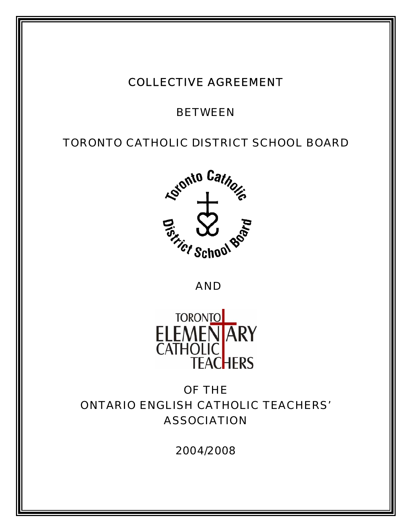# COLLECTIVE AGREEMENT

# BETWEEN

# TORONTO CATHOLIC DISTRICT SCHOOL BOARD



AND

**TORONTO** ELEMEN ARY<br>CATHOLIC TEACHERS

OF THE ONTARIO ENGLISH CATHOLIC TEACHERS' ASSOCIATION

2004/2008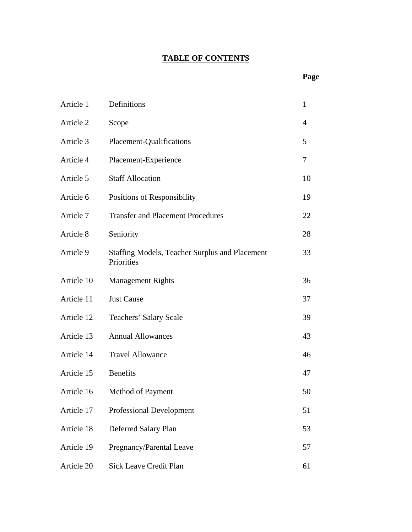# **TABLE OF CONTENTS**

#### **Page**

| Article 1  | Definitions                                                         | $\mathbf{1}$ |
|------------|---------------------------------------------------------------------|--------------|
| Article 2  | Scope                                                               | 4            |
| Article 3  | <b>Placement-Qualifications</b>                                     | 5            |
| Article 4  | Placement-Experience                                                | 7            |
| Article 5  | <b>Staff Allocation</b>                                             | 10           |
| Article 6  | Positions of Responsibility                                         | 19           |
| Article 7  | <b>Transfer and Placement Procedures</b>                            | 22           |
| Article 8  | Seniority                                                           | 28           |
| Article 9  | <b>Staffing Models, Teacher Surplus and Placement</b><br>Priorities | 33           |
| Article 10 | <b>Management Rights</b>                                            | 36           |
| Article 11 | <b>Just Cause</b>                                                   | 37           |
| Article 12 | Teachers' Salary Scale                                              | 39           |
| Article 13 | <b>Annual Allowances</b>                                            | 43           |
| Article 14 | <b>Travel Allowance</b>                                             | 46           |
| Article 15 | <b>Benefits</b>                                                     | 47           |
| Article 16 | Method of Payment                                                   | 50           |
| Article 17 | <b>Professional Development</b>                                     | 51           |
| Article 18 | Deferred Salary Plan                                                | 53           |
| Article 19 | Pregnancy/Parental Leave                                            | 57           |
| Article 20 | <b>Sick Leave Credit Plan</b>                                       | 61           |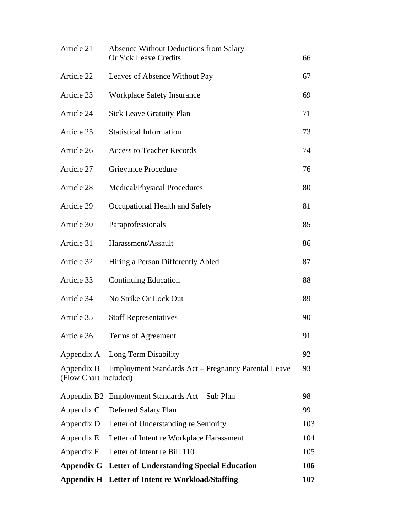|                                     | <b>Appendix H</b> Letter of Intent re Workload/Staffing                | 107 |
|-------------------------------------|------------------------------------------------------------------------|-----|
|                                     | <b>Appendix G</b> Letter of Understanding Special Education            | 106 |
| Appendix F                          | Letter of Intent re Bill 110                                           | 105 |
| Appendix E                          | Letter of Intent re Workplace Harassment                               | 104 |
| Appendix D                          | Letter of Understanding re Seniority                                   | 103 |
| Appendix C                          | Deferred Salary Plan                                                   | 99  |
|                                     | Appendix B2 Employment Standards Act – Sub Plan                        | 98  |
| Appendix B<br>(Flow Chart Included) | Employment Standards Act - Pregnancy Parental Leave                    | 93  |
|                                     | Appendix A Long Term Disability                                        | 92  |
| Article 36                          | Terms of Agreement                                                     | 91  |
| Article 35                          | <b>Staff Representatives</b>                                           | 90  |
| Article 34                          | No Strike Or Lock Out                                                  | 89  |
| Article 33                          | <b>Continuing Education</b>                                            | 88  |
| Article 32                          | Hiring a Person Differently Abled                                      | 87  |
| Article 31                          | Harassment/Assault                                                     | 86  |
| Article 30                          | Paraprofessionals                                                      | 85  |
| Article 29                          | Occupational Health and Safety                                         | 81  |
| Article 28                          | <b>Medical/Physical Procedures</b>                                     | 80  |
| Article 27                          | <b>Grievance Procedure</b>                                             | 76  |
| Article 26                          | <b>Access to Teacher Records</b>                                       | 74  |
| Article 25                          | <b>Statistical Information</b>                                         | 73  |
| Article 24                          | <b>Sick Leave Gratuity Plan</b>                                        | 71  |
| Article 23                          | <b>Workplace Safety Insurance</b>                                      | 69  |
| Article 22                          | Leaves of Absence Without Pay                                          | 67  |
| Article 21                          | Absence Without Deductions from Salary<br><b>Or Sick Leave Credits</b> | 66  |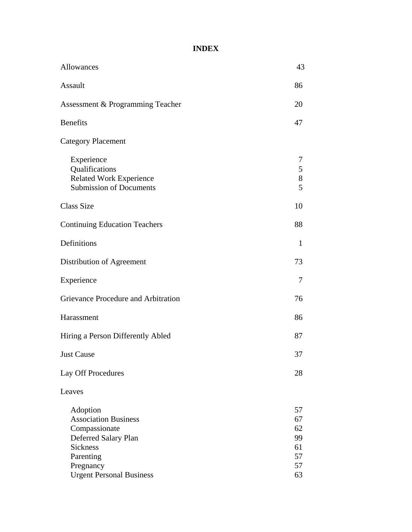# **INDEX**

| Allowances                                                                                                                    | 43                                     |  |
|-------------------------------------------------------------------------------------------------------------------------------|----------------------------------------|--|
| Assault                                                                                                                       | 86                                     |  |
| Assessment & Programming Teacher                                                                                              | 20                                     |  |
| <b>Benefits</b>                                                                                                               | 47                                     |  |
| <b>Category Placement</b>                                                                                                     |                                        |  |
| Experience<br>Qualifications<br><b>Related Work Experience</b><br><b>Submission of Documents</b>                              | 7<br>5<br>8<br>5                       |  |
| <b>Class Size</b>                                                                                                             | 10                                     |  |
| <b>Continuing Education Teachers</b>                                                                                          | 88                                     |  |
| Definitions                                                                                                                   | 1                                      |  |
| Distribution of Agreement                                                                                                     | 73                                     |  |
| Experience                                                                                                                    | 7                                      |  |
| Grievance Procedure and Arbitration                                                                                           | 76                                     |  |
| Harassment                                                                                                                    | 86                                     |  |
| Hiring a Person Differently Abled                                                                                             |                                        |  |
| <b>Just Cause</b>                                                                                                             | 37                                     |  |
| Lay Off Procedures                                                                                                            | 28                                     |  |
| Leaves                                                                                                                        |                                        |  |
| Adoption<br><b>Association Business</b><br>Compassionate<br>Deferred Salary Plan<br><b>Sickness</b><br>Parenting<br>Pregnancy | 57<br>67<br>62<br>99<br>61<br>57<br>57 |  |
| <b>Urgent Personal Business</b>                                                                                               | 63                                     |  |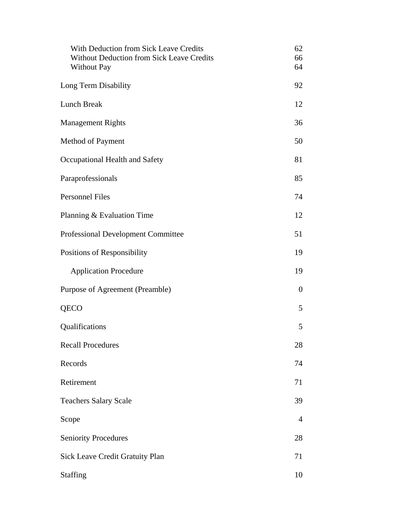| With Deduction from Sick Leave Credits<br>Without Deduction from Sick Leave Credits<br><b>Without Pay</b> | 62<br>66<br>64   |  |
|-----------------------------------------------------------------------------------------------------------|------------------|--|
| Long Term Disability                                                                                      | 92               |  |
| Lunch Break                                                                                               | 12               |  |
| <b>Management Rights</b>                                                                                  | 36               |  |
| Method of Payment                                                                                         | 50               |  |
| Occupational Health and Safety                                                                            | 81               |  |
| Paraprofessionals                                                                                         | 85               |  |
| <b>Personnel Files</b>                                                                                    | 74               |  |
| Planning & Evaluation Time                                                                                | 12               |  |
| Professional Development Committee                                                                        | 51               |  |
| Positions of Responsibility                                                                               | 19               |  |
| <b>Application Procedure</b>                                                                              | 19               |  |
| Purpose of Agreement (Preamble)                                                                           | $\boldsymbol{0}$ |  |
| QECO                                                                                                      | 5                |  |
| Qualifications                                                                                            | 5                |  |
| <b>Recall Procedures</b>                                                                                  | 28               |  |
| Records                                                                                                   | 74               |  |
| Retirement                                                                                                | 71               |  |
| <b>Teachers Salary Scale</b>                                                                              | 39               |  |
| Scope                                                                                                     | 4                |  |
| <b>Seniority Procedures</b>                                                                               |                  |  |
| Sick Leave Credit Gratuity Plan                                                                           |                  |  |
| <b>Staffing</b>                                                                                           | 10               |  |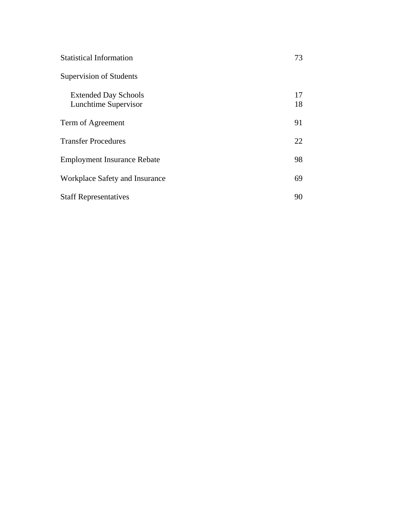| <b>Statistical Information</b>                      |          |  |
|-----------------------------------------------------|----------|--|
| <b>Supervision of Students</b>                      |          |  |
| <b>Extended Day Schools</b><br>Lunchtime Supervisor | 17<br>18 |  |
| Term of Agreement                                   |          |  |
| <b>Transfer Procedures</b>                          | 22       |  |
| <b>Employment Insurance Rebate</b>                  |          |  |
| Workplace Safety and Insurance                      |          |  |
| <b>Staff Representatives</b>                        |          |  |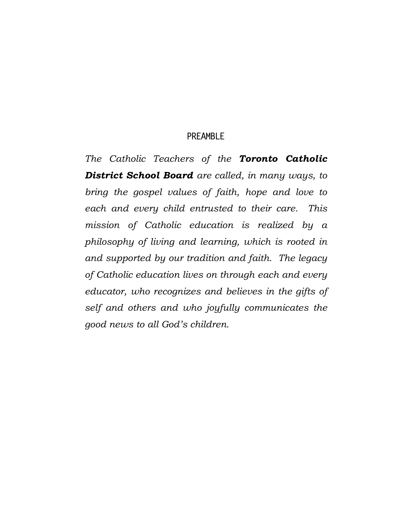# **PREAMBLE**

*The Catholic Teachers of the Toronto Catholic District School Board are called, in many ways, to bring the gospel values of faith, hope and love to each and every child entrusted to their care. This mission of Catholic education is realized by a philosophy of living and learning, which is rooted in and supported by our tradition and faith. The legacy of Catholic education lives on through each and every educator, who recognizes and believes in the gifts of self and others and who joyfully communicates the good news to all God's children.*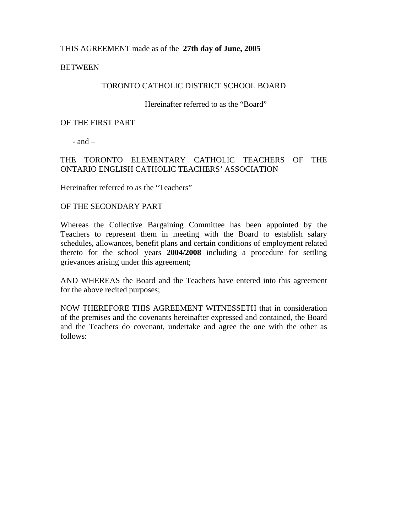### THIS AGREEMENT made as of the **27th day of June, 2005**

#### **BETWEEN**

#### TORONTO CATHOLIC DISTRICT SCHOOL BOARD

#### Hereinafter referred to as the "Board"

#### OF THE FIRST PART

- and  $-$ 

### THE TORONTO ELEMENTARY CATHOLIC TEACHERS OF THE ONTARIO ENGLISH CATHOLIC TEACHERS' ASSOCIATION

Hereinafter referred to as the "Teachers"

#### OF THE SECONDARY PART

Whereas the Collective Bargaining Committee has been appointed by the Teachers to represent them in meeting with the Board to establish salary schedules, allowances, benefit plans and certain conditions of employment related thereto for the school years **2004/2008** including a procedure for settling grievances arising under this agreement;

AND WHEREAS the Board and the Teachers have entered into this agreement for the above recited purposes;

NOW THEREFORE THIS AGREEMENT WITNESSETH that in consideration of the premises and the covenants hereinafter expressed and contained, the Board and the Teachers do covenant, undertake and agree the one with the other as follows: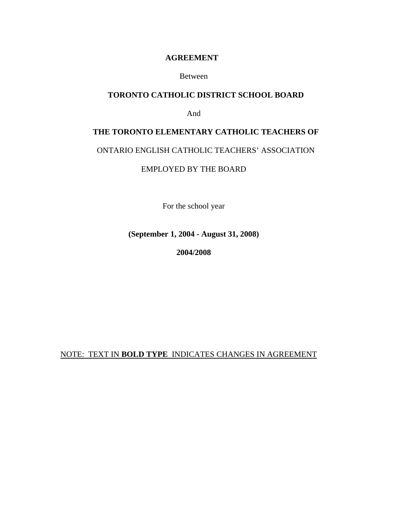#### **AGREEMENT**

#### Between

#### **TORONTO CATHOLIC DISTRICT SCHOOL BOARD**

And

#### **THE TORONTO ELEMENTARY CATHOLIC TEACHERS OF**

## ONTARIO ENGLISH CATHOLIC TEACHERS' ASSOCIATION

#### EMPLOYED BY THE BOARD

For the school year

**(September 1, 2004 - August 31, 2008)** 

**2004/2008** 

## NOTE: TEXT IN **BOLD TYPE** INDICATES CHANGES IN AGREEMENT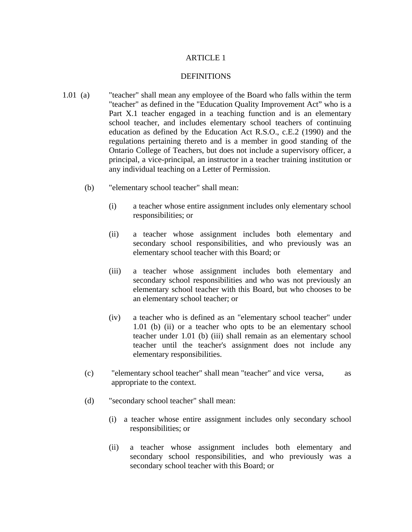#### DEFINITIONS

- 1.01 (a) "teacher" shall mean any employee of the Board who falls within the term "teacher" as defined in the "Education Quality Improvement Act" who is a Part X.1 teacher engaged in a teaching function and is an elementary school teacher, and includes elementary school teachers of continuing education as defined by the Education Act R.S.O., c.E.2 (1990) and the regulations pertaining thereto and is a member in good standing of the Ontario College of Teachers, but does not include a supervisory officer, a principal, a vice-principal, an instructor in a teacher training institution or any individual teaching on a Letter of Permission.
	- (b) "elementary school teacher" shall mean:
		- (i) a teacher whose entire assignment includes only elementary school responsibilities; or
		- (ii) a teacher whose assignment includes both elementary and secondary school responsibilities, and who previously was an elementary school teacher with this Board; or
		- (iii) a teacher whose assignment includes both elementary and secondary school responsibilities and who was not previously an elementary school teacher with this Board, but who chooses to be an elementary school teacher; or
		- (iv) a teacher who is defined as an "elementary school teacher" under 1.01 (b) (ii) or a teacher who opts to be an elementary school teacher under 1.01 (b) (iii) shall remain as an elementary school teacher until the teacher's assignment does not include any elementary responsibilities.
	- (c) "elementary school teacher" shall mean "teacher" and vice versa, as appropriate to the context.
	- (d) "secondary school teacher" shall mean:
		- (i) a teacher whose entire assignment includes only secondary school responsibilities; or
		- (ii) a teacher whose assignment includes both elementary and secondary school responsibilities, and who previously was a secondary school teacher with this Board; or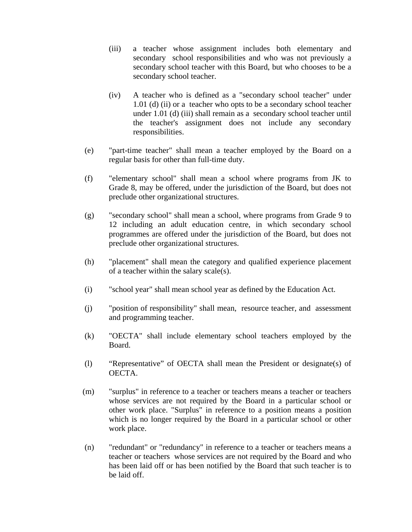- (iii) a teacher whose assignment includes both elementary and secondary school responsibilities and who was not previously a secondary school teacher with this Board, but who chooses to be a secondary school teacher.
- (iv) A teacher who is defined as a "secondary school teacher" under 1.01 (d) (ii) or a teacher who opts to be a secondary school teacher under 1.01 (d) (iii) shall remain as a secondary school teacher until the teacher's assignment does not include any secondary responsibilities.
- (e) "part-time teacher" shall mean a teacher employed by the Board on a regular basis for other than full-time duty.
- (f) "elementary school" shall mean a school where programs from JK to Grade 8, may be offered, under the jurisdiction of the Board, but does not preclude other organizational structures.
- (g) "secondary school" shall mean a school, where programs from Grade 9 to 12 including an adult education centre, in which secondary school programmes are offered under the jurisdiction of the Board, but does not preclude other organizational structures.
- (h) "placement" shall mean the category and qualified experience placement of a teacher within the salary scale(s).
- (i) "school year" shall mean school year as defined by the Education Act.
- (j) "position of responsibility" shall mean, resource teacher, and assessment and programming teacher.
- (k) "OECTA" shall include elementary school teachers employed by the Board.
- (l) "Representative" of OECTA shall mean the President or designate(s) of OECTA.
- (m) "surplus" in reference to a teacher or teachers means a teacher or teachers whose services are not required by the Board in a particular school or other work place. "Surplus" in reference to a position means a position which is no longer required by the Board in a particular school or other work place.
- (n) "redundant" or "redundancy" in reference to a teacher or teachers means a teacher or teachers whose services are not required by the Board and who has been laid off or has been notified by the Board that such teacher is to be laid off.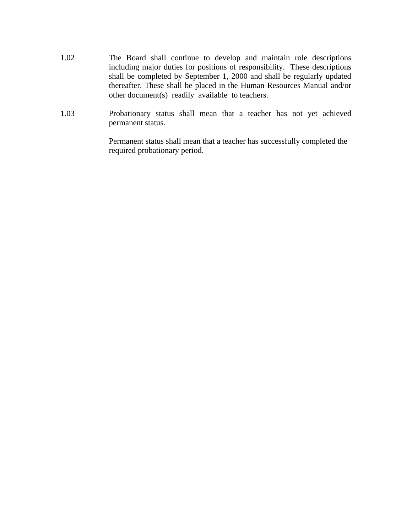- 1.02 The Board shall continue to develop and maintain role descriptions including major duties for positions of responsibility. These descriptions shall be completed by September 1, 2000 and shall be regularly updated thereafter. These shall be placed in the Human Resources Manual and/or other document(s) readily available to teachers.
- 1.03 Probationary status shall mean that a teacher has not yet achieved permanent status.

Permanent status shall mean that a teacher has successfully completed the required probationary period.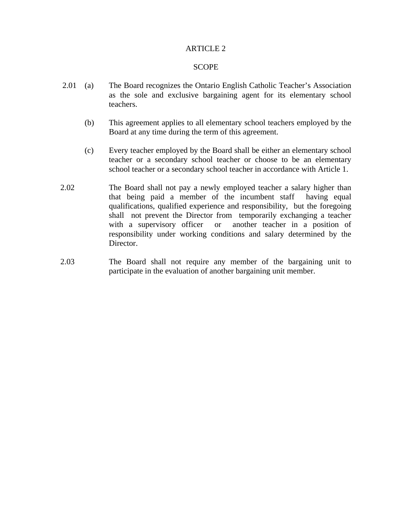#### **SCOPE**

- 2.01 (a) The Board recognizes the Ontario English Catholic Teacher's Association as the sole and exclusive bargaining agent for its elementary school teachers.
	- (b) This agreement applies to all elementary school teachers employed by the Board at any time during the term of this agreement.
	- (c) Every teacher employed by the Board shall be either an elementary school teacher or a secondary school teacher or choose to be an elementary school teacher or a secondary school teacher in accordance with Article 1.
- 2.02 The Board shall not pay a newly employed teacher a salary higher than that being paid a member of the incumbent staff having equal qualifications, qualified experience and responsibility, but the foregoing shall not prevent the Director from temporarily exchanging a teacher with a supervisory officer or another teacher in a position of responsibility under working conditions and salary determined by the Director.
- 2.03 The Board shall not require any member of the bargaining unit to participate in the evaluation of another bargaining unit member.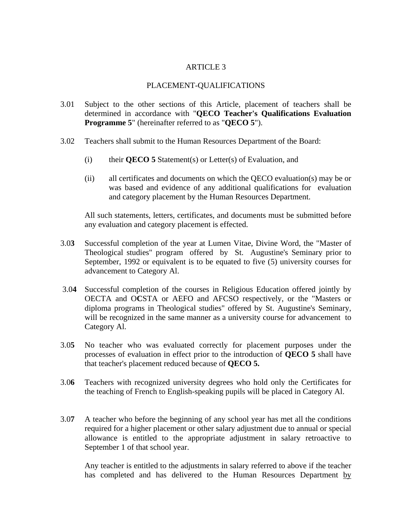#### PLACEMENT-QUALIFICATIONS

- 3.01 Subject to the other sections of this Article, placement of teachers shall be determined in accordance with "**QECO Teacher's Qualifications Evaluation Programme 5**" (hereinafter referred to as "**QECO 5**").
- 3.02 Teachers shall submit to the Human Resources Department of the Board:
	- (i) their **QECO 5** Statement(s) or Letter(s) of Evaluation, and
	- (ii) all certificates and documents on which the QECO evaluation(s) may be or was based and evidence of any additional qualifications for evaluation and category placement by the Human Resources Department.

All such statements, letters, certificates, and documents must be submitted before any evaluation and category placement is effected.

- 3.0**3** Successful completion of the year at Lumen Vitae, Divine Word, the "Master of Theological studies" program offered by St. Augustine's Seminary prior to September, 1992 or equivalent is to be equated to five (5) university courses for advancement to Category Al.
- 3.0**4** Successful completion of the courses in Religious Education offered jointly by OECTA and O**C**STA or AEFO and AFCSO respectively, or the "Masters or diploma programs in Theological studies" offered by St. Augustine's Seminary, will be recognized in the same manner as a university course for advancement to Category Al.
- 3.0**5** No teacher who was evaluated correctly for placement purposes under the processes of evaluation in effect prior to the introduction of **QECO 5** shall have that teacher's placement reduced because of **QECO 5.**
- 3.0**6** Teachers with recognized university degrees who hold only the Certificates for the teaching of French to English-speaking pupils will be placed in Category Al.
- 3.0**7** A teacher who before the beginning of any school year has met all the conditions required for a higher placement or other salary adjustment due to annual or special allowance is entitled to the appropriate adjustment in salary retroactive to September 1 of that school year.

Any teacher is entitled to the adjustments in salary referred to above if the teacher has completed and has delivered to the Human Resources Department by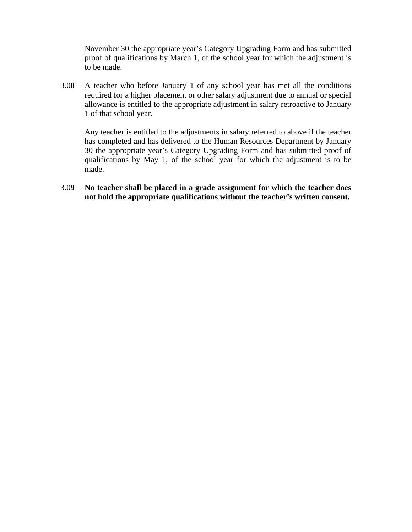November 30 the appropriate year's Category Upgrading Form and has submitted proof of qualifications by March 1, of the school year for which the adjustment is to be made.

3.0**8** A teacher who before January 1 of any school year has met all the conditions required for a higher placement or other salary adjustment due to annual or special allowance is entitled to the appropriate adjustment in salary retroactive to January 1 of that school year.

Any teacher is entitled to the adjustments in salary referred to above if the teacher has completed and has delivered to the Human Resources Department by January 30 the appropriate year's Category Upgrading Form and has submitted proof of qualifications by May 1, of the school year for which the adjustment is to be made.

3.0**9 No teacher shall be placed in a grade assignment for which the teacher does not hold the appropriate qualifications without the teacher's written consent.**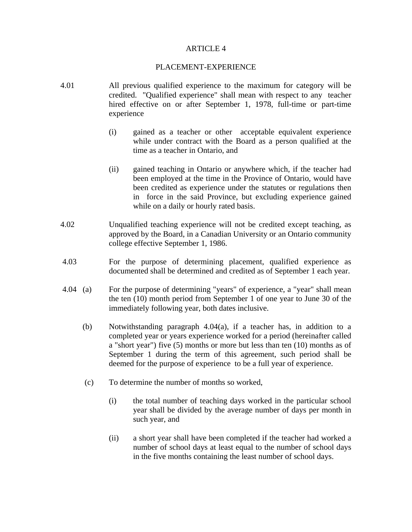#### PLACEMENT-EXPERIENCE

- 4.01 All previous qualified experience to the maximum for category will be credited. "Qualified experience" shall mean with respect to any teacher hired effective on or after September 1, 1978, full-time or part-time experience
	- (i) gained as a teacher or other acceptable equivalent experience while under contract with the Board as a person qualified at the time as a teacher in Ontario, and
	- (ii) gained teaching in Ontario or anywhere which, if the teacher had been employed at the time in the Province of Ontario, would have been credited as experience under the statutes or regulations then in force in the said Province, but excluding experience gained while on a daily or hourly rated basis.
- 4.02 Unqualified teaching experience will not be credited except teaching, as approved by the Board, in a Canadian University or an Ontario community college effective September 1, 1986.
- 4.03 For the purpose of determining placement, qualified experience as documented shall be determined and credited as of September 1 each year.
- 4.04 (a) For the purpose of determining "years" of experience, a "year" shall mean the ten (10) month period from September 1 of one year to June 30 of the immediately following year, both dates inclusive.
	- (b) Notwithstanding paragraph 4.04(a), if a teacher has, in addition to a completed year or years experience worked for a period (hereinafter called a "short year") five (5) months or more but less than ten (10) months as of September 1 during the term of this agreement, such period shall be deemed for the purpose of experience to be a full year of experience.
	- (c) To determine the number of months so worked,
		- (i) the total number of teaching days worked in the particular school year shall be divided by the average number of days per month in such year, and
		- (ii) a short year shall have been completed if the teacher had worked a number of school days at least equal to the number of school days in the five months containing the least number of school days.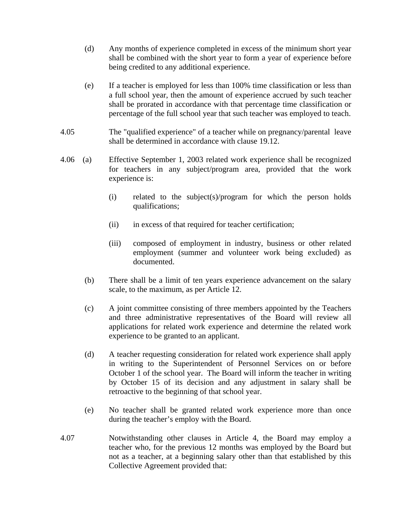- (d) Any months of experience completed in excess of the minimum short year shall be combined with the short year to form a year of experience before being credited to any additional experience.
- (e) If a teacher is employed for less than 100% time classification or less than a full school year, then the amount of experience accrued by such teacher shall be prorated in accordance with that percentage time classification or percentage of the full school year that such teacher was employed to teach.
- 4.05 The "qualified experience" of a teacher while on pregnancy/parental leave shall be determined in accordance with clause 19.12.
- 4.06 (a) Effective September 1, 2003 related work experience shall be recognized for teachers in any subject/program area, provided that the work experience is:
	- (i) related to the subject(s)/program for which the person holds qualifications;
	- (ii) in excess of that required for teacher certification;
	- (iii) composed of employment in industry, business or other related employment (summer and volunteer work being excluded) as documented.
	- (b) There shall be a limit of ten years experience advancement on the salary scale, to the maximum, as per Article 12.
	- (c) A joint committee consisting of three members appointed by the Teachers and three administrative representatives of the Board will review all applications for related work experience and determine the related work experience to be granted to an applicant.
	- (d) A teacher requesting consideration for related work experience shall apply in writing to the Superintendent of Personnel Services on or before October 1 of the school year. The Board will inform the teacher in writing by October 15 of its decision and any adjustment in salary shall be retroactive to the beginning of that school year.
	- (e) No teacher shall be granted related work experience more than once during the teacher's employ with the Board.
- 4.07 Notwithstanding other clauses in Article 4, the Board may employ a teacher who, for the previous 12 months was employed by the Board but not as a teacher, at a beginning salary other than that established by this Collective Agreement provided that: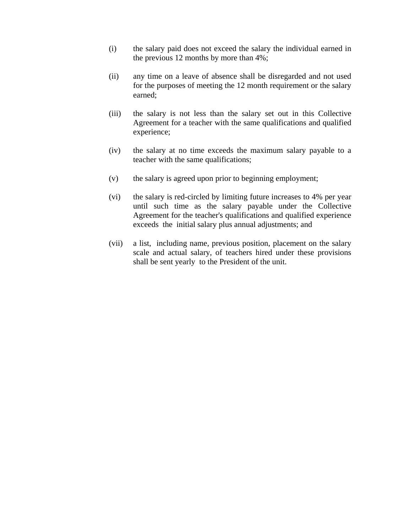- (i) the salary paid does not exceed the salary the individual earned in the previous 12 months by more than 4%;
- (ii) any time on a leave of absence shall be disregarded and not used for the purposes of meeting the 12 month requirement or the salary earned;
- (iii) the salary is not less than the salary set out in this Collective Agreement for a teacher with the same qualifications and qualified experience;
- (iv) the salary at no time exceeds the maximum salary payable to a teacher with the same qualifications;
- (v) the salary is agreed upon prior to beginning employment;
- (vi) the salary is red-circled by limiting future increases to 4% per year until such time as the salary payable under the Collective Agreement for the teacher's qualifications and qualified experience exceeds the initial salary plus annual adjustments; and
- (vii) a list, including name, previous position, placement on the salary scale and actual salary, of teachers hired under these provisions shall be sent yearly to the President of the unit.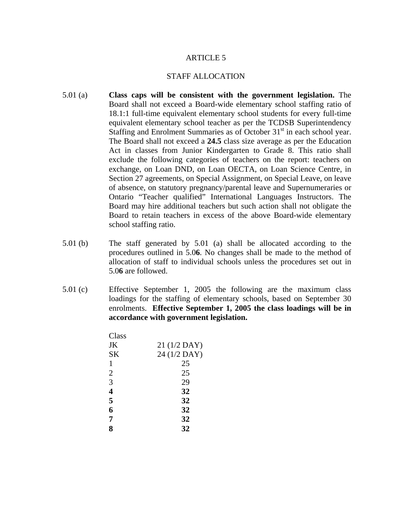#### STAFF ALLOCATION

- 5.01 (a) **Class caps will be consistent with the government legislation.** The Board shall not exceed a Board-wide elementary school staffing ratio of 18.1:1 full-time equivalent elementary school students for every full-time equivalent elementary school teacher as per the TCDSB Superintendency Staffing and Enrolment Summaries as of October  $31<sup>st</sup>$  in each school year. The Board shall not exceed a **24.5** class size average as per the Education Act in classes from Junior Kindergarten to Grade 8. This ratio shall exclude the following categories of teachers on the report: teachers on exchange, on Loan DND, on Loan OECTA, on Loan Science Centre, in Section 27 agreements, on Special Assignment, on Special Leave, on leave of absence, on statutory pregnancy/parental leave and Supernumeraries or Ontario "Teacher qualified" International Languages Instructors. The Board may hire additional teachers but such action shall not obligate the Board to retain teachers in excess of the above Board-wide elementary school staffing ratio.
- 5.01 (b) The staff generated by 5.01 (a) shall be allocated according to the procedures outlined in 5.0**6**. No changes shall be made to the method of allocation of staff to individual schools unless the procedures set out in 5.0**6** are followed.
- 5.01 (c) Effective September 1, 2005 the following are the maximum class loadings for the staffing of elementary schools, based on September 30 enrolments. **Effective September 1, 2005 the class loadings will be in accordance with government legislation.**

| 21 (1/2 DAY) |
|--------------|
| 24 (1/2 DAY) |
| 25           |
| 25           |
| 29           |
| 32           |
| 32           |
| 32           |
| 32           |
| 32           |
|              |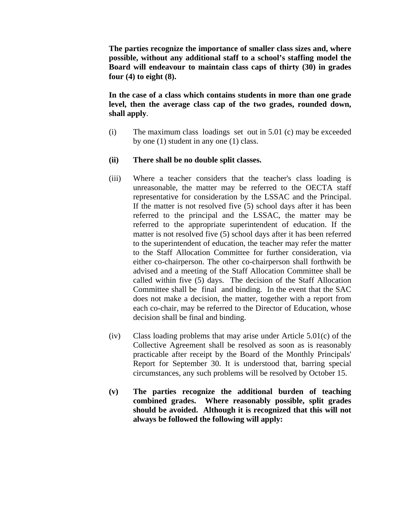**The parties recognize the importance of smaller class sizes and, where possible, without any additional staff to a school's staffing model the Board will endeavour to maintain class caps of thirty (30) in grades four (4) to eight (8).** 

**In the case of a class which contains students in more than one grade level, then the average class cap of the two grades, rounded down, shall apply**.

- (i) The maximum class loadings set out in 5.01 (c) may be exceeded by one (1) student in any one (1) class.
- **(ii) There shall be no double split classes.**
- (iii) Where a teacher considers that the teacher's class loading is unreasonable, the matter may be referred to the OECTA staff representative for consideration by the LSSAC and the Principal. If the matter is not resolved five (5) school days after it has been referred to the principal and the LSSAC, the matter may be referred to the appropriate superintendent of education. If the matter is not resolved five (5) school days after it has been referred to the superintendent of education, the teacher may refer the matter to the Staff Allocation Committee for further consideration, via either co-chairperson. The other co-chairperson shall forthwith be advised and a meeting of the Staff Allocation Committee shall be called within five (5) days. The decision of the Staff Allocation Committee shall be final and binding. In the event that the SAC does not make a decision, the matter, together with a report from each co-chair, may be referred to the Director of Education, whose decision shall be final and binding.
- (iv) Class loading problems that may arise under Article 5.01(c) of the Collective Agreement shall be resolved as soon as is reasonably practicable after receipt by the Board of the Monthly Principals' Report for September 30. It is understood that, barring special circumstances, any such problems will be resolved by October 15.
- **(v) The parties recognize the additional burden of teaching combined grades. Where reasonably possible, split grades should be avoided. Although it is recognized that this will not always be followed the following will apply:**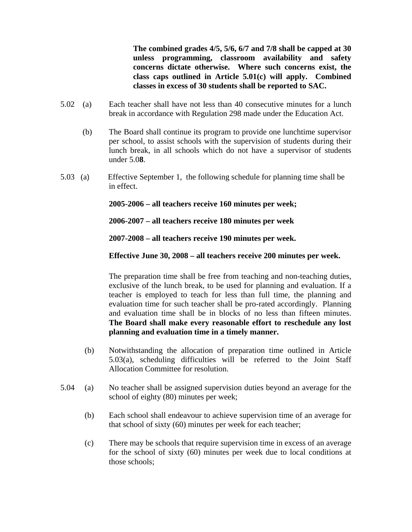**The combined grades 4/5, 5/6, 6/7 and 7/8 shall be capped at 30 unless programming, classroom availability and safety concerns dictate otherwise. Where such concerns exist, the class caps outlined in Article 5.01(c) will apply. Combined classes in excess of 30 students shall be reported to SAC.** 

- 5.02 (a) Each teacher shall have not less than 40 consecutive minutes for a lunch break in accordance with Regulation 298 made under the Education Act.
	- (b) The Board shall continue its program to provide one lunchtime supervisor per school, to assist schools with the supervision of students during their lunch break, in all schools which do not have a supervisor of students under 5.0**8**.
- 5.03 (a) Effective September 1, the following schedule for planning time shall be in effect.

**2005-2006 – all teachers receive 160 minutes per week;** 

**2006-2007 – all teachers receive 180 minutes per week** 

**2007-2008 – all teachers receive 190 minutes per week.** 

**Effective June 30, 2008 – all teachers receive 200 minutes per week.** 

The preparation time shall be free from teaching and non-teaching duties, exclusive of the lunch break, to be used for planning and evaluation. If a teacher is employed to teach for less than full time, the planning and evaluation time for such teacher shall be pro-rated accordingly. Planning and evaluation time shall be in blocks of no less than fifteen minutes. **The Board shall make every reasonable effort to reschedule any lost planning and evaluation time in a timely manner.** 

- (b) Notwithstanding the allocation of preparation time outlined in Article 5.03(a), scheduling difficulties will be referred to the Joint Staff Allocation Committee for resolution.
- 5.04 (a) No teacher shall be assigned supervision duties beyond an average for the school of eighty (80) minutes per week;
	- (b) Each school shall endeavour to achieve supervision time of an average for that school of sixty (60) minutes per week for each teacher;
	- (c) There may be schools that require supervision time in excess of an average for the school of sixty (60) minutes per week due to local conditions at those schools;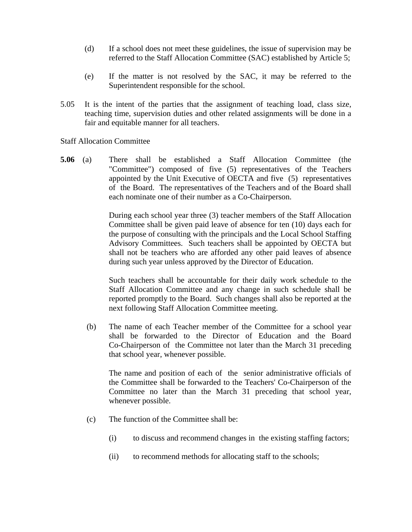- (d) If a school does not meet these guidelines, the issue of supervision may be referred to the Staff Allocation Committee (SAC) established by Article 5;
- (e) If the matter is not resolved by the SAC, it may be referred to the Superintendent responsible for the school.
- 5.05 It is the intent of the parties that the assignment of teaching load, class size, teaching time, supervision duties and other related assignments will be done in a fair and equitable manner for all teachers.

Staff Allocation Committee

**5.06** (a) There shall be established a Staff Allocation Committee (the "Committee") composed of five (5) representatives of the Teachers appointed by the Unit Executive of OECTA and five (5) representatives of the Board. The representatives of the Teachers and of the Board shall each nominate one of their number as a Co-Chairperson.

> During each school year three (3) teacher members of the Staff Allocation Committee shall be given paid leave of absence for ten (10) days each for the purpose of consulting with the principals and the Local School Staffing Advisory Committees. Such teachers shall be appointed by OECTA but shall not be teachers who are afforded any other paid leaves of absence during such year unless approved by the Director of Education.

> Such teachers shall be accountable for their daily work schedule to the Staff Allocation Committee and any change in such schedule shall be reported promptly to the Board. Such changes shall also be reported at the next following Staff Allocation Committee meeting.

 (b) The name of each Teacher member of the Committee for a school year shall be forwarded to the Director of Education and the Board Co-Chairperson of the Committee not later than the March 31 preceding that school year, whenever possible.

The name and position of each of the senior administrative officials of the Committee shall be forwarded to the Teachers' Co-Chairperson of the Committee no later than the March 31 preceding that school year, whenever possible.

- (c) The function of the Committee shall be:
	- (i) to discuss and recommend changes in the existing staffing factors;
	- (ii) to recommend methods for allocating staff to the schools;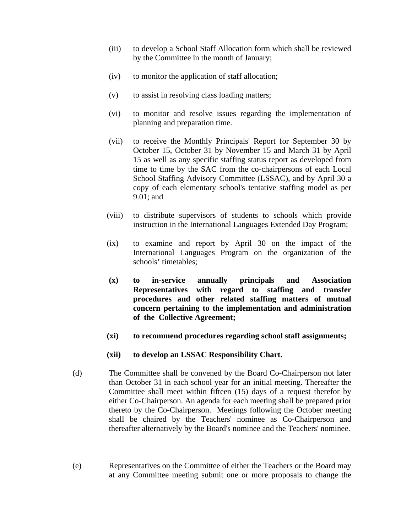- (iii) to develop a School Staff Allocation form which shall be reviewed by the Committee in the month of January;
- (iv) to monitor the application of staff allocation;
- (v) to assist in resolving class loading matters;
- (vi) to monitor and resolve issues regarding the implementation of planning and preparation time.
- (vii) to receive the Monthly Principals' Report for September 30 by October 15, October 31 by November 15 and March 31 by April 15 as well as any specific staffing status report as developed from time to time by the SAC from the co-chairpersons of each Local School Staffing Advisory Committee (LSSAC), and by April 30 a copy of each elementary school's tentative staffing model as per 9.01; and
- (viii) to distribute supervisors of students to schools which provide instruction in the International Languages Extended Day Program;
- (ix) to examine and report by April 30 on the impact of the International Languages Program on the organization of the schools' timetables;
- **(x) to in-service annually principals and Association Representatives with regard to staffing and transfer procedures and other related staffing matters of mutual concern pertaining to the implementation and administration of the Collective Agreement;**
- **(xi) to recommend procedures regarding school staff assignments;**
- **(xii) to develop an LSSAC Responsibility Chart.**
- (d) The Committee shall be convened by the Board Co-Chairperson not later than October 31 in each school year for an initial meeting. Thereafter the Committee shall meet within fifteen (15) days of a request therefor by either Co-Chairperson. An agenda for each meeting shall be prepared prior thereto by the Co-Chairperson. Meetings following the October meeting shall be chaired by the Teachers' nominee as Co-Chairperson and thereafter alternatively by the Board's nominee and the Teachers' nominee.
- (e) Representatives on the Committee of either the Teachers or the Board may at any Committee meeting submit one or more proposals to change the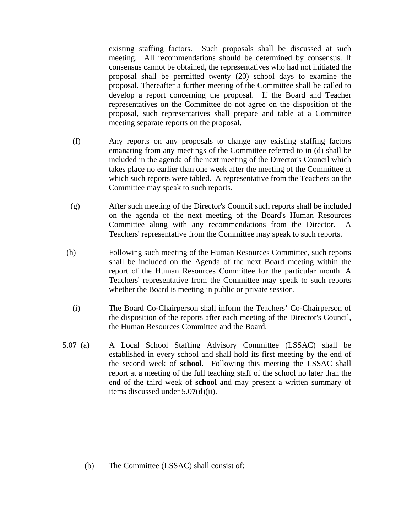existing staffing factors. Such proposals shall be discussed at such meeting. All recommendations should be determined by consensus. If consensus cannot be obtained, the representatives who had not initiated the proposal shall be permitted twenty (20) school days to examine the proposal. Thereafter a further meeting of the Committee shall be called to develop a report concerning the proposal. If the Board and Teacher representatives on the Committee do not agree on the disposition of the proposal, such representatives shall prepare and table at a Committee meeting separate reports on the proposal.

- (f) Any reports on any proposals to change any existing staffing factors emanating from any meetings of the Committee referred to in (d) shall be included in the agenda of the next meeting of the Director's Council which takes place no earlier than one week after the meeting of the Committee at which such reports were tabled. A representative from the Teachers on the Committee may speak to such reports.
- (g) After such meeting of the Director's Council such reports shall be included on the agenda of the next meeting of the Board's Human Resources Committee along with any recommendations from the Director. Teachers' representative from the Committee may speak to such reports.
- (h) Following such meeting of the Human Resources Committee, such reports shall be included on the Agenda of the next Board meeting within the report of the Human Resources Committee for the particular month. A Teachers' representative from the Committee may speak to such reports whether the Board is meeting in public or private session.
	- (i) The Board Co-Chairperson shall inform the Teachers' Co-Chairperson of the disposition of the reports after each meeting of the Director's Council, the Human Resources Committee and the Board.
- 5.0**7** (a) A Local School Staffing Advisory Committee (LSSAC) shall be established in every school and shall hold its first meeting by the end of the second week of **school**. Following this meeting the LSSAC shall report at a meeting of the full teaching staff of the school no later than the end of the third week of **school** and may present a written summary of items discussed under 5.0**7**(d)(ii).

(b) The Committee (LSSAC) shall consist of: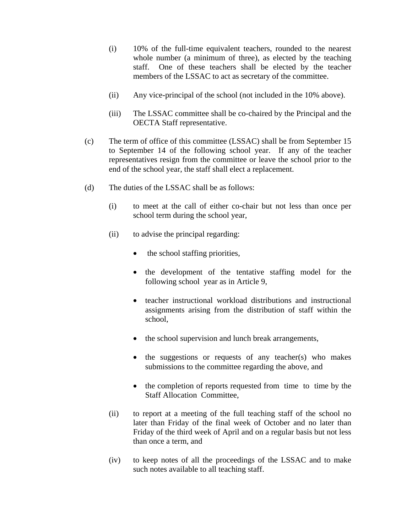- (i) 10% of the full-time equivalent teachers, rounded to the nearest whole number (a minimum of three), as elected by the teaching staff. One of these teachers shall be elected by the teacher members of the LSSAC to act as secretary of the committee.
- (ii) Any vice-principal of the school (not included in the 10% above).
- (iii) The LSSAC committee shall be co-chaired by the Principal and the OECTA Staff representative.
- (c) The term of office of this committee (LSSAC) shall be from September 15 to September 14 of the following school year. If any of the teacher representatives resign from the committee or leave the school prior to the end of the school year, the staff shall elect a replacement.
- (d) The duties of the LSSAC shall be as follows:
	- (i) to meet at the call of either co-chair but not less than once per school term during the school year,
	- (ii) to advise the principal regarding:
		- the school staffing priorities,
		- the development of the tentative staffing model for the following school year as in Article 9,
		- teacher instructional workload distributions and instructional assignments arising from the distribution of staff within the school,
		- the school supervision and lunch break arrangements,
		- the suggestions or requests of any teacher(s) who makes submissions to the committee regarding the above, and
		- the completion of reports requested from time to time by the Staff Allocation Committee,
	- (ii) to report at a meeting of the full teaching staff of the school no later than Friday of the final week of October and no later than Friday of the third week of April and on a regular basis but not less than once a term, and
	- (iv) to keep notes of all the proceedings of the LSSAC and to make such notes available to all teaching staff.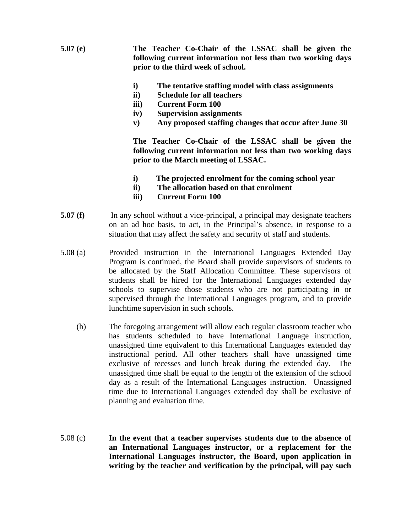- **5.07 (e) The Teacher Co-Chair of the LSSAC shall be given the following current information not less than two working days prior to the third week of school.** 
	- **i) The tentative staffing model with class assignments**
	- **ii) Schedule for all teachers**
	- **iii) Current Form 100**
	- **iv) Supervision assignments**
	- **v) Any proposed staffing changes that occur after June 30**

 **The Teacher Co-Chair of the LSSAC shall be given the following current information not less than two working days prior to the March meeting of LSSAC.** 

- **i) The projected enrolment for the coming school year**
- **ii) The allocation based on that enrolment**
- **iii) Current Form 100**
- **5.07 (f)** In any school without a vice-principal, a principal may designate teachers on an ad hoc basis, to act, in the Principal's absence, in response to a situation that may affect the safety and security of staff and students.
- 5.0**8** (a) Provided instruction in the International Languages Extended Day Program is continued, the Board shall provide supervisors of students to be allocated by the Staff Allocation Committee. These supervisors of students shall be hired for the International Languages extended day schools to supervise those students who are not participating in or supervised through the International Languages program, and to provide lunchtime supervision in such schools.
	- (b) The foregoing arrangement will allow each regular classroom teacher who has students scheduled to have International Language instruction, unassigned time equivalent to this International Languages extended day instructional period. All other teachers shall have unassigned time exclusive of recesses and lunch break during the extended day. The unassigned time shall be equal to the length of the extension of the school day as a result of the International Languages instruction. Unassigned time due to International Languages extended day shall be exclusive of planning and evaluation time.
- 5.08 (c) **In the event that a teacher supervises students due to the absence of an International Languages instructor, or a replacement for the International Languages instructor, the Board, upon application in writing by the teacher and verification by the principal, will pay such**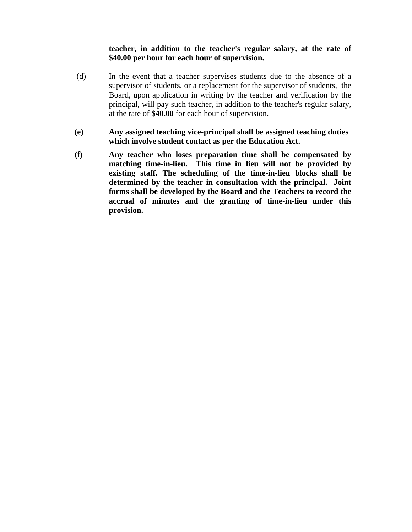#### **teacher, in addition to the teacher's regular salary, at the rate of \$40.00 per hour for each hour of supervision.**

- (d) In the event that a teacher supervises students due to the absence of a supervisor of students, or a replacement for the supervisor of students, the Board, upon application in writing by the teacher and verification by the principal, will pay such teacher, in addition to the teacher's regular salary, at the rate of **\$40.00** for each hour of supervision.
- **(e) Any assigned teaching vice-principal shall be assigned teaching duties which involve student contact as per the Education Act.**
- **(f) Any teacher who loses preparation time shall be compensated by matching time-in-lieu. This time in lieu will not be provided by existing staff. The scheduling of the time-in-lieu blocks shall be determined by the teacher in consultation with the principal. Joint forms shall be developed by the Board and the Teachers to record the accrual of minutes and the granting of time-in-lieu under this provision.**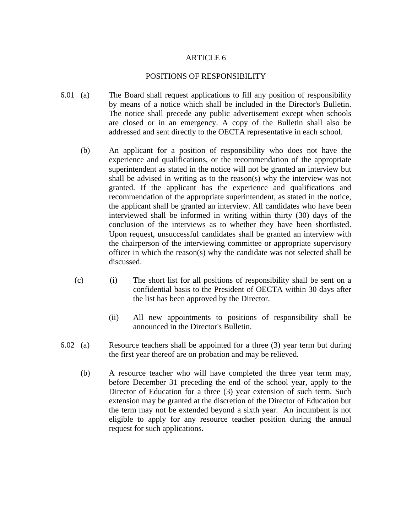#### POSITIONS OF RESPONSIBILITY

- 6.01 (a) The Board shall request applications to fill any position of responsibility by means of a notice which shall be included in the Director's Bulletin. The notice shall precede any public advertisement except when schools are closed or in an emergency. A copy of the Bulletin shall also be addressed and sent directly to the OECTA representative in each school.
	- (b) An applicant for a position of responsibility who does not have the experience and qualifications, or the recommendation of the appropriate superintendent as stated in the notice will not be granted an interview but shall be advised in writing as to the reason(s) why the interview was not granted. If the applicant has the experience and qualifications and recommendation of the appropriate superintendent, as stated in the notice, the applicant shall be granted an interview. All candidates who have been interviewed shall be informed in writing within thirty (30) days of the conclusion of the interviews as to whether they have been shortlisted. Upon request, unsuccessful candidates shall be granted an interview with the chairperson of the interviewing committee or appropriate supervisory officer in which the reason(s) why the candidate was not selected shall be discussed.
	- (c) (i) The short list for all positions of responsibility shall be sent on a confidential basis to the President of OECTA within 30 days after the list has been approved by the Director.
		- (ii) All new appointments to positions of responsibility shall be announced in the Director's Bulletin.
- 6.02 (a) Resource teachers shall be appointed for a three (3) year term but during the first year thereof are on probation and may be relieved.
	- (b) A resource teacher who will have completed the three year term may, before December 31 preceding the end of the school year, apply to the Director of Education for a three (3) year extension of such term. Such extension may be granted at the discretion of the Director of Education but the term may not be extended beyond a sixth year. An incumbent is not eligible to apply for any resource teacher position during the annual request for such applications.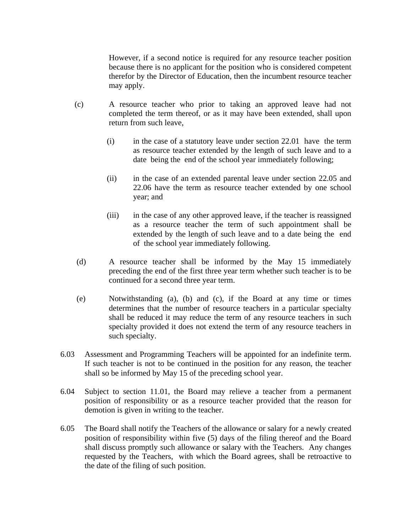However, if a second notice is required for any resource teacher position because there is no applicant for the position who is considered competent therefor by the Director of Education, then the incumbent resource teacher may apply.

- (c) A resource teacher who prior to taking an approved leave had not completed the term thereof, or as it may have been extended, shall upon return from such leave,
	- (i) in the case of a statutory leave under section 22.01 have the term as resource teacher extended by the length of such leave and to a date being the end of the school year immediately following;
	- (ii) in the case of an extended parental leave under section 22.05 and 22.06 have the term as resource teacher extended by one school year; and
	- (iii) in the case of any other approved leave, if the teacher is reassigned as a resource teacher the term of such appointment shall be extended by the length of such leave and to a date being the end of the school year immediately following.
	- (d) A resource teacher shall be informed by the May 15 immediately preceding the end of the first three year term whether such teacher is to be continued for a second three year term.
	- (e) Notwithstanding (a), (b) and (c), if the Board at any time or times determines that the number of resource teachers in a particular specialty shall be reduced it may reduce the term of any resource teachers in such specialty provided it does not extend the term of any resource teachers in such specialty.
- 6.03 Assessment and Programming Teachers will be appointed for an indefinite term. If such teacher is not to be continued in the position for any reason, the teacher shall so be informed by May 15 of the preceding school year.
- 6.04 Subject to section 11.01, the Board may relieve a teacher from a permanent position of responsibility or as a resource teacher provided that the reason for demotion is given in writing to the teacher.
- 6.05 The Board shall notify the Teachers of the allowance or salary for a newly created position of responsibility within five (5) days of the filing thereof and the Board shall discuss promptly such allowance or salary with the Teachers. Any changes requested by the Teachers, with which the Board agrees, shall be retroactive to the date of the filing of such position.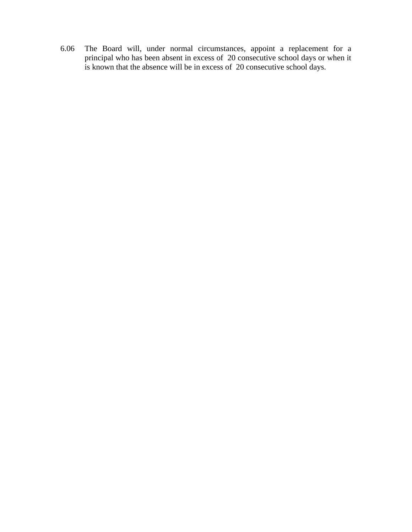6.06 The Board will, under normal circumstances, appoint a replacement for a principal who has been absent in excess of 20 consecutive school days or when it is known that the absence will be in excess of 20 consecutive school days.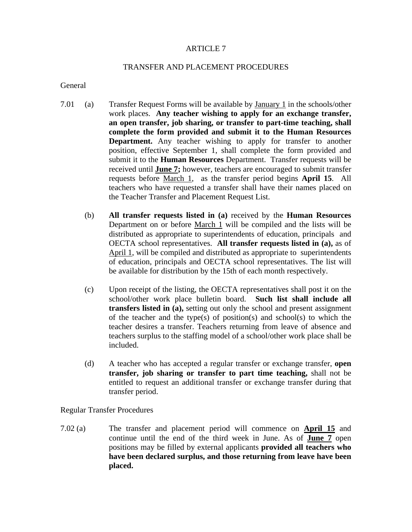#### TRANSFER AND PLACEMENT PROCEDURES

#### **General**

- 7.01 (a) Transfer Request Forms will be available by January 1 in the schools/other work places. **Any teacher wishing to apply for an exchange transfer, an open transfer, job sharing, or transfer to part-time teaching, shall complete the form provided and submit it to the Human Resources Department.** Any teacher wishing to apply for transfer to another position, effective September 1, shall complete the form provided and submit it to the **Human Resources** Department. Transfer requests will be received until **June 7;** however, teachers are encouraged to submit transfer requests before March 1, as the transfer period begins **April 15**. All teachers who have requested a transfer shall have their names placed on the Teacher Transfer and Placement Request List.
	- (b) **All transfer requests listed in (a)** received by the **Human Resources** Department on or before March 1 will be compiled and the lists will be distributed as appropriate to superintendents of education, principals and OECTA school representatives. **All transfer requests listed in (a),** as of April 1, will be compiled and distributed as appropriate to superintendents of education, principals and OECTA school representatives. The list will be available for distribution by the 15th of each month respectively.
	- (c) Upon receipt of the listing, the OECTA representatives shall post it on the school/other work place bulletin board. **Such list shall include all transfers listed in (a),** setting out only the school and present assignment of the teacher and the type(s) of position(s) and school(s) to which the teacher desires a transfer. Teachers returning from leave of absence and teachers surplus to the staffing model of a school/other work place shall be included.
	- (d) A teacher who has accepted a regular transfer or exchange transfer, **open transfer, job sharing or transfer to part time teaching,** shall not be entitled to request an additional transfer or exchange transfer during that transfer period.

Regular Transfer Procedures

7.02 (a) The transfer and placement period will commence on **April 15** and continue until the end of the third week in June. As of **June 7** open positions may be filled by external applicants **provided all teachers who have been declared surplus, and those returning from leave have been placed.**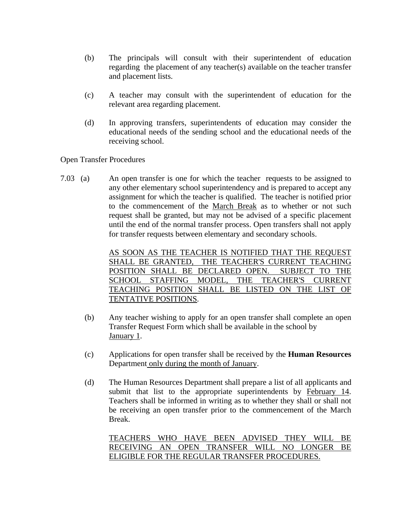- (b) The principals will consult with their superintendent of education regarding the placement of any teacher(s) available on the teacher transfer and placement lists.
- (c) A teacher may consult with the superintendent of education for the relevant area regarding placement.
- (d) In approving transfers, superintendents of education may consider the educational needs of the sending school and the educational needs of the receiving school.

Open Transfer Procedures

7.03 (a) An open transfer is one for which the teacher requests to be assigned to any other elementary school superintendency and is prepared to accept any assignment for which the teacher is qualified. The teacher is notified prior to the commencement of the March Break as to whether or not such request shall be granted, but may not be advised of a specific placement until the end of the normal transfer process. Open transfers shall not apply for transfer requests between elementary and secondary schools.

> AS SOON AS THE TEACHER IS NOTIFIED THAT THE REQUEST SHALL BE GRANTED, THE TEACHER'S CURRENT TEACHING POSITION SHALL BE DECLARED OPEN. SUBJECT TO THE SCHOOL STAFFING MODEL, THE TEACHER'S CURRENT TEACHING POSITION SHALL BE LISTED ON THE LIST OF TENTATIVE POSITIONS.

- (b) Any teacher wishing to apply for an open transfer shall complete an open Transfer Request Form which shall be available in the school by January 1.
- (c) Applications for open transfer shall be received by the **Human Resources** Department only during the month of January.
- (d) The Human Resources Department shall prepare a list of all applicants and submit that list to the appropriate superintendents by February 14. Teachers shall be informed in writing as to whether they shall or shall not be receiving an open transfer prior to the commencement of the March Break.

TEACHERS WHO HAVE BEEN ADVISED THEY WILL BE RECEIVING AN OPEN TRANSFER WILL NO LONGER BE ELIGIBLE FOR THE REGULAR TRANSFER PROCEDURES.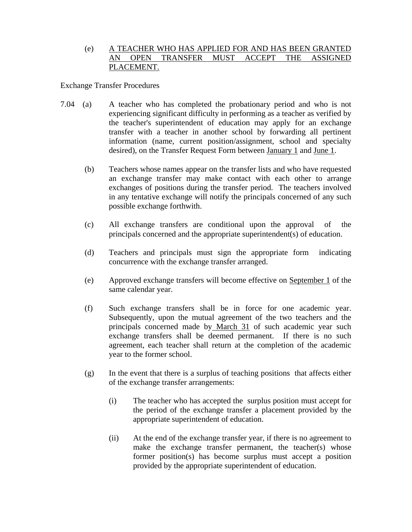### (e) A TEACHER WHO HAS APPLIED FOR AND HAS BEEN GRANTED AN OPEN TRANSFER MUST ACCEPT THE ASSIGNED PLACEMENT.

Exchange Transfer Procedures

- 7.04 (a) A teacher who has completed the probationary period and who is not experiencing significant difficulty in performing as a teacher as verified by the teacher's superintendent of education may apply for an exchange transfer with a teacher in another school by forwarding all pertinent information (name, current position/assignment, school and specialty desired), on the Transfer Request Form between January 1 and June 1.
	- (b) Teachers whose names appear on the transfer lists and who have requested an exchange transfer may make contact with each other to arrange exchanges of positions during the transfer period. The teachers involved in any tentative exchange will notify the principals concerned of any such possible exchange forthwith.
	- (c) All exchange transfers are conditional upon the approval of the principals concerned and the appropriate superintendent(s) of education.
	- (d) Teachers and principals must sign the appropriate form indicating concurrence with the exchange transfer arranged.
	- (e) Approved exchange transfers will become effective on September 1 of the same calendar year.
	- (f) Such exchange transfers shall be in force for one academic year. Subsequently, upon the mutual agreement of the two teachers and the principals concerned made by March 31 of such academic year such exchange transfers shall be deemed permanent. If there is no such agreement, each teacher shall return at the completion of the academic year to the former school.
	- (g) In the event that there is a surplus of teaching positions that affects either of the exchange transfer arrangements:
		- (i) The teacher who has accepted the surplus position must accept for the period of the exchange transfer a placement provided by the appropriate superintendent of education.
		- (ii) At the end of the exchange transfer year, if there is no agreement to make the exchange transfer permanent, the teacher(s) whose former position(s) has become surplus must accept a position provided by the appropriate superintendent of education.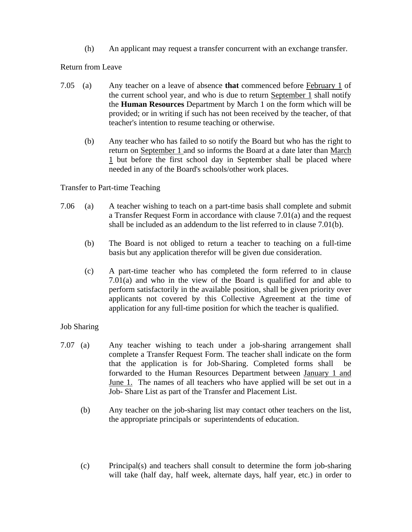(h) An applicant may request a transfer concurrent with an exchange transfer.

Return from Leave

- 7.05 (a) Any teacher on a leave of absence **that** commenced before February 1 of the current school year, and who is due to return September 1 shall notify the **Human Resources** Department by March 1 on the form which will be provided; or in writing if such has not been received by the teacher, of that teacher's intention to resume teaching or otherwise.
	- (b) Any teacher who has failed to so notify the Board but who has the right to return on September 1 and so informs the Board at a date later than March 1 but before the first school day in September shall be placed where needed in any of the Board's schools/other work places.

Transfer to Part-time Teaching

- 7.06 (a) A teacher wishing to teach on a part-time basis shall complete and submit a Transfer Request Form in accordance with clause 7.01(a) and the request shall be included as an addendum to the list referred to in clause 7.01(b).
	- (b) The Board is not obliged to return a teacher to teaching on a full-time basis but any application therefor will be given due consideration.
	- (c) A part-time teacher who has completed the form referred to in clause 7.01(a) and who in the view of the Board is qualified for and able to perform satisfactorily in the available position, shall be given priority over applicants not covered by this Collective Agreement at the time of application for any full-time position for which the teacher is qualified.

## Job Sharing

- 7.07 (a) Any teacher wishing to teach under a job-sharing arrangement shall complete a Transfer Request Form. The teacher shall indicate on the form that the application is for Job-Sharing. Completed forms shall be forwarded to the Human Resources Department between January 1 and June 1. The names of all teachers who have applied will be set out in a Job- Share List as part of the Transfer and Placement List.
	- (b) Any teacher on the job-sharing list may contact other teachers on the list, the appropriate principals or superintendents of education.
	- (c) Principal(s) and teachers shall consult to determine the form job-sharing will take (half day, half week, alternate days, half year, etc.) in order to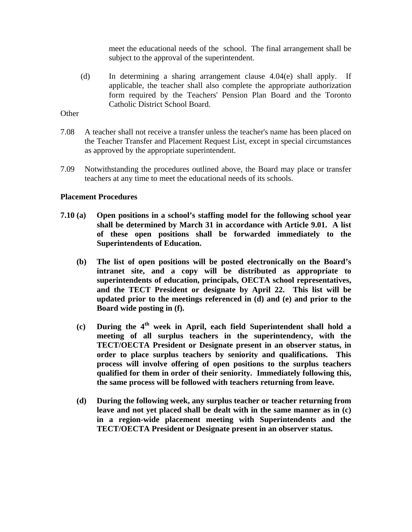meet the educational needs of the school. The final arrangement shall be subject to the approval of the superintendent.

 (d) In determining a sharing arrangement clause 4.04(e) shall apply. If applicable, the teacher shall also complete the appropriate authorization form required by the Teachers' Pension Plan Board and the Toronto Catholic District School Board.

**Other** 

- 7.08 A teacher shall not receive a transfer unless the teacher's name has been placed on the Teacher Transfer and Placement Request List, except in special circumstances as approved by the appropriate superintendent.
- 7.09 Notwithstanding the procedures outlined above, the Board may place or transfer teachers at any time to meet the educational needs of its schools.

### **Placement Procedures**

- **7.10 (a) Open positions in a school's staffing model for the following school year shall be determined by March 31 in accordance with Article 9.01. A list of these open positions shall be forwarded immediately to the Superintendents of Education.** 
	- **(b) The list of open positions will be posted electronically on the Board's intranet site, and a copy will be distributed as appropriate to superintendents of education, principals, OECTA school representatives, and the TECT President or designate by April 22. This list will be updated prior to the meetings referenced in (d) and (e) and prior to the Board wide posting in (f).**
	- **(c) During the 4th week in April, each field Superintendent shall hold a meeting of all surplus teachers in the superintendency, with the TECT/OECTA President or Designate present in an observer status, in order to place surplus teachers by seniority and qualifications. This process will involve offering of open positions to the surplus teachers qualified for them in order of their seniority. Immediately following this, the same process will be followed with teachers returning from leave.**
	- **(d) During the following week, any surplus teacher or teacher returning from leave and not yet placed shall be dealt with in the same manner as in (c) in a region-wide placement meeting with Superintendents and the TECT/OECTA President or Designate present in an observer status.**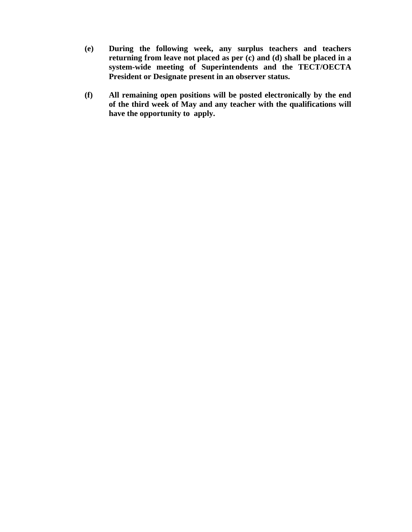- **(e) During the following week, any surplus teachers and teachers returning from leave not placed as per (c) and (d) shall be placed in a system-wide meeting of Superintendents and the TECT/OECTA President or Designate present in an observer status.**
- **(f) All remaining open positions will be posted electronically by the end of the third week of May and any teacher with the qualifications will have the opportunity to apply.**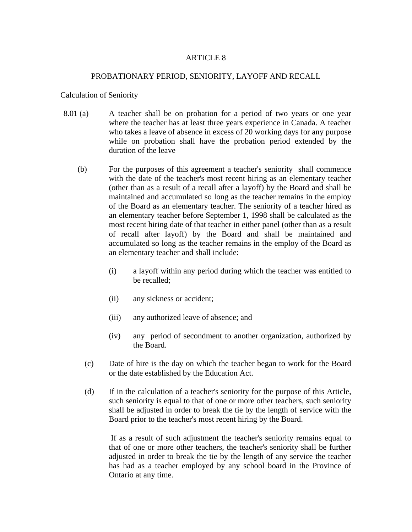#### PROBATIONARY PERIOD, SENIORITY, LAYOFF AND RECALL

#### Calculation of Seniority

- 8.01 (a) A teacher shall be on probation for a period of two years or one year where the teacher has at least three years experience in Canada. A teacher who takes a leave of absence in excess of 20 working days for any purpose while on probation shall have the probation period extended by the duration of the leave
	- (b) For the purposes of this agreement a teacher's seniority shall commence with the date of the teacher's most recent hiring as an elementary teacher (other than as a result of a recall after a layoff) by the Board and shall be maintained and accumulated so long as the teacher remains in the employ of the Board as an elementary teacher. The seniority of a teacher hired as an elementary teacher before September 1, 1998 shall be calculated as the most recent hiring date of that teacher in either panel (other than as a result of recall after layoff) by the Board and shall be maintained and accumulated so long as the teacher remains in the employ of the Board as an elementary teacher and shall include:
		- (i) a layoff within any period during which the teacher was entitled to be recalled;
		- (ii) any sickness or accident;
		- (iii) any authorized leave of absence; and
		- (iv) any period of secondment to another organization, authorized by the Board.
		- (c) Date of hire is the day on which the teacher began to work for the Board or the date established by the Education Act.
		- (d) If in the calculation of a teacher's seniority for the purpose of this Article, such seniority is equal to that of one or more other teachers, such seniority shall be adjusted in order to break the tie by the length of service with the Board prior to the teacher's most recent hiring by the Board.

If as a result of such adjustment the teacher's seniority remains equal to that of one or more other teachers, the teacher's seniority shall be further adjusted in order to break the tie by the length of any service the teacher has had as a teacher employed by any school board in the Province of Ontario at any time.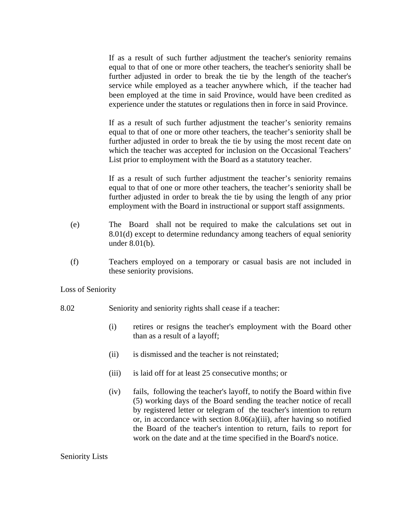If as a result of such further adjustment the teacher's seniority remains equal to that of one or more other teachers, the teacher's seniority shall be further adjusted in order to break the tie by the length of the teacher's service while employed as a teacher anywhere which, if the teacher had been employed at the time in said Province, would have been credited as experience under the statutes or regulations then in force in said Province.

If as a result of such further adjustment the teacher's seniority remains equal to that of one or more other teachers, the teacher's seniority shall be further adjusted in order to break the tie by using the most recent date on which the teacher was accepted for inclusion on the Occasional Teachers' List prior to employment with the Board as a statutory teacher.

If as a result of such further adjustment the teacher's seniority remains equal to that of one or more other teachers, the teacher's seniority shall be further adjusted in order to break the tie by using the length of any prior employment with the Board in instructional or support staff assignments.

- (e) The Board shall not be required to make the calculations set out in 8.01(d) except to determine redundancy among teachers of equal seniority under 8.01(b).
- (f) Teachers employed on a temporary or casual basis are not included in these seniority provisions.

Loss of Seniority

- 8.02 Seniority and seniority rights shall cease if a teacher:
	- (i) retires or resigns the teacher's employment with the Board other than as a result of a layoff;
	- (ii) is dismissed and the teacher is not reinstated;
	- (iii) is laid off for at least 25 consecutive months; or
	- (iv) fails, following the teacher's layoff, to notify the Board within five (5) working days of the Board sending the teacher notice of recall by registered letter or telegram of the teacher's intention to return or, in accordance with section 8.06(a)(iii), after having so notified the Board of the teacher's intention to return, fails to report for work on the date and at the time specified in the Board's notice.

Seniority Lists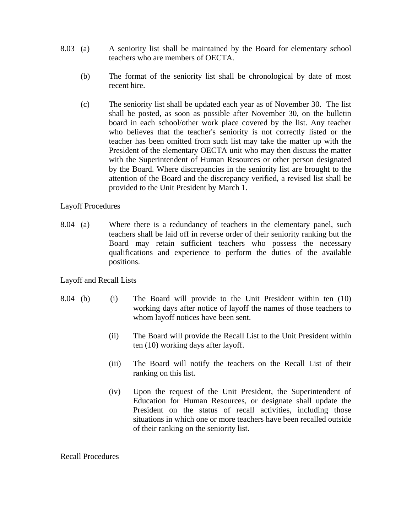- 8.03 (a) A seniority list shall be maintained by the Board for elementary school teachers who are members of OECTA.
	- (b) The format of the seniority list shall be chronological by date of most recent hire.
	- (c) The seniority list shall be updated each year as of November 30. The list shall be posted, as soon as possible after November 30, on the bulletin board in each school/other work place covered by the list. Any teacher who believes that the teacher's seniority is not correctly listed or the teacher has been omitted from such list may take the matter up with the President of the elementary OECTA unit who may then discuss the matter with the Superintendent of Human Resources or other person designated by the Board. Where discrepancies in the seniority list are brought to the attention of the Board and the discrepancy verified, a revised list shall be provided to the Unit President by March 1.

# Layoff Procedures

8.04 (a) Where there is a redundancy of teachers in the elementary panel, such teachers shall be laid off in reverse order of their seniority ranking but the Board may retain sufficient teachers who possess the necessary qualifications and experience to perform the duties of the available positions.

Layoff and Recall Lists

- 8.04 (b) (i) The Board will provide to the Unit President within ten (10) working days after notice of layoff the names of those teachers to whom layoff notices have been sent.
	- (ii) The Board will provide the Recall List to the Unit President within ten (10) working days after layoff.
	- (iii) The Board will notify the teachers on the Recall List of their ranking on this list.
	- (iv) Upon the request of the Unit President, the Superintendent of Education for Human Resources, or designate shall update the President on the status of recall activities, including those situations in which one or more teachers have been recalled outside of their ranking on the seniority list.

Recall Procedures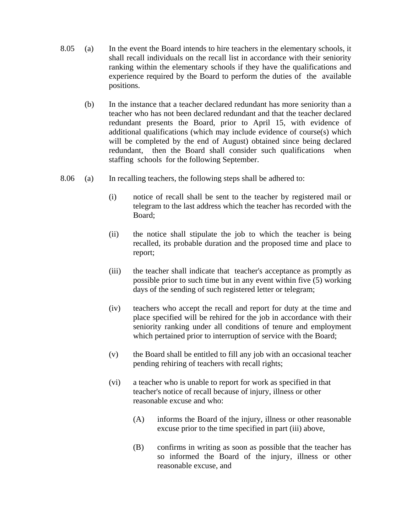- 8.05 (a) In the event the Board intends to hire teachers in the elementary schools, it shall recall individuals on the recall list in accordance with their seniority ranking within the elementary schools if they have the qualifications and experience required by the Board to perform the duties of the available positions.
	- (b) In the instance that a teacher declared redundant has more seniority than a teacher who has not been declared redundant and that the teacher declared redundant presents the Board, prior to April 15, with evidence of additional qualifications (which may include evidence of course(s) which will be completed by the end of August) obtained since being declared redundant, then the Board shall consider such qualifications when staffing schools for the following September.
- 8.06 (a) In recalling teachers, the following steps shall be adhered to:
	- (i) notice of recall shall be sent to the teacher by registered mail or telegram to the last address which the teacher has recorded with the Board;
	- (ii) the notice shall stipulate the job to which the teacher is being recalled, its probable duration and the proposed time and place to report;
	- (iii) the teacher shall indicate that teacher's acceptance as promptly as possible prior to such time but in any event within five (5) working days of the sending of such registered letter or telegram;
	- (iv) teachers who accept the recall and report for duty at the time and place specified will be rehired for the job in accordance with their seniority ranking under all conditions of tenure and employment which pertained prior to interruption of service with the Board;
	- (v) the Board shall be entitled to fill any job with an occasional teacher pending rehiring of teachers with recall rights;
	- (vi) a teacher who is unable to report for work as specified in that teacher's notice of recall because of injury, illness or other reasonable excuse and who:
		- (A) informs the Board of the injury, illness or other reasonable excuse prior to the time specified in part (iii) above,
		- (B) confirms in writing as soon as possible that the teacher has so informed the Board of the injury, illness or other reasonable excuse, and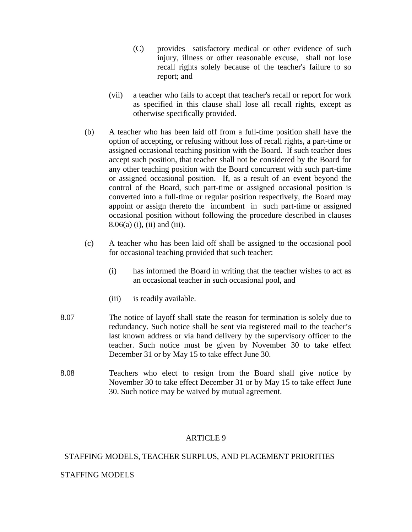- (C) provides satisfactory medical or other evidence of such injury, illness or other reasonable excuse, shall not lose recall rights solely because of the teacher's failure to so report; and
- (vii) a teacher who fails to accept that teacher's recall or report for work as specified in this clause shall lose all recall rights, except as otherwise specifically provided.
- (b) A teacher who has been laid off from a full-time position shall have the option of accepting, or refusing without loss of recall rights, a part-time or assigned occasional teaching position with the Board. If such teacher does accept such position, that teacher shall not be considered by the Board for any other teaching position with the Board concurrent with such part-time or assigned occasional position. If, as a result of an event beyond the control of the Board, such part-time or assigned occasional position is converted into a full-time or regular position respectively, the Board may appoint or assign thereto the incumbent in such part-time or assigned occasional position without following the procedure described in clauses 8.06(a) (i), (ii) and (iii).
- (c) A teacher who has been laid off shall be assigned to the occasional pool for occasional teaching provided that such teacher:
	- (i) has informed the Board in writing that the teacher wishes to act as an occasional teacher in such occasional pool, and
	- (iii) is readily available.
- 8.07 The notice of layoff shall state the reason for termination is solely due to redundancy. Such notice shall be sent via registered mail to the teacher's last known address or via hand delivery by the supervisory officer to the teacher. Such notice must be given by November 30 to take effect December 31 or by May 15 to take effect June 30.
- 8.08 Teachers who elect to resign from the Board shall give notice by November 30 to take effect December 31 or by May 15 to take effect June 30. Such notice may be waived by mutual agreement.

# STAFFING MODELS, TEACHER SURPLUS, AND PLACEMENT PRIORITIES

STAFFING MODELS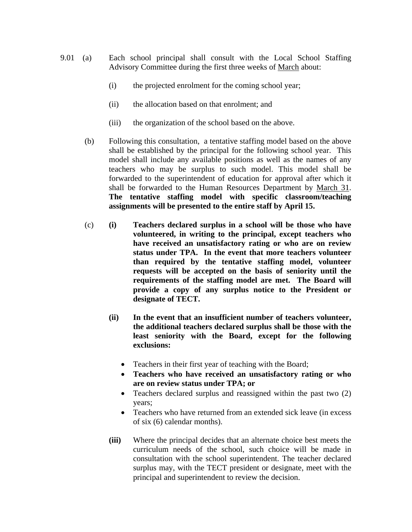- 9.01 (a) Each school principal shall consult with the Local School Staffing Advisory Committee during the first three weeks of March about:
	- (i) the projected enrolment for the coming school year;
	- (ii) the allocation based on that enrolment; and
	- (iii) the organization of the school based on the above.
	- (b) Following this consultation, a tentative staffing model based on the above shall be established by the principal for the following school year. This model shall include any available positions as well as the names of any teachers who may be surplus to such model. This model shall be forwarded to the superintendent of education for approval after which it shall be forwarded to the Human Resources Department by March 31. **The tentative staffing model with specific classroom/teaching assignments will be presented to the entire staff by April 15.**
	- (c) **(i) Teachers declared surplus in a school will be those who have volunteered, in writing to the principal, except teachers who have received an unsatisfactory rating or who are on review status under TPA. In the event that more teachers volunteer than required by the tentative staffing model, volunteer requests will be accepted on the basis of seniority until the requirements of the staffing model are met. The Board will provide a copy of any surplus notice to the President or designate of TECT.**
		- **(ii) In the event that an insufficient number of teachers volunteer, the additional teachers declared surplus shall be those with the least seniority with the Board, except for the following exclusions:** 
			- Teachers in their first year of teaching with the Board;
			- **Teachers who have received an unsatisfactory rating or who are on review status under TPA; or**
			- Teachers declared surplus and reassigned within the past two  $(2)$ years;
			- Teachers who have returned from an extended sick leave (in excess of six (6) calendar months).
		- **(iii)** Where the principal decides that an alternate choice best meets the curriculum needs of the school, such choice will be made in consultation with the school superintendent. The teacher declared surplus may, with the TECT president or designate, meet with the principal and superintendent to review the decision.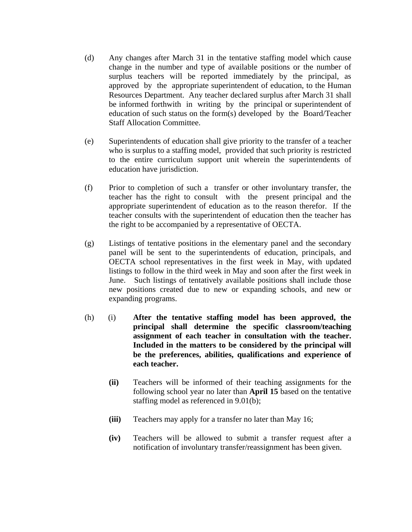- (d) Any changes after March 31 in the tentative staffing model which cause change in the number and type of available positions or the number of surplus teachers will be reported immediately by the principal, as approved by the appropriate superintendent of education, to the Human Resources Department. Any teacher declared surplus after March 31 shall be informed forthwith in writing by the principal or superintendent of education of such status on the form(s) developed by the Board/Teacher Staff Allocation Committee.
- (e) Superintendents of education shall give priority to the transfer of a teacher who is surplus to a staffing model, provided that such priority is restricted to the entire curriculum support unit wherein the superintendents of education have jurisdiction.
- (f) Prior to completion of such a transfer or other involuntary transfer, the teacher has the right to consult with the present principal and the appropriate superintendent of education as to the reason therefor. If the teacher consults with the superintendent of education then the teacher has the right to be accompanied by a representative of OECTA.
- (g) Listings of tentative positions in the elementary panel and the secondary panel will be sent to the superintendents of education, principals, and OECTA school representatives in the first week in May, with updated listings to follow in the third week in May and soon after the first week in June. Such listings of tentatively available positions shall include those new positions created due to new or expanding schools, and new or expanding programs.
- (h) (i) **After the tentative staffing model has been approved, the principal shall determine the specific classroom/teaching assignment of each teacher in consultation with the teacher. Included in the matters to be considered by the principal will be the preferences, abilities, qualifications and experience of each teacher.** 
	- **(ii)** Teachers will be informed of their teaching assignments for the following school year no later than **April 15** based on the tentative staffing model as referenced in 9.01(b);
	- **(iii)** Teachers may apply for a transfer no later than May 16;
	- **(iv)** Teachers will be allowed to submit a transfer request after a notification of involuntary transfer/reassignment has been given.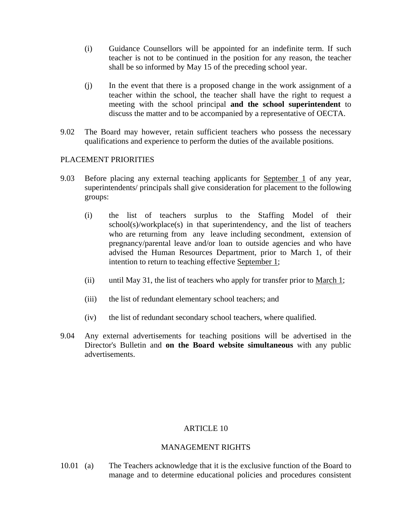- (i) Guidance Counsellors will be appointed for an indefinite term. If such teacher is not to be continued in the position for any reason, the teacher shall be so informed by May 15 of the preceding school year.
- (j) In the event that there is a proposed change in the work assignment of a teacher within the school, the teacher shall have the right to request a meeting with the school principal **and the school superintendent** to discuss the matter and to be accompanied by a representative of OECTA.
- 9.02 The Board may however, retain sufficient teachers who possess the necessary qualifications and experience to perform the duties of the available positions.

# PLACEMENT PRIORITIES

- 9.03 Before placing any external teaching applicants for September 1 of any year, superintendents/ principals shall give consideration for placement to the following groups:
	- (i) the list of teachers surplus to the Staffing Model of their school(s)/workplace(s) in that superintendency, and the list of teachers who are returning from any leave including secondment, extension of pregnancy/parental leave and/or loan to outside agencies and who have advised the Human Resources Department, prior to March 1, of their intention to return to teaching effective September 1;
	- (ii) until May 31, the list of teachers who apply for transfer prior to <u>March 1</u>;
	- (iii) the list of redundant elementary school teachers; and
	- (iv) the list of redundant secondary school teachers, where qualified.
- 9.04 Any external advertisements for teaching positions will be advertised in the Director's Bulletin and **on the Board website simultaneous** with any public advertisements.

# ARTICLE 10

# MANAGEMENT RIGHTS

10.01 (a) The Teachers acknowledge that it is the exclusive function of the Board to manage and to determine educational policies and procedures consistent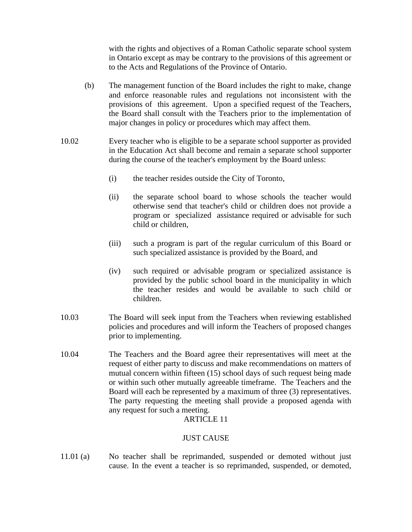with the rights and objectives of a Roman Catholic separate school system in Ontario except as may be contrary to the provisions of this agreement or to the Acts and Regulations of the Province of Ontario.

- (b) The management function of the Board includes the right to make, change and enforce reasonable rules and regulations not inconsistent with the provisions of this agreement. Upon a specified request of the Teachers, the Board shall consult with the Teachers prior to the implementation of major changes in policy or procedures which may affect them.
- 10.02 Every teacher who is eligible to be a separate school supporter as provided in the Education Act shall become and remain a separate school supporter during the course of the teacher's employment by the Board unless:
	- (i) the teacher resides outside the City of Toronto,
	- (ii) the separate school board to whose schools the teacher would otherwise send that teacher's child or children does not provide a program or specialized assistance required or advisable for such child or children,
	- (iii) such a program is part of the regular curriculum of this Board or such specialized assistance is provided by the Board, and
	- (iv) such required or advisable program or specialized assistance is provided by the public school board in the municipality in which the teacher resides and would be available to such child or children.
- 10.03 The Board will seek input from the Teachers when reviewing established policies and procedures and will inform the Teachers of proposed changes prior to implementing.
- 10.04 The Teachers and the Board agree their representatives will meet at the request of either party to discuss and make recommendations on matters of mutual concern within fifteen (15) school days of such request being made or within such other mutually agreeable timeframe. The Teachers and the Board will each be represented by a maximum of three (3) representatives. The party requesting the meeting shall provide a proposed agenda with any request for such a meeting.

# ARTICLE 11

# JUST CAUSE

11.01 (a) No teacher shall be reprimanded, suspended or demoted without just cause. In the event a teacher is so reprimanded, suspended, or demoted,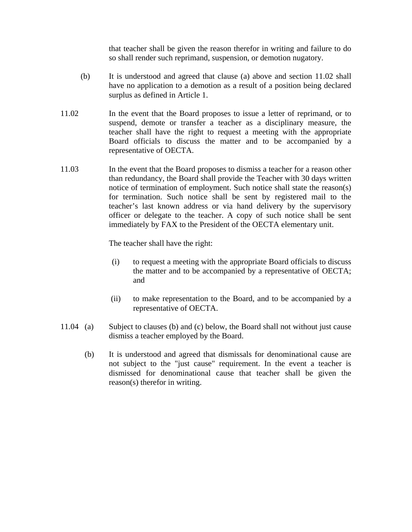that teacher shall be given the reason therefor in writing and failure to do so shall render such reprimand, suspension, or demotion nugatory.

- (b) It is understood and agreed that clause (a) above and section 11.02 shall have no application to a demotion as a result of a position being declared surplus as defined in Article 1.
- 11.02 In the event that the Board proposes to issue a letter of reprimand, or to suspend, demote or transfer a teacher as a disciplinary measure, the teacher shall have the right to request a meeting with the appropriate Board officials to discuss the matter and to be accompanied by a representative of OECTA.
- 11.03 In the event that the Board proposes to dismiss a teacher for a reason other than redundancy, the Board shall provide the Teacher with 30 days written notice of termination of employment. Such notice shall state the reason(s) for termination. Such notice shall be sent by registered mail to the teacher's last known address or via hand delivery by the supervisory officer or delegate to the teacher. A copy of such notice shall be sent immediately by FAX to the President of the OECTA elementary unit.

The teacher shall have the right:

- (i) to request a meeting with the appropriate Board officials to discuss the matter and to be accompanied by a representative of OECTA; and
- (ii) to make representation to the Board, and to be accompanied by a representative of OECTA.
- 11.04 (a) Subject to clauses (b) and (c) below, the Board shall not without just cause dismiss a teacher employed by the Board.
	- (b) It is understood and agreed that dismissals for denominational cause are not subject to the "just cause" requirement. In the event a teacher is dismissed for denominational cause that teacher shall be given the reason(s) therefor in writing.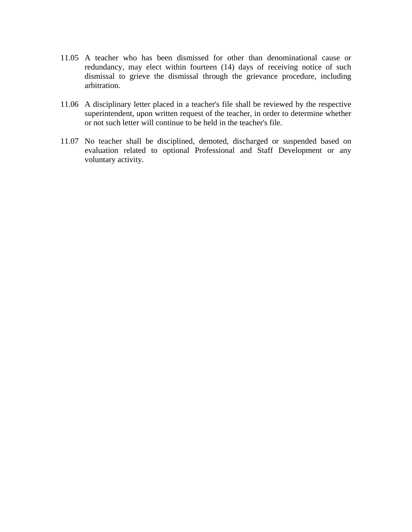- 11.05 A teacher who has been dismissed for other than denominational cause or redundancy, may elect within fourteen (14) days of receiving notice of such dismissal to grieve the dismissal through the grievance procedure, including arbitration.
- 11.06 A disciplinary letter placed in a teacher's file shall be reviewed by the respective superintendent, upon written request of the teacher, in order to determine whether or not such letter will continue to be held in the teacher's file.
- 11.07 No teacher shall be disciplined, demoted, discharged or suspended based on evaluation related to optional Professional and Staff Development or any voluntary activity.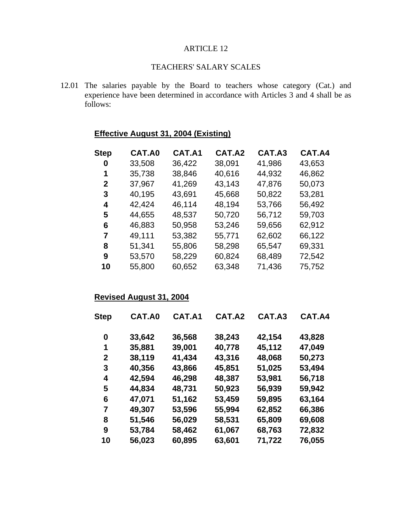# TEACHERS' SALARY SCALES

12.01 The salaries payable by the Board to teachers whose category (Cat.) and experience have been determined in accordance with Articles 3 and 4 shall be as follows:

# **Effective August 31, 2004 (Existing)**

| Step | CAT.A0 | CAT.A1 | CAT.A2 | CAT.A3 | CAT.A4 |
|------|--------|--------|--------|--------|--------|
| 0    | 33,508 | 36,422 | 38,091 | 41,986 | 43,653 |
| 1    | 35,738 | 38,846 | 40,616 | 44,932 | 46,862 |
| 2    | 37,967 | 41,269 | 43,143 | 47,876 | 50,073 |
| 3    | 40,195 | 43,691 | 45,668 | 50,822 | 53,281 |
| 4    | 42,424 | 46,114 | 48,194 | 53,766 | 56,492 |
| 5    | 44,655 | 48,537 | 50,720 | 56,712 | 59,703 |
| 6    | 46,883 | 50,958 | 53,246 | 59,656 | 62,912 |
| 7    | 49,111 | 53,382 | 55,771 | 62,602 | 66,122 |
| 8    | 51,341 | 55,806 | 58,298 | 65,547 | 69,331 |
| 9    | 53,570 | 58,229 | 60,824 | 68,489 | 72,542 |
| 10   | 55,800 | 60,652 | 63,348 | 71,436 | 75,752 |

# **Revised August 31, 2004**

| <b>Step</b>  | CAT.A0 | CAT.A1 | CAT.A2 | CAT.A3 | CAT.A4 |
|--------------|--------|--------|--------|--------|--------|
| 0            | 33,642 | 36,568 | 38,243 | 42,154 | 43,828 |
| 1            | 35,881 | 39,001 | 40,778 | 45,112 | 47,049 |
| $\mathbf{2}$ | 38,119 | 41,434 | 43,316 | 48,068 | 50,273 |
| 3            | 40,356 | 43,866 | 45,851 | 51,025 | 53,494 |
| 4            | 42,594 | 46,298 | 48,387 | 53,981 | 56,718 |
| 5            | 44,834 | 48,731 | 50,923 | 56,939 | 59,942 |
| 6            | 47,071 | 51,162 | 53,459 | 59,895 | 63,164 |
| 7            | 49,307 | 53,596 | 55,994 | 62,852 | 66,386 |
| 8            | 51,546 | 56,029 | 58,531 | 65,809 | 69,608 |
| 9            | 53,784 | 58,462 | 61,067 | 68,763 | 72,832 |
| 10           | 56,023 | 60,895 | 63,601 | 71,722 | 76,055 |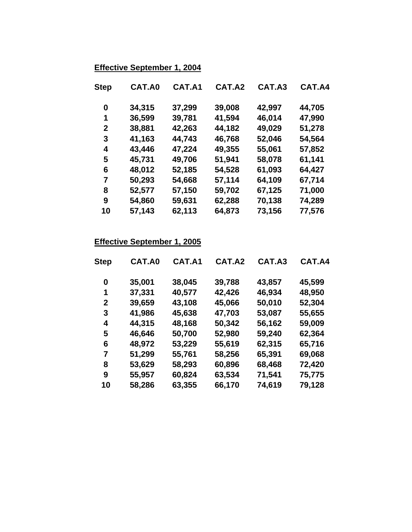# **Effective September 1, 2004**

| <b>Step</b>  | CAT.A0 | CAT.A1 | CAT.A2 | CAT.A3 | CAT.A4 |
|--------------|--------|--------|--------|--------|--------|
| 0            | 34,315 | 37,299 | 39,008 | 42,997 | 44,705 |
| 1            | 36,599 | 39,781 | 41,594 | 46,014 | 47,990 |
| $\mathbf{2}$ | 38,881 | 42,263 | 44,182 | 49,029 | 51,278 |
| 3            | 41,163 | 44,743 | 46,768 | 52,046 | 54,564 |
| 4            | 43,446 | 47,224 | 49,355 | 55,061 | 57,852 |
| 5            | 45,731 | 49,706 | 51,941 | 58,078 | 61,141 |
| 6            | 48,012 | 52,185 | 54,528 | 61,093 | 64,427 |
| 7            | 50,293 | 54,668 | 57,114 | 64,109 | 67,714 |
| 8            | 52,577 | 57,150 | 59,702 | 67,125 | 71,000 |
| 9            | 54,860 | 59,631 | 62,288 | 70,138 | 74,289 |
| 10           | 57,143 | 62,113 | 64,873 | 73,156 | 77,576 |
|              |        |        |        |        |        |

# **Effective September 1, 2005**

| <b>Step</b> | CAT.A0 | CAT.A1 | CAT.A2 | CAT.A3 | CAT.A4 |
|-------------|--------|--------|--------|--------|--------|
| 0           | 35,001 | 38,045 | 39,788 | 43,857 | 45,599 |
| 1           | 37,331 | 40,577 | 42,426 | 46,934 | 48,950 |
| 2           | 39,659 | 43,108 | 45,066 | 50,010 | 52,304 |
| 3           | 41,986 | 45,638 | 47,703 | 53,087 | 55,655 |
| 4           | 44,315 | 48,168 | 50,342 | 56,162 | 59,009 |
| 5           | 46,646 | 50,700 | 52,980 | 59,240 | 62,364 |
| 6           | 48,972 | 53,229 | 55,619 | 62,315 | 65,716 |
| 7           | 51,299 | 55,761 | 58,256 | 65,391 | 69,068 |
| 8           | 53,629 | 58,293 | 60,896 | 68,468 | 72,420 |
| 9           | 55,957 | 60,824 | 63,534 | 71,541 | 75,775 |
| 10          | 58,286 | 63,355 | 66,170 | 74,619 | 79,128 |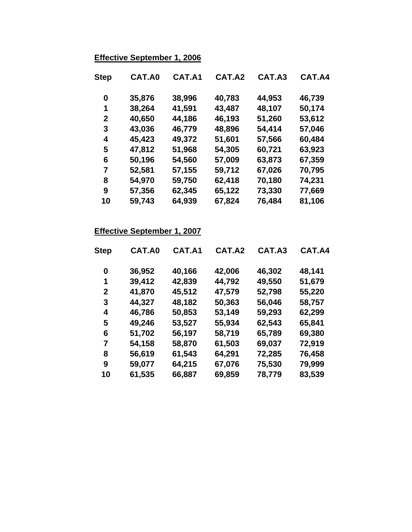# **Effective September 1, 2006**

| <b>Step</b>  | CAT.A0 | CAT.A1 | CAT.A2 | CAT.A3 | CAT.A4 |
|--------------|--------|--------|--------|--------|--------|
| 0            | 35,876 | 38,996 | 40,783 | 44,953 | 46,739 |
| 1            | 38,264 | 41,591 | 43,487 | 48,107 | 50,174 |
| $\mathbf{2}$ | 40,650 | 44,186 | 46,193 | 51,260 | 53,612 |
| 3            | 43,036 | 46,779 | 48,896 | 54,414 | 57,046 |
| 4            | 45,423 | 49,372 | 51,601 | 57,566 | 60,484 |
| 5            | 47,812 | 51,968 | 54,305 | 60,721 | 63,923 |
| 6            | 50,196 | 54,560 | 57,009 | 63,873 | 67,359 |
| 7            | 52,581 | 57,155 | 59,712 | 67,026 | 70,795 |
| 8            | 54,970 | 59,750 | 62,418 | 70,180 | 74,231 |
| 9            | 57,356 | 62,345 | 65,122 | 73,330 | 77,669 |
| 10           | 59,743 | 64,939 | 67,824 | 76,484 | 81,106 |

# **Effective September 1, 2007**

| CAT.A0 | CAT.A1 | CAT.A2 | CAT.A3 | CAT.A4 |
|--------|--------|--------|--------|--------|
| 36,952 | 40,166 | 42,006 | 46,302 | 48,141 |
| 39,412 | 42,839 | 44,792 | 49,550 | 51,679 |
| 41,870 | 45,512 | 47,579 | 52,798 | 55,220 |
| 44,327 | 48,182 | 50,363 | 56,046 | 58,757 |
| 46,786 | 50,853 | 53,149 | 59,293 | 62,299 |
| 49,246 | 53,527 | 55,934 | 62,543 | 65,841 |
| 51,702 | 56,197 | 58,719 | 65,789 | 69,380 |
| 54,158 | 58,870 | 61,503 | 69,037 | 72,919 |
| 56,619 | 61,543 | 64,291 | 72,285 | 76,458 |
| 59,077 | 64,215 | 67,076 | 75,530 | 79,999 |
| 61,535 | 66,887 | 69,859 | 78,779 | 83,539 |
|        |        |        |        |        |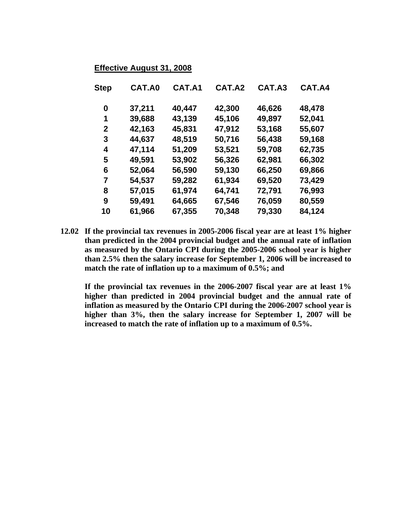#### **Effective August 31, 2008**

| <b>Step</b>  | CAT.A0 | CAT.A1 | CAT.A2 | CAT.A3 | CAT.A4 |
|--------------|--------|--------|--------|--------|--------|
| 0            | 37,211 | 40,447 | 42,300 | 46,626 | 48,478 |
| 1            | 39,688 | 43,139 | 45,106 | 49,897 | 52,041 |
| $\mathbf{2}$ | 42,163 | 45,831 | 47,912 | 53,168 | 55,607 |
| 3            | 44,637 | 48,519 | 50,716 | 56,438 | 59,168 |
| 4            | 47,114 | 51,209 | 53,521 | 59,708 | 62,735 |
| 5            | 49,591 | 53,902 | 56,326 | 62,981 | 66,302 |
| 6            | 52,064 | 56,590 | 59,130 | 66,250 | 69,866 |
| 7            | 54,537 | 59,282 | 61,934 | 69,520 | 73,429 |
| 8            | 57,015 | 61,974 | 64,741 | 72,791 | 76,993 |
| 9            | 59,491 | 64,665 | 67,546 | 76,059 | 80,559 |
| 10           | 61,966 | 67,355 | 70,348 | 79,330 | 84,124 |

**12.02 If the provincial tax revenues in 2005-2006 fiscal year are at least 1% higher than predicted in the 2004 provincial budget and the annual rate of inflation as measured by the Ontario CPI during the 2005-2006 school year is higher than 2.5% then the salary increase for September 1, 2006 will be increased to match the rate of inflation up to a maximum of 0.5%; and** 

**If the provincial tax revenues in the 2006-2007 fiscal year are at least 1% higher than predicted in 2004 provincial budget and the annual rate of inflation as measured by the Ontario CPI during the 2006-2007 school year is higher than 3%, then the salary increase for September 1, 2007 will be increased to match the rate of inflation up to a maximum of 0.5%.**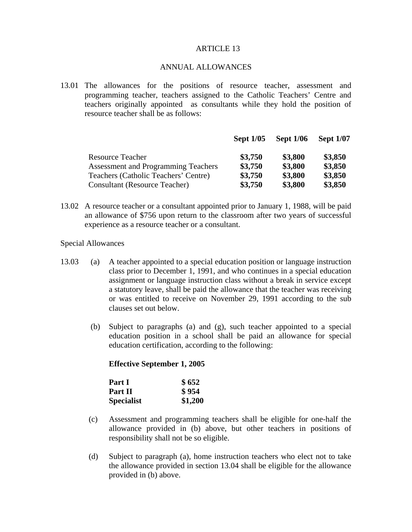#### ANNUAL ALLOWANCES

13.01 The allowances for the positions of resource teacher, assessment and programming teacher, teachers assigned to the Catholic Teachers' Centre and teachers originally appointed as consultants while they hold the position of resource teacher shall be as follows:

|                                      | <b>Sept 1/05</b> | <b>Sept 1/06</b> | <b>Sept 1/07</b> |
|--------------------------------------|------------------|------------------|------------------|
| <b>Resource Teacher</b>              | \$3,750          | \$3,800          | \$3,850          |
| Assessment and Programming Teachers  | \$3,750          | \$3,800          | \$3,850          |
| Teachers (Catholic Teachers' Centre) | \$3,750          | \$3,800          | \$3,850          |
| <b>Consultant (Resource Teacher)</b> | \$3,750          | \$3,800          | \$3,850          |

13.02 A resource teacher or a consultant appointed prior to January 1, 1988, will be paid an allowance of \$756 upon return to the classroom after two years of successful experience as a resource teacher or a consultant.

#### Special Allowances

- 13.03 (a) A teacher appointed to a special education position or language instruction class prior to December 1, 1991, and who continues in a special education assignment or language instruction class without a break in service except a statutory leave, shall be paid the allowance that the teacher was receiving or was entitled to receive on November 29, 1991 according to the sub clauses set out below.
	- (b) Subject to paragraphs (a) and (g), such teacher appointed to a special education position in a school shall be paid an allowance for special education certification, according to the following:

#### **Effective September 1, 2005**

| Part I            | \$652   |
|-------------------|---------|
| Part II           | \$954   |
| <b>Specialist</b> | \$1,200 |

- (c) Assessment and programming teachers shall be eligible for one-half the allowance provided in (b) above, but other teachers in positions of responsibility shall not be so eligible.
- (d) Subject to paragraph (a), home instruction teachers who elect not to take the allowance provided in section 13.04 shall be eligible for the allowance provided in (b) above.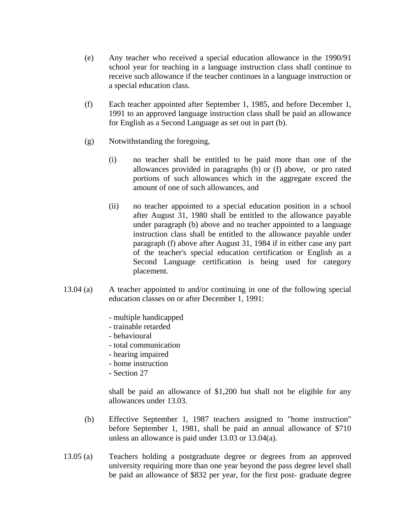- (e) Any teacher who received a special education allowance in the 1990/91 school year for teaching in a language instruction class shall continue to receive such allowance if the teacher continues in a language instruction or a special education class.
- (f) Each teacher appointed after September 1, 1985, and before December 1, 1991 to an approved language instruction class shall be paid an allowance for English as a Second Language as set out in part (b).
- (g) Notwithstanding the foregoing,
	- (i) no teacher shall be entitled to be paid more than one of the allowances provided in paragraphs (b) or (f) above, or pro rated portions of such allowances which in the aggregate exceed the amount of one of such allowances, and
	- (ii) no teacher appointed to a special education position in a school after August 31, 1980 shall be entitled to the allowance payable under paragraph (b) above and no teacher appointed to a language instruction class shall be entitled to the allowance payable under paragraph (f) above after August 31, 1984 if in either case any part of the teacher's special education certification or English as a Second Language certification is being used for category placement.
- 13.04 (a) A teacher appointed to and/or continuing in one of the following special education classes on or after December 1, 1991:
	- multiple handicapped
	- trainable retarded
	- behavioural
	- total communication
	- hearing impaired
	- home instruction
	- Section 27

shall be paid an allowance of \$1,200 but shall not be eligible for any allowances under 13.03.

- (b) Effective September 1, 1987 teachers assigned to "home instruction" before September 1, 1981, shall be paid an annual allowance of \$710 unless an allowance is paid under 13.03 or 13.04(a).
- 13.05 (a) Teachers holding a postgraduate degree or degrees from an approved university requiring more than one year beyond the pass degree level shall be paid an allowance of \$832 per year, for the first post- graduate degree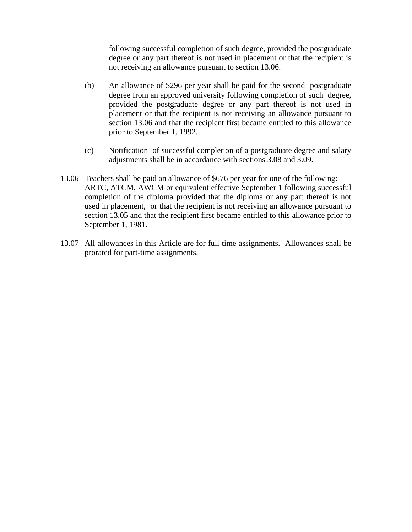following successful completion of such degree, provided the postgraduate degree or any part thereof is not used in placement or that the recipient is not receiving an allowance pursuant to section 13.06.

- (b) An allowance of \$296 per year shall be paid for the second postgraduate degree from an approved university following completion of such degree, provided the postgraduate degree or any part thereof is not used in placement or that the recipient is not receiving an allowance pursuant to section 13.06 and that the recipient first became entitled to this allowance prior to September 1, 1992.
- (c) Notification of successful completion of a postgraduate degree and salary adjustments shall be in accordance with sections 3.08 and 3.09.
- 13.06 Teachers shall be paid an allowance of \$676 per year for one of the following: ARTC, ATCM, AWCM or equivalent effective September 1 following successful completion of the diploma provided that the diploma or any part thereof is not used in placement, or that the recipient is not receiving an allowance pursuant to section 13.05 and that the recipient first became entitled to this allowance prior to September 1, 1981.
- 13.07 All allowances in this Article are for full time assignments. Allowances shall be prorated for part-time assignments.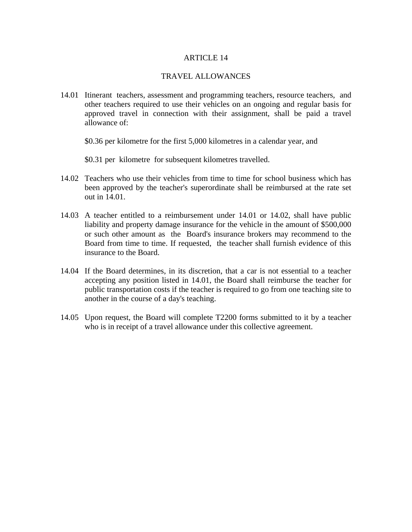#### TRAVEL ALLOWANCES

14.01 Itinerant teachers, assessment and programming teachers, resource teachers, and other teachers required to use their vehicles on an ongoing and regular basis for approved travel in connection with their assignment, shall be paid a travel allowance of:

\$0.36 per kilometre for the first 5,000 kilometres in a calendar year, and

\$0.31 per kilometre for subsequent kilometres travelled.

- 14.02 Teachers who use their vehicles from time to time for school business which has been approved by the teacher's superordinate shall be reimbursed at the rate set out in 14.01.
- 14.03 A teacher entitled to a reimbursement under 14.01 or 14.02, shall have public liability and property damage insurance for the vehicle in the amount of \$500,000 or such other amount as the Board's insurance brokers may recommend to the Board from time to time. If requested, the teacher shall furnish evidence of this insurance to the Board.
- 14.04 If the Board determines, in its discretion, that a car is not essential to a teacher accepting any position listed in 14.01, the Board shall reimburse the teacher for public transportation costs if the teacher is required to go from one teaching site to another in the course of a day's teaching.
- 14.05 Upon request, the Board will complete T2200 forms submitted to it by a teacher who is in receipt of a travel allowance under this collective agreement.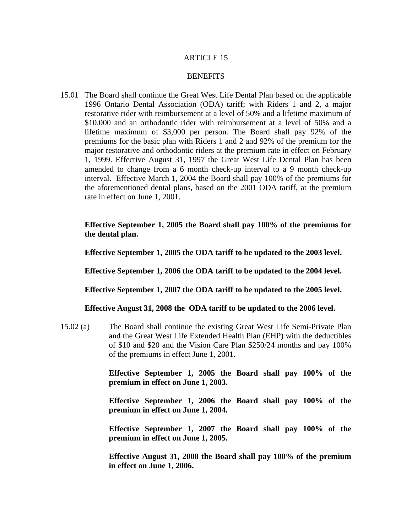#### **BENEFITS**

15.01 The Board shall continue the Great West Life Dental Plan based on the applicable 1996 Ontario Dental Association (ODA) tariff; with Riders 1 and 2, a major restorative rider with reimbursement at a level of 50% and a lifetime maximum of \$10,000 and an orthodontic rider with reimbursement at a level of 50% and a lifetime maximum of \$3,000 per person. The Board shall pay 92% of the premiums for the basic plan with Riders 1 and 2 and 92% of the premium for the major restorative and orthodontic riders at the premium rate in effect on February 1, 1999. Effective August 31, 1997 the Great West Life Dental Plan has been amended to change from a 6 month check-up interval to a 9 month check-up interval. Effective March 1, 2004 the Board shall pay 100% of the premiums for the aforementioned dental plans, based on the 2001 ODA tariff, at the premium rate in effect on June 1, 2001.

**Effective September 1, 2005 the Board shall pay 100% of the premiums for the dental plan.** 

 **Effective September 1, 2005 the ODA tariff to be updated to the 2003 level.** 

 **Effective September 1, 2006 the ODA tariff to be updated to the 2004 level.** 

 **Effective September 1, 2007 the ODA tariff to be updated to the 2005 level.** 

 **Effective August 31, 2008 the ODA tariff to be updated to the 2006 level.** 

15.02 (a) The Board shall continue the existing Great West Life Semi-Private Plan and the Great West Life Extended Health Plan (EHP) with the deductibles of \$10 and \$20 and the Vision Care Plan \$250/24 months and pay 100% of the premiums in effect June 1, 2001.

> **Effective September 1, 2005 the Board shall pay 100% of the premium in effect on June 1, 2003.**

> **Effective September 1, 2006 the Board shall pay 100% of the premium in effect on June 1, 2004.**

> **Effective September 1, 2007 the Board shall pay 100% of the premium in effect on June 1, 2005.**

> **Effective August 31, 2008 the Board shall pay 100% of the premium in effect on June 1, 2006.**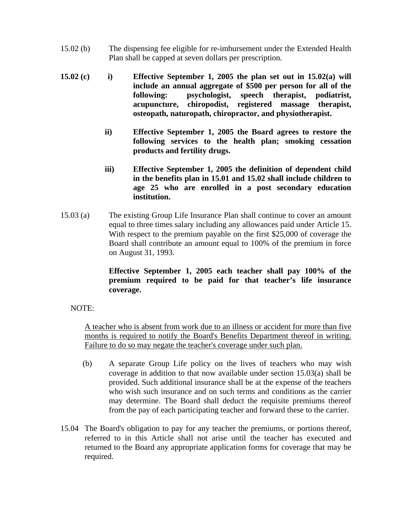- 15.02 (b) The dispensing fee eligible for re-imbursement under the Extended Health Plan shall be capped at seven dollars per prescription.
- **15.02 (c) i) Effective September 1, 2005 the plan set out in 15.02(a) will include an annual aggregate of \$500 per person for all of the following: psychologist, speech therapist, podiatrist, acupuncture, chiropodist, registered massage therapist, osteopath, naturopath, chiropractor, and physiotherapist.** 
	- **ii) Effective September 1, 2005 the Board agrees to restore the following services to the health plan; smoking cessation products and fertility drugs.**
	- **iii) Effective September 1, 2005 the definition of dependent child in the benefits plan in 15.01 and 15.02 shall include children to age 25 who are enrolled in a post secondary education institution.**
- 15.03 (a) The existing Group Life Insurance Plan shall continue to cover an amount equal to three times salary including any allowances paid under Article 15. With respect to the premium payable on the first \$25,000 of coverage the Board shall contribute an amount equal to 100% of the premium in force on August 31, 1993.

**Effective September 1, 2005 each teacher shall pay 100% of the premium required to be paid for that teacher's life insurance coverage.** 

NOTE:

A teacher who is absent from work due to an illness or accident for more than five months is required to notify the Board's Benefits Department thereof in writing. Failure to do so may negate the teacher's coverage under such plan.

- (b) A separate Group Life policy on the lives of teachers who may wish coverage in addition to that now available under section 15.03(a) shall be provided. Such additional insurance shall be at the expense of the teachers who wish such insurance and on such terms and conditions as the carrier may determine. The Board shall deduct the requisite premiums thereof from the pay of each participating teacher and forward these to the carrier.
- 15.04 The Board's obligation to pay for any teacher the premiums, or portions thereof, referred to in this Article shall not arise until the teacher has executed and returned to the Board any appropriate application forms for coverage that may be required.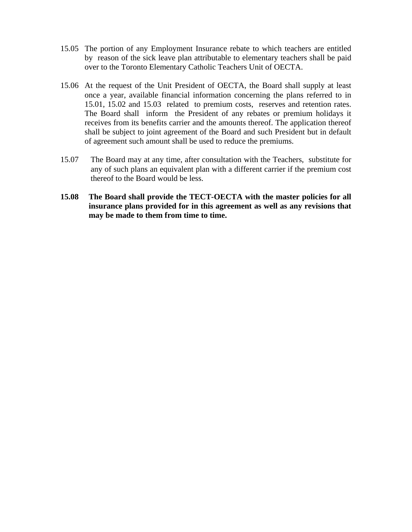- 15.05 The portion of any Employment Insurance rebate to which teachers are entitled by reason of the sick leave plan attributable to elementary teachers shall be paid over to the Toronto Elementary Catholic Teachers Unit of OECTA.
- 15.06 At the request of the Unit President of OECTA, the Board shall supply at least once a year, available financial information concerning the plans referred to in 15.01, 15.02 and 15.03 related to premium costs, reserves and retention rates. The Board shall inform the President of any rebates or premium holidays it receives from its benefits carrier and the amounts thereof. The application thereof shall be subject to joint agreement of the Board and such President but in default of agreement such amount shall be used to reduce the premiums.
- 15.07 The Board may at any time, after consultation with the Teachers, substitute for any of such plans an equivalent plan with a different carrier if the premium cost thereof to the Board would be less.
- **15.08 The Board shall provide the TECT-OECTA with the master policies for all insurance plans provided for in this agreement as well as any revisions that may be made to them from time to time.**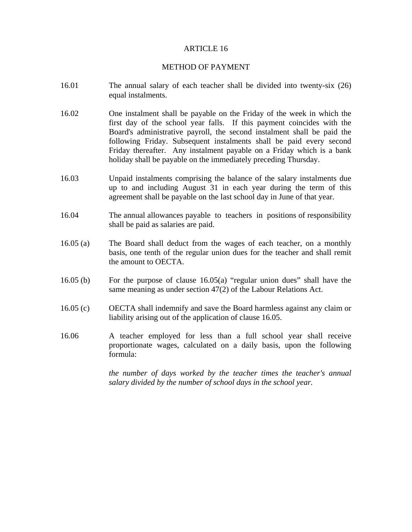#### METHOD OF PAYMENT

- 16.01 The annual salary of each teacher shall be divided into twenty-six (26) equal instalments.
- 16.02 One instalment shall be payable on the Friday of the week in which the first day of the school year falls. If this payment coincides with the Board's administrative payroll, the second instalment shall be paid the following Friday. Subsequent instalments shall be paid every second Friday thereafter. Any instalment payable on a Friday which is a bank holiday shall be payable on the immediately preceding Thursday.
- 16.03 Unpaid instalments comprising the balance of the salary instalments due up to and including August 31 in each year during the term of this agreement shall be payable on the last school day in June of that year.
- 16.04 The annual allowances payable to teachers in positions of responsibility shall be paid as salaries are paid.
- 16.05 (a) The Board shall deduct from the wages of each teacher, on a monthly basis, one tenth of the regular union dues for the teacher and shall remit the amount to OECTA.
- 16.05 (b) For the purpose of clause 16.05(a) "regular union dues" shall have the same meaning as under section 47(2) of the Labour Relations Act.
- 16.05 (c) OECTA shall indemnify and save the Board harmless against any claim or liability arising out of the application of clause 16.05.
- 16.06 A teacher employed for less than a full school year shall receive proportionate wages, calculated on a daily basis, upon the following formula:

*the number of days worked by the teacher times the teacher's annual salary divided by the number of school days in the school year.*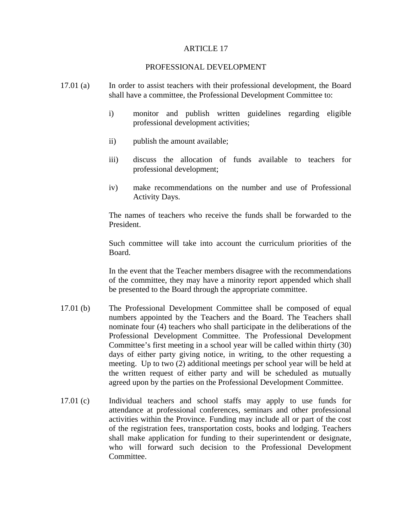#### PROFESSIONAL DEVELOPMENT

- 17.01 (a) In order to assist teachers with their professional development, the Board shall have a committee, the Professional Development Committee to:
	- i) monitor and publish written guidelines regarding eligible professional development activities;
	- ii) publish the amount available;
	- iii) discuss the allocation of funds available to teachers for professional development;
	- iv) make recommendations on the number and use of Professional Activity Days.

The names of teachers who receive the funds shall be forwarded to the President.

Such committee will take into account the curriculum priorities of the Board.

In the event that the Teacher members disagree with the recommendations of the committee, they may have a minority report appended which shall be presented to the Board through the appropriate committee.

- 17.01 (b) The Professional Development Committee shall be composed of equal numbers appointed by the Teachers and the Board. The Teachers shall nominate four (4) teachers who shall participate in the deliberations of the Professional Development Committee. The Professional Development Committee's first meeting in a school year will be called within thirty (30) days of either party giving notice, in writing, to the other requesting a meeting. Up to two (2) additional meetings per school year will be held at the written request of either party and will be scheduled as mutually agreed upon by the parties on the Professional Development Committee.
- 17.01 (c) Individual teachers and school staffs may apply to use funds for attendance at professional conferences, seminars and other professional activities within the Province. Funding may include all or part of the cost of the registration fees, transportation costs, books and lodging. Teachers shall make application for funding to their superintendent or designate, who will forward such decision to the Professional Development Committee.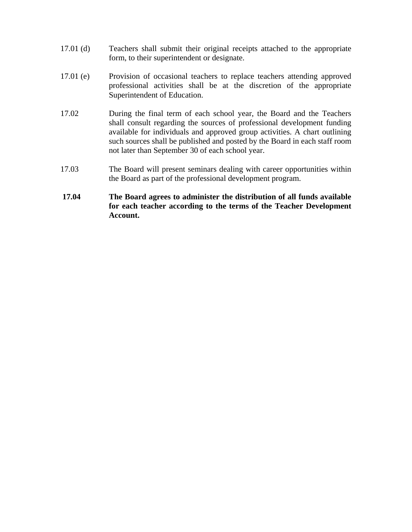- 17.01 (d) Teachers shall submit their original receipts attached to the appropriate form, to their superintendent or designate.
- 17.01 (e) Provision of occasional teachers to replace teachers attending approved professional activities shall be at the discretion of the appropriate Superintendent of Education.
- 17.02 During the final term of each school year, the Board and the Teachers shall consult regarding the sources of professional development funding available for individuals and approved group activities. A chart outlining such sources shall be published and posted by the Board in each staff room not later than September 30 of each school year.
- 17.03 The Board will present seminars dealing with career opportunities within the Board as part of the professional development program.
- **17.04 The Board agrees to administer the distribution of all funds available for each teacher according to the terms of the Teacher Development Account.**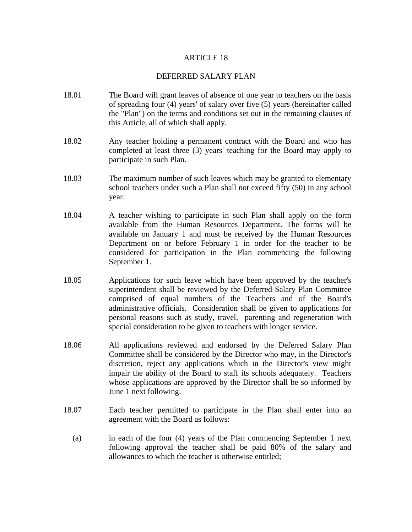#### DEFERRED SALARY PLAN

- 18.01 The Board will grant leaves of absence of one year to teachers on the basis of spreading four (4) years' of salary over five (5) years (hereinafter called the "Plan") on the terms and conditions set out in the remaining clauses of this Article, all of which shall apply.
- 18.02 Any teacher holding a permanent contract with the Board and who has completed at least three (3) years' teaching for the Board may apply to participate in such Plan.
- 18.03 The maximum number of such leaves which may be granted to elementary school teachers under such a Plan shall not exceed fifty (50) in any school year.
- 18.04 A teacher wishing to participate in such Plan shall apply on the form available from the Human Resources Department. The forms will be available on January 1 and must be received by the Human Resources Department on or before February 1 in order for the teacher to be considered for participation in the Plan commencing the following September 1.
- 18.05 Applications for such leave which have been approved by the teacher's superintendent shall be reviewed by the Deferred Salary Plan Committee comprised of equal numbers of the Teachers and of the Board's administrative officials. Consideration shall be given to applications for personal reasons such as study, travel, parenting and regeneration with special consideration to be given to teachers with longer service.
- 18.06 All applications reviewed and endorsed by the Deferred Salary Plan Committee shall be considered by the Director who may, in the Director's discretion, reject any applications which in the Director's view might impair the ability of the Board to staff its schools adequately. Teachers whose applications are approved by the Director shall be so informed by June 1 next following.
- 18.07 Each teacher permitted to participate in the Plan shall enter into an agreement with the Board as follows:
	- (a) in each of the four (4) years of the Plan commencing September 1 next following approval the teacher shall be paid 80% of the salary and allowances to which the teacher is otherwise entitled;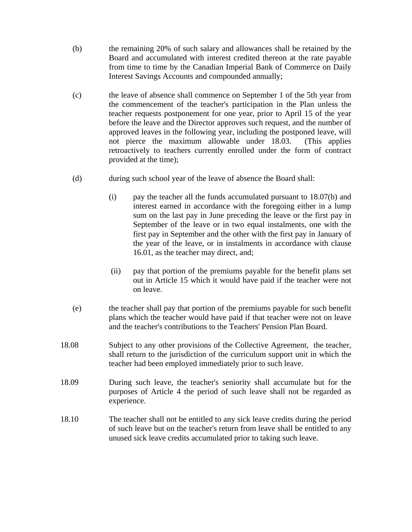- (b) the remaining 20% of such salary and allowances shall be retained by the Board and accumulated with interest credited thereon at the rate payable from time to time by the Canadian Imperial Bank of Commerce on Daily Interest Savings Accounts and compounded annually;
- (c) the leave of absence shall commence on September 1 of the 5th year from the commencement of the teacher's participation in the Plan unless the teacher requests postponement for one year, prior to April 15 of the year before the leave and the Director approves such request, and the number of approved leaves in the following year, including the postponed leave, will not pierce the maximum allowable under 18.03. (This applies retroactively to teachers currently enrolled under the form of contract provided at the time);
- (d) during such school year of the leave of absence the Board shall:
	- (i) pay the teacher all the funds accumulated pursuant to 18.07(b) and interest earned in accordance with the foregoing either in a lump sum on the last pay in June preceding the leave or the first pay in September of the leave or in two equal instalments, one with the first pay in September and the other with the first pay in January of the year of the leave, or in instalments in accordance with clause 16.01, as the teacher may direct, and;
	- (ii) pay that portion of the premiums payable for the benefit plans set out in Article 15 which it would have paid if the teacher were not on leave.
- (e) the teacher shall pay that portion of the premiums payable for such benefit plans which the teacher would have paid if that teacher were not on leave and the teacher's contributions to the Teachers' Pension Plan Board.
- 18.08 Subject to any other provisions of the Collective Agreement, the teacher, shall return to the jurisdiction of the curriculum support unit in which the teacher had been employed immediately prior to such leave.
- 18.09 During such leave, the teacher's seniority shall accumulate but for the purposes of Article 4 the period of such leave shall not be regarded as experience.
- 18.10 The teacher shall not be entitled to any sick leave credits during the period of such leave but on the teacher's return from leave shall be entitled to any unused sick leave credits accumulated prior to taking such leave.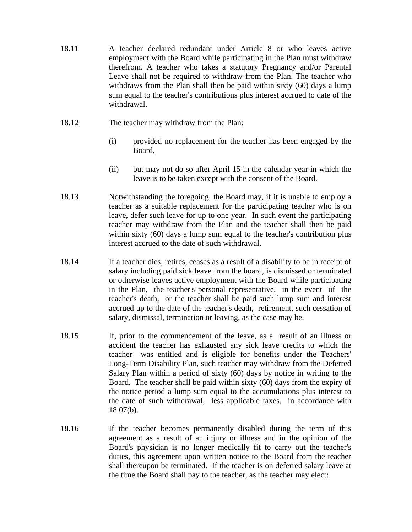- 18.11 A teacher declared redundant under Article 8 or who leaves active employment with the Board while participating in the Plan must withdraw therefrom. A teacher who takes a statutory Pregnancy and/or Parental Leave shall not be required to withdraw from the Plan. The teacher who withdraws from the Plan shall then be paid within sixty (60) days a lump sum equal to the teacher's contributions plus interest accrued to date of the withdrawal.
- 18.12 The teacher may withdraw from the Plan:
	- (i) provided no replacement for the teacher has been engaged by the Board,
	- (ii) but may not do so after April 15 in the calendar year in which the leave is to be taken except with the consent of the Board.
- 18.13 Notwithstanding the foregoing, the Board may, if it is unable to employ a teacher as a suitable replacement for the participating teacher who is on leave, defer such leave for up to one year. In such event the participating teacher may withdraw from the Plan and the teacher shall then be paid within sixty (60) days a lump sum equal to the teacher's contribution plus interest accrued to the date of such withdrawal.
- 18.14 If a teacher dies, retires, ceases as a result of a disability to be in receipt of salary including paid sick leave from the board, is dismissed or terminated or otherwise leaves active employment with the Board while participating in the Plan, the teacher's personal representative, in the event of the teacher's death, or the teacher shall be paid such lump sum and interest accrued up to the date of the teacher's death, retirement, such cessation of salary, dismissal, termination or leaving, as the case may be.
- 18.15 If, prior to the commencement of the leave, as a result of an illness or accident the teacher has exhausted any sick leave credits to which the teacher was entitled and is eligible for benefits under the Teachers' Long-Term Disability Plan, such teacher may withdraw from the Deferred Salary Plan within a period of sixty (60) days by notice in writing to the Board. The teacher shall be paid within sixty (60) days from the expiry of the notice period a lump sum equal to the accumulations plus interest to the date of such withdrawal, less applicable taxes, in accordance with 18.07(b).
- 18.16 If the teacher becomes permanently disabled during the term of this agreement as a result of an injury or illness and in the opinion of the Board's physician is no longer medically fit to carry out the teacher's duties, this agreement upon written notice to the Board from the teacher shall thereupon be terminated. If the teacher is on deferred salary leave at the time the Board shall pay to the teacher, as the teacher may elect: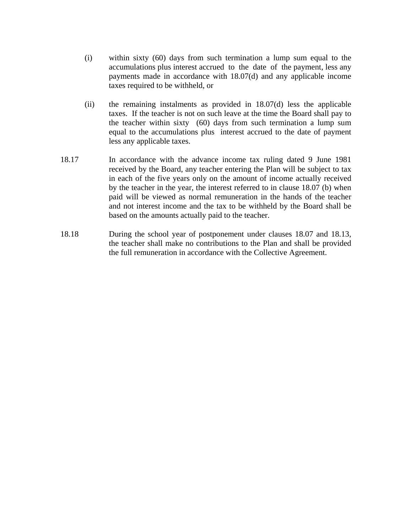- (i) within sixty (60) days from such termination a lump sum equal to the accumulations plus interest accrued to the date of the payment, less any payments made in accordance with 18.07(d) and any applicable income taxes required to be withheld, or
- (ii) the remaining instalments as provided in 18.07(d) less the applicable taxes. If the teacher is not on such leave at the time the Board shall pay to the teacher within sixty (60) days from such termination a lump sum equal to the accumulations plus interest accrued to the date of payment less any applicable taxes.
- 18.17 In accordance with the advance income tax ruling dated 9 June 1981 received by the Board, any teacher entering the Plan will be subject to tax in each of the five years only on the amount of income actually received by the teacher in the year, the interest referred to in clause 18.07 (b) when paid will be viewed as normal remuneration in the hands of the teacher and not interest income and the tax to be withheld by the Board shall be based on the amounts actually paid to the teacher.
- 18.18 During the school year of postponement under clauses 18.07 and 18.13, the teacher shall make no contributions to the Plan and shall be provided the full remuneration in accordance with the Collective Agreement.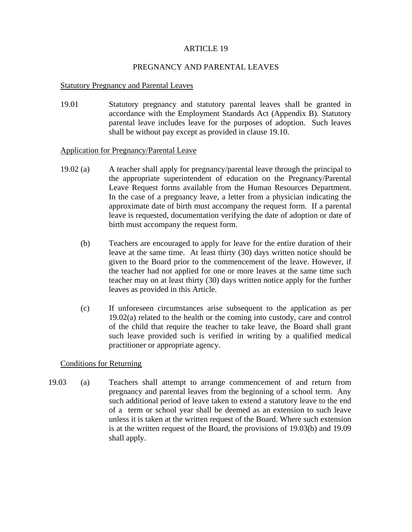# PREGNANCY AND PARENTAL LEAVES

#### Statutory Pregnancy and Parental Leaves

19.01 Statutory pregnancy and statutory parental leaves shall be granted in accordance with the Employment Standards Act (Appendix B). Statutory parental leave includes leave for the purposes of adoption. Such leaves shall be without pay except as provided in clause 19.10.

#### Application for Pregnancy/Parental Leave

- 19.02 (a) A teacher shall apply for pregnancy/parental leave through the principal to the appropriate superintendent of education on the Pregnancy/Parental Leave Request forms available from the Human Resources Department. In the case of a pregnancy leave, a letter from a physician indicating the approximate date of birth must accompany the request form. If a parental leave is requested, documentation verifying the date of adoption or date of birth must accompany the request form.
	- (b) Teachers are encouraged to apply for leave for the entire duration of their leave at the same time. At least thirty (30) days written notice should be given to the Board prior to the commencement of the leave. However, if the teacher had not applied for one or more leaves at the same time such teacher may on at least thirty (30) days written notice apply for the further leaves as provided in this Article.
	- (c) If unforeseen circumstances arise subsequent to the application as per 19.02(a) related to the health or the coming into custody, care and control of the child that require the teacher to take leave, the Board shall grant such leave provided such is verified in writing by a qualified medical practitioner or appropriate agency.

# Conditions for Returning

 19.03 (a) Teachers shall attempt to arrange commencement of and return from pregnancy and parental leaves from the beginning of a school term. Any such additional period of leave taken to extend a statutory leave to the end of a term or school year shall be deemed as an extension to such leave unless it is taken at the written request of the Board. Where such extension is at the written request of the Board, the provisions of 19.03(b) and 19.09 shall apply.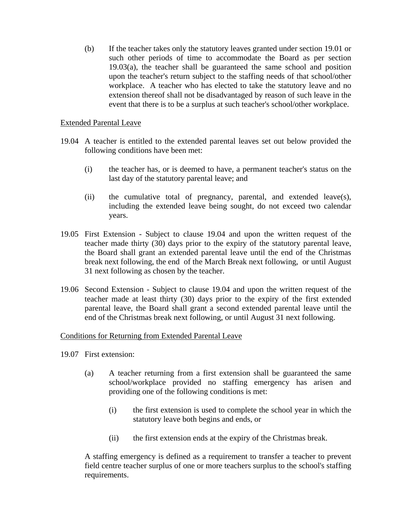(b) If the teacher takes only the statutory leaves granted under section 19.01 or such other periods of time to accommodate the Board as per section 19.03(a), the teacher shall be guaranteed the same school and position upon the teacher's return subject to the staffing needs of that school/other workplace. A teacher who has elected to take the statutory leave and no extension thereof shall not be disadvantaged by reason of such leave in the event that there is to be a surplus at such teacher's school/other workplace.

# Extended Parental Leave

- 19.04 A teacher is entitled to the extended parental leaves set out below provided the following conditions have been met:
	- (i) the teacher has, or is deemed to have, a permanent teacher's status on the last day of the statutory parental leave; and
	- (ii) the cumulative total of pregnancy, parental, and extended leave(s), including the extended leave being sought, do not exceed two calendar years.
- 19.05 First Extension Subject to clause 19.04 and upon the written request of the teacher made thirty (30) days prior to the expiry of the statutory parental leave, the Board shall grant an extended parental leave until the end of the Christmas break next following, the end of the March Break next following, or until August 31 next following as chosen by the teacher.
- 19.06 Second Extension Subject to clause 19.04 and upon the written request of the teacher made at least thirty (30) days prior to the expiry of the first extended parental leave, the Board shall grant a second extended parental leave until the end of the Christmas break next following, or until August 31 next following.

# Conditions for Returning from Extended Parental Leave

- 19.07 First extension:
	- (a) A teacher returning from a first extension shall be guaranteed the same school/workplace provided no staffing emergency has arisen and providing one of the following conditions is met:
		- (i) the first extension is used to complete the school year in which the statutory leave both begins and ends, or
		- (ii) the first extension ends at the expiry of the Christmas break.

A staffing emergency is defined as a requirement to transfer a teacher to prevent field centre teacher surplus of one or more teachers surplus to the school's staffing requirements.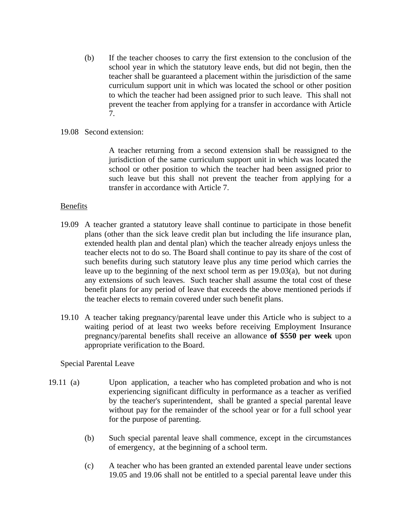- (b) If the teacher chooses to carry the first extension to the conclusion of the school year in which the statutory leave ends, but did not begin, then the teacher shall be guaranteed a placement within the jurisdiction of the same curriculum support unit in which was located the school or other position to which the teacher had been assigned prior to such leave. This shall not prevent the teacher from applying for a transfer in accordance with Article 7.
- 19.08 Second extension:

A teacher returning from a second extension shall be reassigned to the jurisdiction of the same curriculum support unit in which was located the school or other position to which the teacher had been assigned prior to such leave but this shall not prevent the teacher from applying for a transfer in accordance with Article 7.

# Benefits

- 19.09 A teacher granted a statutory leave shall continue to participate in those benefit plans (other than the sick leave credit plan but including the life insurance plan, extended health plan and dental plan) which the teacher already enjoys unless the teacher elects not to do so. The Board shall continue to pay its share of the cost of such benefits during such statutory leave plus any time period which carries the leave up to the beginning of the next school term as per 19.03(a), but not during any extensions of such leaves. Such teacher shall assume the total cost of these benefit plans for any period of leave that exceeds the above mentioned periods if the teacher elects to remain covered under such benefit plans.
- 19.10 A teacher taking pregnancy/parental leave under this Article who is subject to a waiting period of at least two weeks before receiving Employment Insurance pregnancy/parental benefits shall receive an allowance **of \$550 per week** upon appropriate verification to the Board.

Special Parental Leave

- 19.11 (a) Upon application, a teacher who has completed probation and who is not experiencing significant difficulty in performance as a teacher as verified by the teacher's superintendent, shall be granted a special parental leave without pay for the remainder of the school year or for a full school year for the purpose of parenting.
	- (b) Such special parental leave shall commence, except in the circumstances of emergency, at the beginning of a school term.
	- (c) A teacher who has been granted an extended parental leave under sections 19.05 and 19.06 shall not be entitled to a special parental leave under this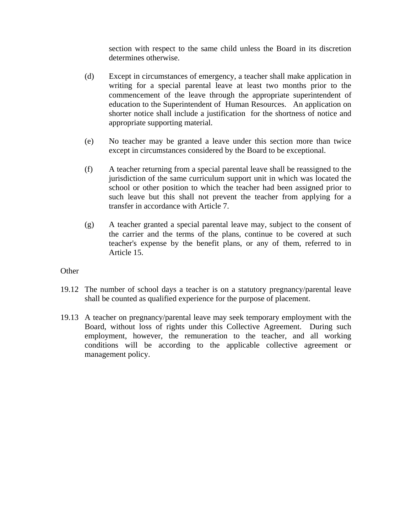section with respect to the same child unless the Board in its discretion determines otherwise.

- (d) Except in circumstances of emergency, a teacher shall make application in writing for a special parental leave at least two months prior to the commencement of the leave through the appropriate superintendent of education to the Superintendent of Human Resources. An application on shorter notice shall include a justification for the shortness of notice and appropriate supporting material.
- (e) No teacher may be granted a leave under this section more than twice except in circumstances considered by the Board to be exceptional.
- (f) A teacher returning from a special parental leave shall be reassigned to the jurisdiction of the same curriculum support unit in which was located the school or other position to which the teacher had been assigned prior to such leave but this shall not prevent the teacher from applying for a transfer in accordance with Article 7.
- (g) A teacher granted a special parental leave may, subject to the consent of the carrier and the terms of the plans, continue to be covered at such teacher's expense by the benefit plans, or any of them, referred to in Article 15.

# **Other**

- 19.12 The number of school days a teacher is on a statutory pregnancy/parental leave shall be counted as qualified experience for the purpose of placement.
- 19.13 A teacher on pregnancy/parental leave may seek temporary employment with the Board, without loss of rights under this Collective Agreement. During such employment, however, the remuneration to the teacher, and all working conditions will be according to the applicable collective agreement or management policy.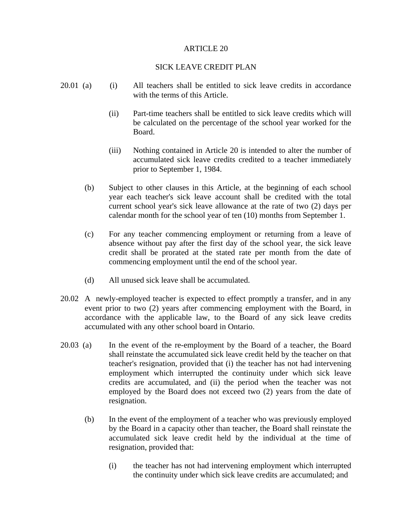# SICK LEAVE CREDIT PLAN

- $20.01$  (a) (i) All teachers shall be entitled to sick leave credits in accordance with the terms of this Article.
	- (ii) Part-time teachers shall be entitled to sick leave credits which will be calculated on the percentage of the school year worked for the Board.
	- (iii) Nothing contained in Article 20 is intended to alter the number of accumulated sick leave credits credited to a teacher immediately prior to September 1, 1984.
	- (b) Subject to other clauses in this Article, at the beginning of each school year each teacher's sick leave account shall be credited with the total current school year's sick leave allowance at the rate of two (2) days per calendar month for the school year of ten (10) months from September 1.
	- (c) For any teacher commencing employment or returning from a leave of absence without pay after the first day of the school year, the sick leave credit shall be prorated at the stated rate per month from the date of commencing employment until the end of the school year.
	- (d) All unused sick leave shall be accumulated.
- 20.02 A newly-employed teacher is expected to effect promptly a transfer, and in any event prior to two (2) years after commencing employment with the Board, in accordance with the applicable law, to the Board of any sick leave credits accumulated with any other school board in Ontario.
- 20.03 (a) In the event of the re-employment by the Board of a teacher, the Board shall reinstate the accumulated sick leave credit held by the teacher on that teacher's resignation, provided that (i) the teacher has not had intervening employment which interrupted the continuity under which sick leave credits are accumulated, and (ii) the period when the teacher was not employed by the Board does not exceed two (2) years from the date of resignation.
	- (b) In the event of the employment of a teacher who was previously employed by the Board in a capacity other than teacher, the Board shall reinstate the accumulated sick leave credit held by the individual at the time of resignation, provided that:
		- (i) the teacher has not had intervening employment which interrupted the continuity under which sick leave credits are accumulated; and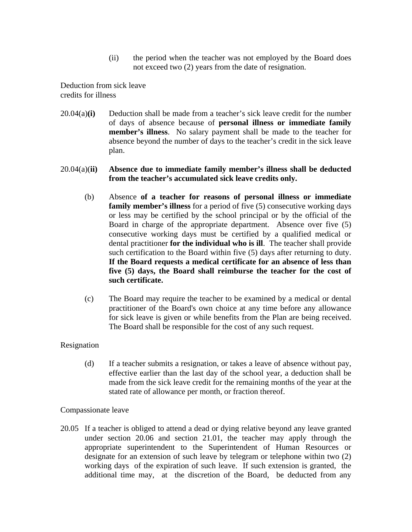(ii) the period when the teacher was not employed by the Board does not exceed two (2) years from the date of resignation.

Deduction from sick leave credits for illness

20.04(a)**(i)** Deduction shall be made from a teacher's sick leave credit for the number of days of absence because of **personal illness or immediate family member's illness**. No salary payment shall be made to the teacher for absence beyond the number of days to the teacher's credit in the sick leave plan.

# 20.04(a)(**ii) Absence due to immediate family member's illness shall be deducted from the teacher's accumulated sick leave credits only.**

- (b) Absence **of a teacher for reasons of personal illness or immediate family member's illness** for a period of five (5) consecutive working days or less may be certified by the school principal or by the official of the Board in charge of the appropriate department. Absence over five (5) consecutive working days must be certified by a qualified medical or dental practitioner **for the individual who is ill**. The teacher shall provide such certification to the Board within five (5) days after returning to duty. **If the Board requests a medical certificate for an absence of less than five (5) days, the Board shall reimburse the teacher for the cost of such certificate.**
- (c) The Board may require the teacher to be examined by a medical or dental practitioner of the Board's own choice at any time before any allowance for sick leave is given or while benefits from the Plan are being received. The Board shall be responsible for the cost of any such request.

# Resignation

(d) If a teacher submits a resignation, or takes a leave of absence without pay, effective earlier than the last day of the school year, a deduction shall be made from the sick leave credit for the remaining months of the year at the stated rate of allowance per month, or fraction thereof.

# Compassionate leave

20.05 If a teacher is obliged to attend a dead or dying relative beyond any leave granted under section 20.06 and section 21.01, the teacher may apply through the appropriate superintendent to the Superintendent of Human Resources or designate for an extension of such leave by telegram or telephone within two (2) working days of the expiration of such leave. If such extension is granted, the additional time may, at the discretion of the Board, be deducted from any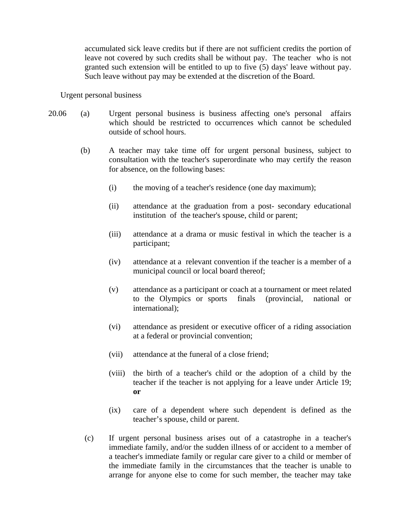accumulated sick leave credits but if there are not sufficient credits the portion of leave not covered by such credits shall be without pay. The teacher who is not granted such extension will be entitled to up to five (5) days' leave without pay. Such leave without pay may be extended at the discretion of the Board.

Urgent personal business

- 20.06 (a) Urgent personal business is business affecting one's personal affairs which should be restricted to occurrences which cannot be scheduled outside of school hours.
	- (b) A teacher may take time off for urgent personal business, subject to consultation with the teacher's superordinate who may certify the reason for absence, on the following bases:
		- (i) the moving of a teacher's residence (one day maximum);
		- (ii) attendance at the graduation from a post- secondary educational institution of the teacher's spouse, child or parent;
		- (iii) attendance at a drama or music festival in which the teacher is a participant;
		- (iv) attendance at a relevant convention if the teacher is a member of a municipal council or local board thereof;
		- (v) attendance as a participant or coach at a tournament or meet related to the Olympics or sports finals (provincial, national or international);
		- (vi) attendance as president or executive officer of a riding association at a federal or provincial convention;
		- (vii) attendance at the funeral of a close friend;
		- (viii) the birth of a teacher's child or the adoption of a child by the teacher if the teacher is not applying for a leave under Article 19; **or**
		- (ix) care of a dependent where such dependent is defined as the teacher's spouse, child or parent.
		- (c) If urgent personal business arises out of a catastrophe in a teacher's immediate family, and/or the sudden illness of or accident to a member of a teacher's immediate family or regular care giver to a child or member of the immediate family in the circumstances that the teacher is unable to arrange for anyone else to come for such member, the teacher may take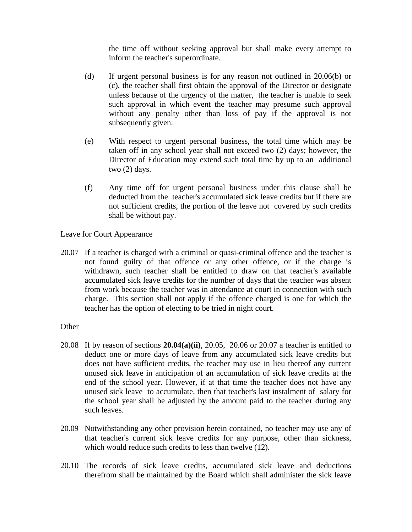the time off without seeking approval but shall make every attempt to inform the teacher's superordinate.

- (d) If urgent personal business is for any reason not outlined in 20.06(b) or (c), the teacher shall first obtain the approval of the Director or designate unless because of the urgency of the matter, the teacher is unable to seek such approval in which event the teacher may presume such approval without any penalty other than loss of pay if the approval is not subsequently given.
- (e) With respect to urgent personal business, the total time which may be taken off in any school year shall not exceed two (2) days; however, the Director of Education may extend such total time by up to an additional two (2) days.
- (f) Any time off for urgent personal business under this clause shall be deducted from the teacher's accumulated sick leave credits but if there are not sufficient credits, the portion of the leave not covered by such credits shall be without pay.

Leave for Court Appearance

20.07 If a teacher is charged with a criminal or quasi-criminal offence and the teacher is not found guilty of that offence or any other offence, or if the charge is withdrawn, such teacher shall be entitled to draw on that teacher's available accumulated sick leave credits for the number of days that the teacher was absent from work because the teacher was in attendance at court in connection with such charge. This section shall not apply if the offence charged is one for which the teacher has the option of electing to be tried in night court.

#### **Other**

- 20.08 If by reason of sections **20.04(a)(ii)**, 20.05, 20.06 or 20.07 a teacher is entitled to deduct one or more days of leave from any accumulated sick leave credits but does not have sufficient credits, the teacher may use in lieu thereof any current unused sick leave in anticipation of an accumulation of sick leave credits at the end of the school year. However, if at that time the teacher does not have any unused sick leave to accumulate, then that teacher's last instalment of salary for the school year shall be adjusted by the amount paid to the teacher during any such leaves.
- 20.09 Notwithstanding any other provision herein contained, no teacher may use any of that teacher's current sick leave credits for any purpose, other than sickness, which would reduce such credits to less than twelve (12).
- 20.10 The records of sick leave credits, accumulated sick leave and deductions therefrom shall be maintained by the Board which shall administer the sick leave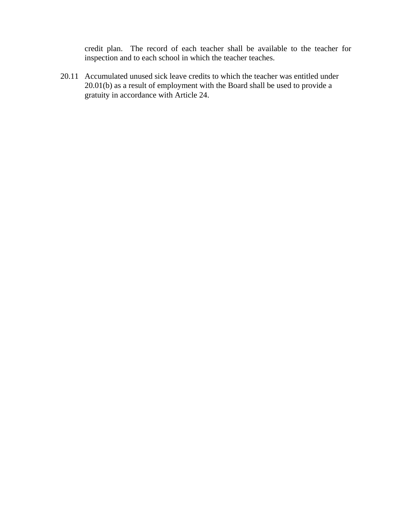credit plan. The record of each teacher shall be available to the teacher for inspection and to each school in which the teacher teaches.

20.11 Accumulated unused sick leave credits to which the teacher was entitled under 20.01(b) as a result of employment with the Board shall be used to provide a gratuity in accordance with Article 24.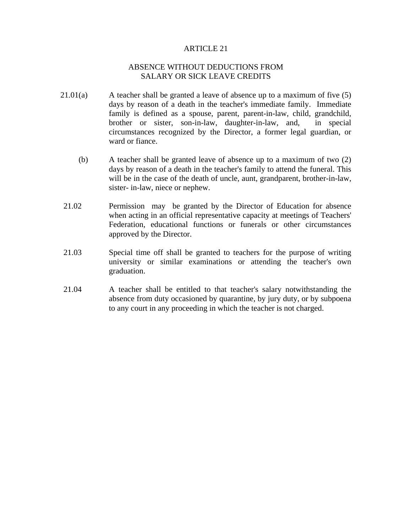# ABSENCE WITHOUT DEDUCTIONS FROM SALARY OR SICK LEAVE CREDITS

- $21.01(a)$  A teacher shall be granted a leave of absence up to a maximum of five (5) days by reason of a death in the teacher's immediate family. Immediate family is defined as a spouse, parent, parent-in-law, child, grandchild, brother or sister, son-in-law, daughter-in-law, and, in special circumstances recognized by the Director, a former legal guardian, or ward or fiance.
	- (b) A teacher shall be granted leave of absence up to a maximum of two (2) days by reason of a death in the teacher's family to attend the funeral. This will be in the case of the death of uncle, aunt, grandparent, brother-in-law, sister- in-law, niece or nephew.
- 21.02 Permission may be granted by the Director of Education for absence when acting in an official representative capacity at meetings of Teachers' Federation, educational functions or funerals or other circumstances approved by the Director.
- 21.03 Special time off shall be granted to teachers for the purpose of writing university or similar examinations or attending the teacher's own graduation.
- 21.04 A teacher shall be entitled to that teacher's salary notwithstanding the absence from duty occasioned by quarantine, by jury duty, or by subpoena to any court in any proceeding in which the teacher is not charged.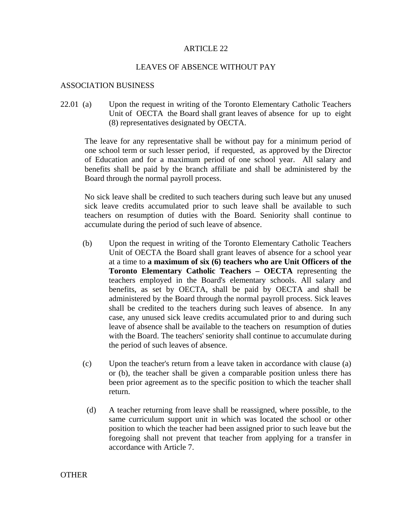## LEAVES OF ABSENCE WITHOUT PAY

#### ASSOCIATION BUSINESS

22.01 (a) Upon the request in writing of the Toronto Elementary Catholic Teachers Unit of OECTA the Board shall grant leaves of absence for up to eight (8) representatives designated by OECTA.

The leave for any representative shall be without pay for a minimum period of one school term or such lesser period, if requested, as approved by the Director of Education and for a maximum period of one school year. All salary and benefits shall be paid by the branch affiliate and shall be administered by the Board through the normal payroll process.

No sick leave shall be credited to such teachers during such leave but any unused sick leave credits accumulated prior to such leave shall be available to such teachers on resumption of duties with the Board. Seniority shall continue to accumulate during the period of such leave of absence.

- (b) Upon the request in writing of the Toronto Elementary Catholic Teachers Unit of OECTA the Board shall grant leaves of absence for a school year at a time to **a maximum of six (6) teachers who are Unit Officers of the Toronto Elementary Catholic Teachers – OECTA** representing the teachers employed in the Board's elementary schools. All salary and benefits, as set by OECTA, shall be paid by OECTA and shall be administered by the Board through the normal payroll process. Sick leaves shall be credited to the teachers during such leaves of absence. In any case, any unused sick leave credits accumulated prior to and during such leave of absence shall be available to the teachers on resumption of duties with the Board. The teachers' seniority shall continue to accumulate during the period of such leaves of absence.
- (c) Upon the teacher's return from a leave taken in accordance with clause (a) or (b), the teacher shall be given a comparable position unless there has been prior agreement as to the specific position to which the teacher shall return.
- (d) A teacher returning from leave shall be reassigned, where possible, to the same curriculum support unit in which was located the school or other position to which the teacher had been assigned prior to such leave but the foregoing shall not prevent that teacher from applying for a transfer in accordance with Article 7.

**OTHER**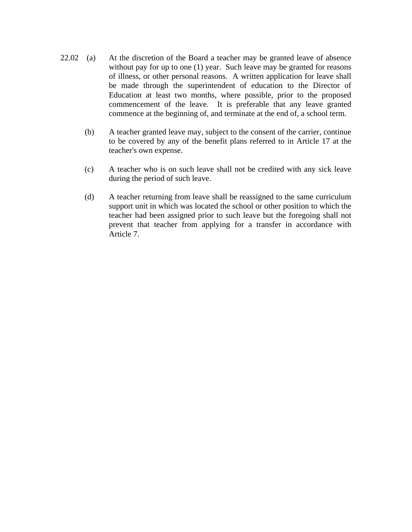- 22.02 (a) At the discretion of the Board a teacher may be granted leave of absence without pay for up to one (1) year. Such leave may be granted for reasons of illness, or other personal reasons. A written application for leave shall be made through the superintendent of education to the Director of Education at least two months, where possible, prior to the proposed commencement of the leave. It is preferable that any leave granted commence at the beginning of, and terminate at the end of, a school term.
	- (b) A teacher granted leave may, subject to the consent of the carrier, continue to be covered by any of the benefit plans referred to in Article 17 at the teacher's own expense.
	- (c) A teacher who is on such leave shall not be credited with any sick leave during the period of such leave.
	- (d) A teacher returning from leave shall be reassigned to the same curriculum support unit in which was located the school or other position to which the teacher had been assigned prior to such leave but the foregoing shall not prevent that teacher from applying for a transfer in accordance with Article 7.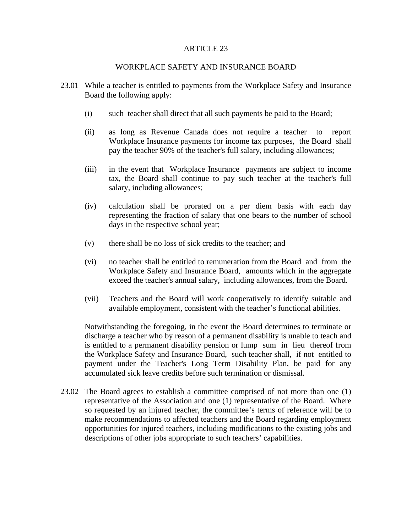## WORKPLACE SAFETY AND INSURANCE BOARD

- 23.01 While a teacher is entitled to payments from the Workplace Safety and Insurance Board the following apply:
	- (i) such teacher shall direct that all such payments be paid to the Board;
	- (ii) as long as Revenue Canada does not require a teacher to report Workplace Insurance payments for income tax purposes, the Board shall pay the teacher 90% of the teacher's full salary, including allowances;
	- (iii) in the event that Workplace Insurance payments are subject to income tax, the Board shall continue to pay such teacher at the teacher's full salary, including allowances;
	- (iv) calculation shall be prorated on a per diem basis with each day representing the fraction of salary that one bears to the number of school days in the respective school year;
	- (v) there shall be no loss of sick credits to the teacher; and
	- (vi) no teacher shall be entitled to remuneration from the Board and from the Workplace Safety and Insurance Board, amounts which in the aggregate exceed the teacher's annual salary, including allowances, from the Board.
	- (vii) Teachers and the Board will work cooperatively to identify suitable and available employment, consistent with the teacher's functional abilities.

Notwithstanding the foregoing, in the event the Board determines to terminate or discharge a teacher who by reason of a permanent disability is unable to teach and is entitled to a permanent disability pension or lump sum in lieu thereof from the Workplace Safety and Insurance Board, such teacher shall, if not entitled to payment under the Teacher's Long Term Disability Plan, be paid for any accumulated sick leave credits before such termination or dismissal.

23.02 The Board agrees to establish a committee comprised of not more than one (1) representative of the Association and one (1) representative of the Board. Where so requested by an injured teacher, the committee's terms of reference will be to make recommendations to affected teachers and the Board regarding employment opportunities for injured teachers, including modifications to the existing jobs and descriptions of other jobs appropriate to such teachers' capabilities.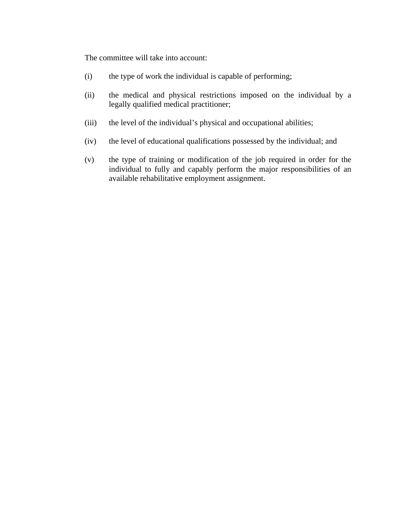The committee will take into account:

- (i) the type of work the individual is capable of performing;
- (ii) the medical and physical restrictions imposed on the individual by a legally qualified medical practitioner;
- (iii) the level of the individual's physical and occupational abilities;
- (iv) the level of educational qualifications possessed by the individual; and
- (v) the type of training or modification of the job required in order for the individual to fully and capably perform the major responsibilities of an available rehabilitative employment assignment.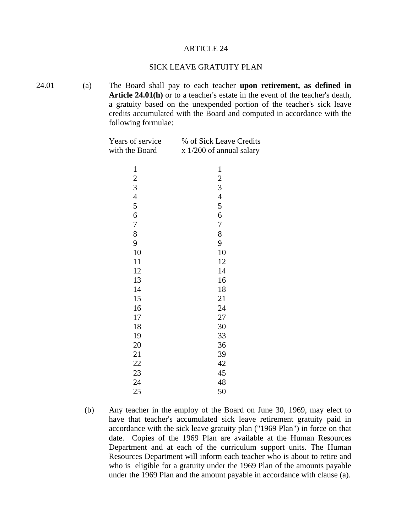## SICK LEAVE GRATUITY PLAN

24.01 (a) The Board shall pay to each teacher **upon retirement, as defined in Article 24.01(h)** or to a teacher's estate in the event of the teacher's death, a gratuity based on the unexpended portion of the teacher's sick leave credits accumulated with the Board and computed in accordance with the following formulae:

| Years of service                           | % of Sick Leave Credits                    |
|--------------------------------------------|--------------------------------------------|
| with the Board                             | x 1/200 of annual salary                   |
|                                            |                                            |
| $\mathbf{1}$                               | $\mathbf{1}$                               |
|                                            |                                            |
|                                            |                                            |
| $\begin{array}{c} 2 \\ 3 \\ 4 \end{array}$ | $\begin{array}{c} 2 \\ 3 \\ 4 \end{array}$ |
| 5                                          | 5                                          |
| 6                                          | 6                                          |
| 7                                          | 7                                          |
| 8                                          | 8                                          |
| 9                                          | 9                                          |
| 10                                         | 10                                         |
| 11                                         | 12                                         |
| 12                                         | 14                                         |
| 13                                         | 16                                         |
| 14                                         | 18                                         |
| 15                                         | 21                                         |
| 16                                         | 24                                         |
| 17                                         | $27\,$                                     |
| 18                                         | 30                                         |
| 19                                         | 33                                         |
| 20                                         | 36                                         |
| 21                                         | 39                                         |
| 22                                         | 42                                         |
| 23                                         | 45                                         |
| 24                                         | 48                                         |
| 25                                         | 50                                         |

(b) Any teacher in the employ of the Board on June 30, 1969, may elect to have that teacher's accumulated sick leave retirement gratuity paid in accordance with the sick leave gratuity plan ("1969 Plan") in force on that date. Copies of the 1969 Plan are available at the Human Resources Department and at each of the curriculum support units. The Human Resources Department will inform each teacher who is about to retire and who is eligible for a gratuity under the 1969 Plan of the amounts payable under the 1969 Plan and the amount payable in accordance with clause (a).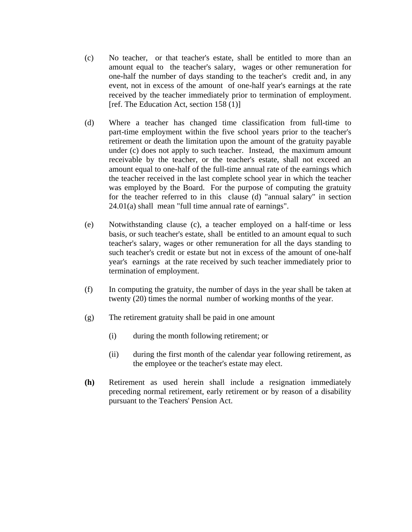- (c) No teacher, or that teacher's estate, shall be entitled to more than an amount equal to the teacher's salary, wages or other remuneration for one-half the number of days standing to the teacher's credit and, in any event, not in excess of the amount of one-half year's earnings at the rate received by the teacher immediately prior to termination of employment. [ref. The Education Act, section  $158(1)$ ]
- (d) Where a teacher has changed time classification from full-time to part-time employment within the five school years prior to the teacher's retirement or death the limitation upon the amount of the gratuity payable under (c) does not apply to such teacher. Instead, the maximum amount receivable by the teacher, or the teacher's estate, shall not exceed an amount equal to one-half of the full-time annual rate of the earnings which the teacher received in the last complete school year in which the teacher was employed by the Board. For the purpose of computing the gratuity for the teacher referred to in this clause (d) "annual salary" in section 24.01(a) shall mean "full time annual rate of earnings".
- (e) Notwithstanding clause (c), a teacher employed on a half-time or less basis, or such teacher's estate, shall be entitled to an amount equal to such teacher's salary, wages or other remuneration for all the days standing to such teacher's credit or estate but not in excess of the amount of one-half year's earnings at the rate received by such teacher immediately prior to termination of employment.
- (f) In computing the gratuity, the number of days in the year shall be taken at twenty (20) times the normal number of working months of the year.
- (g) The retirement gratuity shall be paid in one amount
	- (i) during the month following retirement; or
	- (ii) during the first month of the calendar year following retirement, as the employee or the teacher's estate may elect.
- **(h)** Retirement as used herein shall include a resignation immediately preceding normal retirement, early retirement or by reason of a disability pursuant to the Teachers' Pension Act.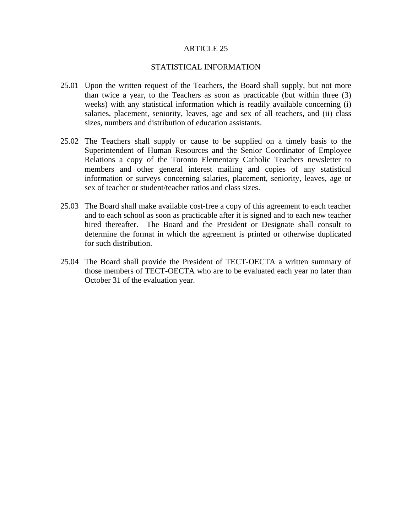## STATISTICAL INFORMATION

- 25.01 Upon the written request of the Teachers, the Board shall supply, but not more than twice a year, to the Teachers as soon as practicable (but within three (3) weeks) with any statistical information which is readily available concerning (i) salaries, placement, seniority, leaves, age and sex of all teachers, and (ii) class sizes, numbers and distribution of education assistants.
- 25.02 The Teachers shall supply or cause to be supplied on a timely basis to the Superintendent of Human Resources and the Senior Coordinator of Employee Relations a copy of the Toronto Elementary Catholic Teachers newsletter to members and other general interest mailing and copies of any statistical information or surveys concerning salaries, placement, seniority, leaves, age or sex of teacher or student/teacher ratios and class sizes.
- 25.03 The Board shall make available cost-free a copy of this agreement to each teacher and to each school as soon as practicable after it is signed and to each new teacher hired thereafter. The Board and the President or Designate shall consult to determine the format in which the agreement is printed or otherwise duplicated for such distribution.
- 25.04 The Board shall provide the President of TECT-OECTA a written summary of those members of TECT-OECTA who are to be evaluated each year no later than October 31 of the evaluation year.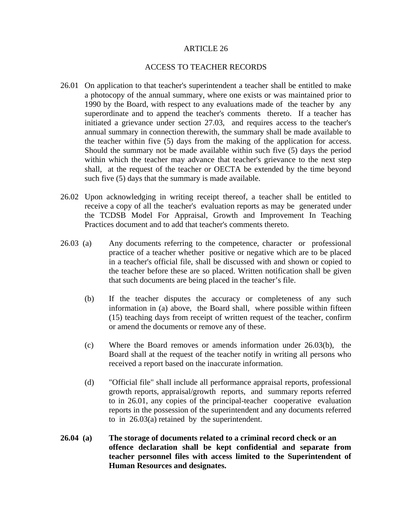## ACCESS TO TEACHER RECORDS

- 26.01 On application to that teacher's superintendent a teacher shall be entitled to make a photocopy of the annual summary, where one exists or was maintained prior to 1990 by the Board, with respect to any evaluations made of the teacher by any superordinate and to append the teacher's comments thereto. If a teacher has initiated a grievance under section 27.03, and requires access to the teacher's annual summary in connection therewith, the summary shall be made available to the teacher within five (5) days from the making of the application for access. Should the summary not be made available within such five (5) days the period within which the teacher may advance that teacher's grievance to the next step shall, at the request of the teacher or OECTA be extended by the time beyond such five (5) days that the summary is made available.
- 26.02 Upon acknowledging in writing receipt thereof, a teacher shall be entitled to receive a copy of all the teacher's evaluation reports as may be generated under the TCDSB Model For Appraisal, Growth and Improvement In Teaching Practices document and to add that teacher's comments thereto.
- 26.03 (a) Any documents referring to the competence, character or professional practice of a teacher whether positive or negative which are to be placed in a teacher's official file, shall be discussed with and shown or copied to the teacher before these are so placed. Written notification shall be given that such documents are being placed in the teacher's file.
	- (b) If the teacher disputes the accuracy or completeness of any such information in (a) above, the Board shall, where possible within fifteen (15) teaching days from receipt of written request of the teacher, confirm or amend the documents or remove any of these.
	- (c) Where the Board removes or amends information under 26.03(b), the Board shall at the request of the teacher notify in writing all persons who received a report based on the inaccurate information.
	- (d) "Official file" shall include all performance appraisal reports, professional growth reports, appraisal/growth reports, and summary reports referred to in 26.01, any copies of the principal-teacher cooperative evaluation reports in the possession of the superintendent and any documents referred to in 26.03(a) retained by the superintendent.
- **26.04 (a) The storage of documents related to a criminal record check or an offence declaration shall be kept confidential and separate from teacher personnel files with access limited to the Superintendent of Human Resources and designates.**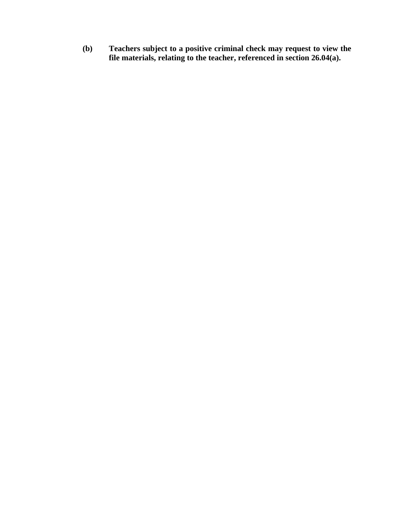**(b) Teachers subject to a positive criminal check may request to view the file materials, relating to the teacher, referenced in section 26.04(a).**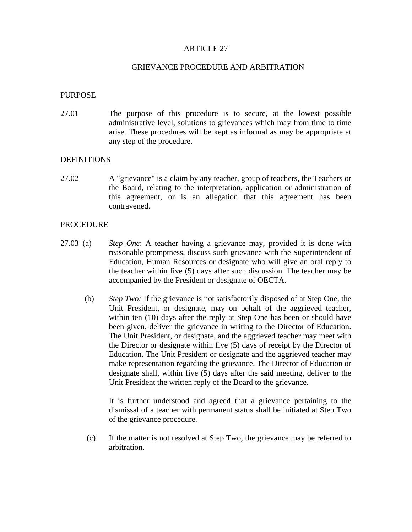#### GRIEVANCE PROCEDURE AND ARBITRATION

## PURPOSE

27.01 The purpose of this procedure is to secure, at the lowest possible administrative level, solutions to grievances which may from time to time arise. These procedures will be kept as informal as may be appropriate at any step of the procedure.

## DEFINITIONS

27.02 A "grievance" is a claim by any teacher, group of teachers, the Teachers or the Board, relating to the interpretation, application or administration of this agreement, or is an allegation that this agreement has been contravened.

#### PROCEDURE

- 27.03 (a) *Step One*: A teacher having a grievance may, provided it is done with reasonable promptness, discuss such grievance with the Superintendent of Education, Human Resources or designate who will give an oral reply to the teacher within five (5) days after such discussion. The teacher may be accompanied by the President or designate of OECTA.
	- (b) *Step Two:* If the grievance is not satisfactorily disposed of at Step One, the Unit President, or designate, may on behalf of the aggrieved teacher, within ten (10) days after the reply at Step One has been or should have been given, deliver the grievance in writing to the Director of Education. The Unit President, or designate, and the aggrieved teacher may meet with the Director or designate within five (5) days of receipt by the Director of Education. The Unit President or designate and the aggrieved teacher may make representation regarding the grievance. The Director of Education or designate shall, within five (5) days after the said meeting, deliver to the Unit President the written reply of the Board to the grievance.

 It is further understood and agreed that a grievance pertaining to the dismissal of a teacher with permanent status shall be initiated at Step Two of the grievance procedure.

 (c) If the matter is not resolved at Step Two, the grievance may be referred to arbitration.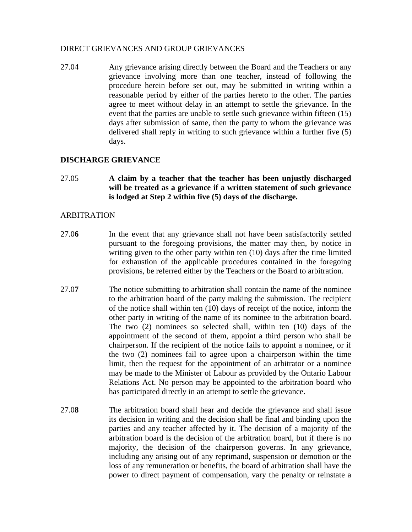## DIRECT GRIEVANCES AND GROUP GRIEVANCES

27.04 Any grievance arising directly between the Board and the Teachers or any grievance involving more than one teacher, instead of following the procedure herein before set out, may be submitted in writing within a reasonable period by either of the parties hereto to the other. The parties agree to meet without delay in an attempt to settle the grievance. In the event that the parties are unable to settle such grievance within fifteen (15) days after submission of same, then the party to whom the grievance was delivered shall reply in writing to such grievance within a further five (5) days.

# **DISCHARGE GRIEVANCE**

27.05 **A claim by a teacher that the teacher has been unjustly discharged will be treated as a grievance if a written statement of such grievance is lodged at Step 2 within five (5) days of the discharge.** 

## ARBITRATION

- 27.0**6** In the event that any grievance shall not have been satisfactorily settled pursuant to the foregoing provisions, the matter may then, by notice in writing given to the other party within ten (10) days after the time limited for exhaustion of the applicable procedures contained in the foregoing provisions, be referred either by the Teachers or the Board to arbitration.
- 27.0**7** The notice submitting to arbitration shall contain the name of the nominee to the arbitration board of the party making the submission. The recipient of the notice shall within ten (10) days of receipt of the notice, inform the other party in writing of the name of its nominee to the arbitration board. The two (2) nominees so selected shall, within ten (10) days of the appointment of the second of them, appoint a third person who shall be chairperson. If the recipient of the notice fails to appoint a nominee, or if the two (2) nominees fail to agree upon a chairperson within the time limit, then the request for the appointment of an arbitrator or a nominee may be made to the Minister of Labour as provided by the Ontario Labour Relations Act. No person may be appointed to the arbitration board who has participated directly in an attempt to settle the grievance.
- 27.0**8** The arbitration board shall hear and decide the grievance and shall issue its decision in writing and the decision shall be final and binding upon the parties and any teacher affected by it. The decision of a majority of the arbitration board is the decision of the arbitration board, but if there is no majority, the decision of the chairperson governs. In any grievance, including any arising out of any reprimand, suspension or demotion or the loss of any remuneration or benefits, the board of arbitration shall have the power to direct payment of compensation, vary the penalty or reinstate a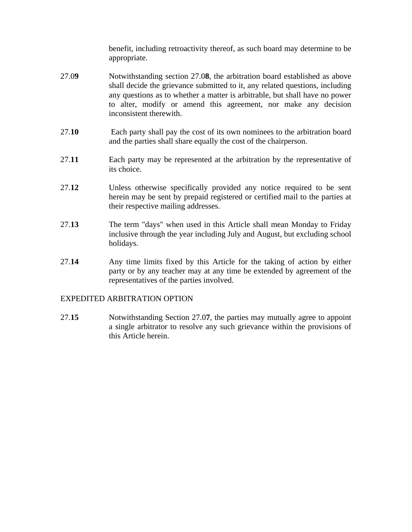benefit, including retroactivity thereof, as such board may determine to be appropriate.

- 27.0**9** Notwithstanding section 27.0**8**, the arbitration board established as above shall decide the grievance submitted to it, any related questions, including any questions as to whether a matter is arbitrable, but shall have no power to alter, modify or amend this agreement, nor make any decision inconsistent therewith.
- 27.**10** Each party shall pay the cost of its own nominees to the arbitration board and the parties shall share equally the cost of the chairperson.
- 27.**11** Each party may be represented at the arbitration by the representative of its choice.
- 27.**12** Unless otherwise specifically provided any notice required to be sent herein may be sent by prepaid registered or certified mail to the parties at their respective mailing addresses.
- 27.**13** The term "days" when used in this Article shall mean Monday to Friday inclusive through the year including July and August, but excluding school holidays.
- 27.**14** Any time limits fixed by this Article for the taking of action by either party or by any teacher may at any time be extended by agreement of the representatives of the parties involved.

## EXPEDITED ARBITRATION OPTION

27.**15** Notwithstanding Section 27.0**7**, the parties may mutually agree to appoint a single arbitrator to resolve any such grievance within the provisions of this Article herein.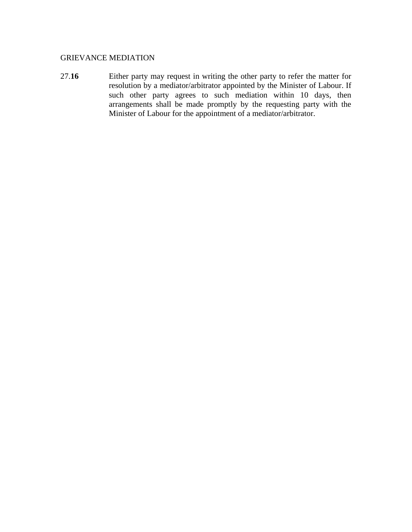#### GRIEVANCE MEDIATION

27.**16** Either party may request in writing the other party to refer the matter for resolution by a mediator/arbitrator appointed by the Minister of Labour. If such other party agrees to such mediation within 10 days, then arrangements shall be made promptly by the requesting party with the Minister of Labour for the appointment of a mediator/arbitrator.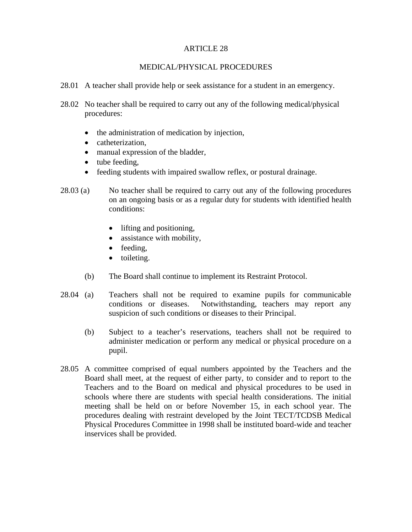# MEDICAL/PHYSICAL PROCEDURES

- 28.01 A teacher shall provide help or seek assistance for a student in an emergency.
- 28.02 No teacher shall be required to carry out any of the following medical/physical procedures:
	- the administration of medication by injection,
	- catheterization.
	- manual expression of the bladder,
	- tube feeding,
	- feeding students with impaired swallow reflex, or postural drainage.
- 28.03 (a) No teacher shall be required to carry out any of the following procedures on an ongoing basis or as a regular duty for students with identified health conditions:
	- lifting and positioning,
	- assistance with mobility,
	- feeding,
	- toileting.
	- (b) The Board shall continue to implement its Restraint Protocol.
- 28.04 (a) Teachers shall not be required to examine pupils for communicable conditions or diseases. Notwithstanding, teachers may report any suspicion of such conditions or diseases to their Principal.
	- (b) Subject to a teacher's reservations, teachers shall not be required to administer medication or perform any medical or physical procedure on a pupil.
- 28.05 A committee comprised of equal numbers appointed by the Teachers and the Board shall meet, at the request of either party, to consider and to report to the Teachers and to the Board on medical and physical procedures to be used in schools where there are students with special health considerations. The initial meeting shall be held on or before November 15, in each school year. The procedures dealing with restraint developed by the Joint TECT/TCDSB Medical Physical Procedures Committee in 1998 shall be instituted board-wide and teacher inservices shall be provided.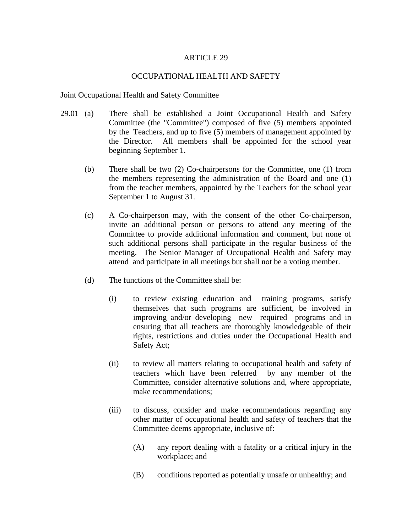## OCCUPATIONAL HEALTH AND SAFETY

#### Joint Occupational Health and Safety Committee

- 29.01 (a) There shall be established a Joint Occupational Health and Safety Committee (the "Committee") composed of five (5) members appointed by the Teachers, and up to five (5) members of management appointed by the Director. All members shall be appointed for the school year beginning September 1.
	- (b) There shall be two (2) Co-chairpersons for the Committee, one (1) from the members representing the administration of the Board and one (1) from the teacher members, appointed by the Teachers for the school year September 1 to August 31.
	- (c) A Co-chairperson may, with the consent of the other Co-chairperson, invite an additional person or persons to attend any meeting of the Committee to provide additional information and comment, but none of such additional persons shall participate in the regular business of the meeting. The Senior Manager of Occupational Health and Safety may attend and participate in all meetings but shall not be a voting member.
	- (d) The functions of the Committee shall be:
		- (i) to review existing education and training programs, satisfy themselves that such programs are sufficient, be involved in improving and/or developing new required programs and in ensuring that all teachers are thoroughly knowledgeable of their rights, restrictions and duties under the Occupational Health and Safety Act;
		- (ii) to review all matters relating to occupational health and safety of teachers which have been referred by any member of the Committee, consider alternative solutions and, where appropriate, make recommendations;
		- (iii) to discuss, consider and make recommendations regarding any other matter of occupational health and safety of teachers that the Committee deems appropriate, inclusive of:
			- (A) any report dealing with a fatality or a critical injury in the workplace; and
			- (B) conditions reported as potentially unsafe or unhealthy; and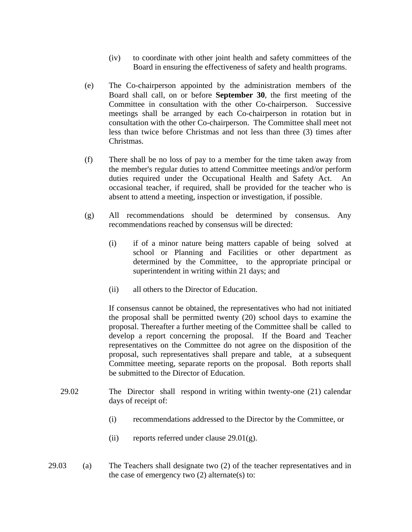- (iv) to coordinate with other joint health and safety committees of the Board in ensuring the effectiveness of safety and health programs.
- (e) The Co-chairperson appointed by the administration members of the Board shall call, on or before **September 30**, the first meeting of the Committee in consultation with the other Co-chairperson. Successive meetings shall be arranged by each Co-chairperson in rotation but in consultation with the other Co-chairperson. The Committee shall meet not less than twice before Christmas and not less than three (3) times after Christmas.
- (f) There shall be no loss of pay to a member for the time taken away from the member's regular duties to attend Committee meetings and/or perform duties required under the Occupational Health and Safety Act. An occasional teacher, if required, shall be provided for the teacher who is absent to attend a meeting, inspection or investigation, if possible.
- (g) All recommendations should be determined by consensus. Any recommendations reached by consensus will be directed:
	- (i) if of a minor nature being matters capable of being solved at school or Planning and Facilities or other department as determined by the Committee, to the appropriate principal or superintendent in writing within 21 days; and
	- (ii) all others to the Director of Education.

If consensus cannot be obtained, the representatives who had not initiated the proposal shall be permitted twenty (20) school days to examine the proposal. Thereafter a further meeting of the Committee shall be called to develop a report concerning the proposal. If the Board and Teacher representatives on the Committee do not agree on the disposition of the proposal, such representatives shall prepare and table, at a subsequent Committee meeting, separate reports on the proposal. Both reports shall be submitted to the Director of Education.

- 29.02 The Director shall respond in writing within twenty-one (21) calendar days of receipt of:
	- (i) recommendations addressed to the Director by the Committee, or
	- (ii) reports referred under clause  $29.01(g)$ .
- 29.03 (a) The Teachers shall designate two (2) of the teacher representatives and in the case of emergency two  $(2)$  alternate(s) to: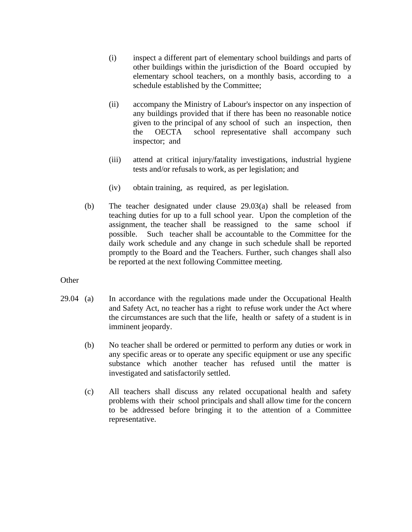- (i) inspect a different part of elementary school buildings and parts of other buildings within the jurisdiction of the Board occupied by elementary school teachers, on a monthly basis, according to a schedule established by the Committee;
- (ii) accompany the Ministry of Labour's inspector on any inspection of any buildings provided that if there has been no reasonable notice given to the principal of any school of such an inspection, then the OECTA school representative shall accompany such inspector; and
- (iii) attend at critical injury/fatality investigations, industrial hygiene tests and/or refusals to work, as per legislation; and
- (iv) obtain training, as required, as per legislation.
- (b) The teacher designated under clause 29.03(a) shall be released from teaching duties for up to a full school year. Upon the completion of the assignment, the teacher shall be reassigned to the same school if possible. Such teacher shall be accountable to the Committee for the daily work schedule and any change in such schedule shall be reported promptly to the Board and the Teachers. Further, such changes shall also be reported at the next following Committee meeting.

**Other** 

- 29.04 (a) In accordance with the regulations made under the Occupational Health and Safety Act, no teacher has a right to refuse work under the Act where the circumstances are such that the life, health or safety of a student is in imminent jeopardy.
	- (b) No teacher shall be ordered or permitted to perform any duties or work in any specific areas or to operate any specific equipment or use any specific substance which another teacher has refused until the matter is investigated and satisfactorily settled.
	- (c) All teachers shall discuss any related occupational health and safety problems with their school principals and shall allow time for the concern to be addressed before bringing it to the attention of a Committee representative.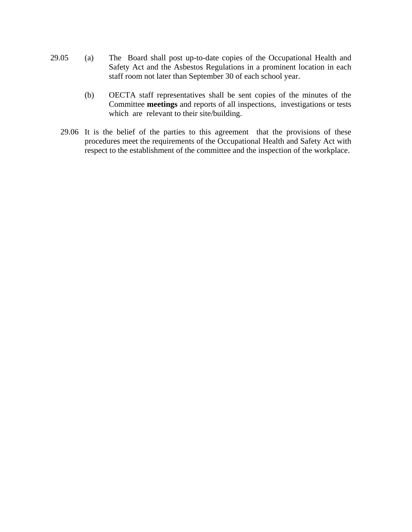- 29.05 (a) The Board shall post up-to-date copies of the Occupational Health and Safety Act and the Asbestos Regulations in a prominent location in each staff room not later than September 30 of each school year.
	- (b) OECTA staff representatives shall be sent copies of the minutes of the Committee **meetings** and reports of all inspections, investigations or tests which are relevant to their site/building.
	- 29.06 It is the belief of the parties to this agreement that the provisions of these procedures meet the requirements of the Occupational Health and Safety Act with respect to the establishment of the committee and the inspection of the workplace.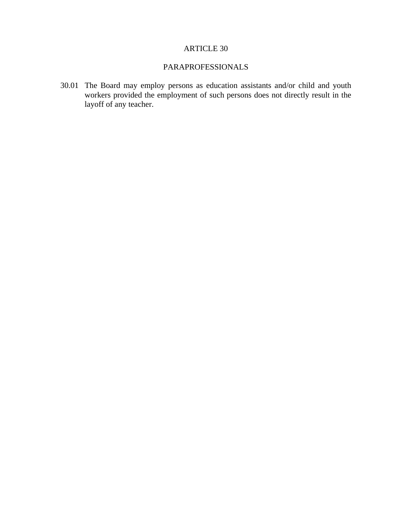# PARAPROFESSIONALS

30.01 The Board may employ persons as education assistants and/or child and youth workers provided the employment of such persons does not directly result in the layoff of any teacher.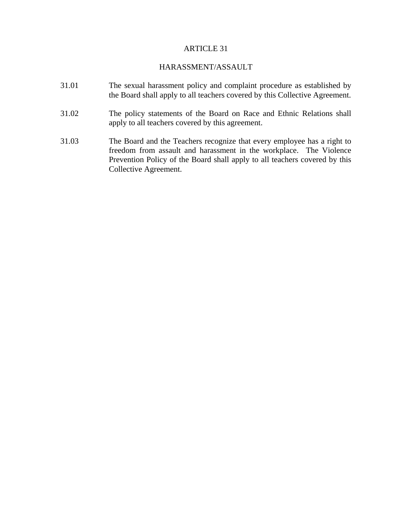# HARASSMENT/ASSAULT

- 31.01 The sexual harassment policy and complaint procedure as established by the Board shall apply to all teachers covered by this Collective Agreement.
- 31.02 The policy statements of the Board on Race and Ethnic Relations shall apply to all teachers covered by this agreement.
- 31.03 The Board and the Teachers recognize that every employee has a right to freedom from assault and harassment in the workplace. The Violence Prevention Policy of the Board shall apply to all teachers covered by this Collective Agreement.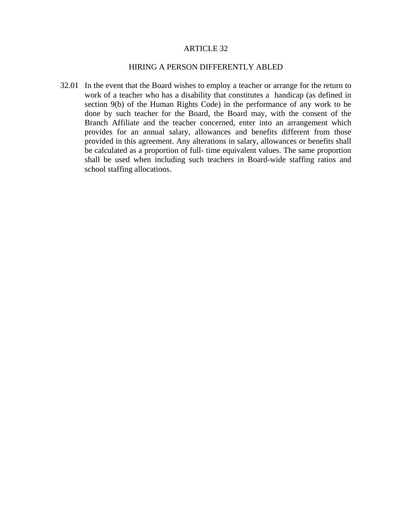## HIRING A PERSON DIFFERENTLY ABLED

32.01 In the event that the Board wishes to employ a teacher or arrange for the return to work of a teacher who has a disability that constitutes a handicap (as defined in section 9(b) of the Human Rights Code) in the performance of any work to be done by such teacher for the Board, the Board may, with the consent of the Branch Affiliate and the teacher concerned, enter into an arrangement which provides for an annual salary, allowances and benefits different from those provided in this agreement. Any alterations in salary, allowances or benefits shall be calculated as a proportion of full- time equivalent values. The same proportion shall be used when including such teachers in Board-wide staffing ratios and school staffing allocations.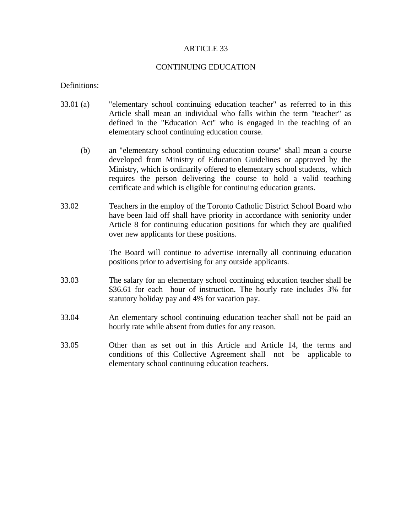## CONTINUING EDUCATION

## Definitions:

- 33.01 (a) "elementary school continuing education teacher" as referred to in this Article shall mean an individual who falls within the term "teacher" as defined in the "Education Act" who is engaged in the teaching of an elementary school continuing education course.
	- (b) an "elementary school continuing education course" shall mean a course developed from Ministry of Education Guidelines or approved by the Ministry, which is ordinarily offered to elementary school students, which requires the person delivering the course to hold a valid teaching certificate and which is eligible for continuing education grants.
- 33.02 Teachers in the employ of the Toronto Catholic District School Board who have been laid off shall have priority in accordance with seniority under Article 8 for continuing education positions for which they are qualified over new applicants for these positions.

The Board will continue to advertise internally all continuing education positions prior to advertising for any outside applicants.

- 33.03 The salary for an elementary school continuing education teacher shall be \$36.61 for each hour of instruction. The hourly rate includes 3% for statutory holiday pay and 4% for vacation pay.
- 33.04 An elementary school continuing education teacher shall not be paid an hourly rate while absent from duties for any reason.
- 33.05 Other than as set out in this Article and Article 14, the terms and conditions of this Collective Agreement shall not be applicable to elementary school continuing education teachers.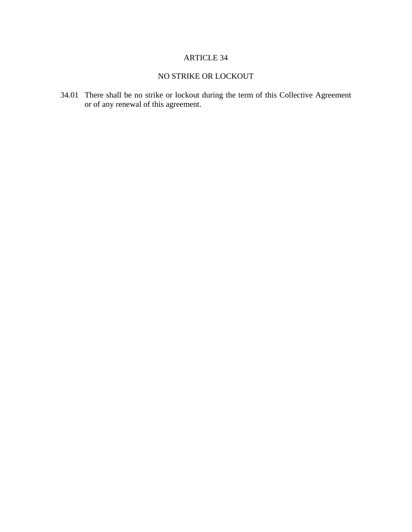# NO STRIKE OR LOCKOUT

34.01 There shall be no strike or lockout during the term of this Collective Agreement or of any renewal of this agreement.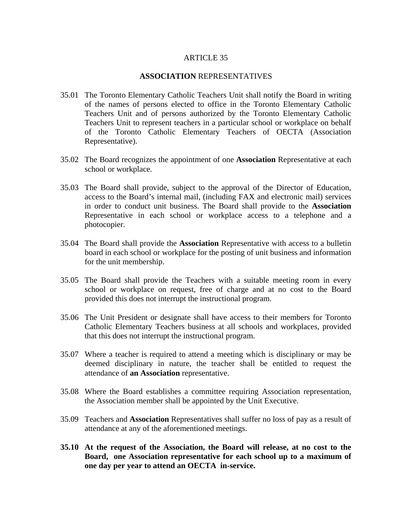#### **ASSOCIATION** REPRESENTATIVES

- 35.01 The Toronto Elementary Catholic Teachers Unit shall notify the Board in writing of the names of persons elected to office in the Toronto Elementary Catholic Teachers Unit and of persons authorized by the Toronto Elementary Catholic Teachers Unit to represent teachers in a particular school or workplace on behalf of the Toronto Catholic Elementary Teachers of OECTA (Association Representative).
- 35.02 The Board recognizes the appointment of one **Association** Representative at each school or workplace.
- 35.03 The Board shall provide, subject to the approval of the Director of Education, access to the Board's internal mail, (including FAX and electronic mail) services in order to conduct unit business. The Board shall provide to the **Association** Representative in each school or workplace access to a telephone and a photocopier.
- 35.04 The Board shall provide the **Association** Representative with access to a bulletin board in each school or workplace for the posting of unit business and information for the unit membership.
- 35.05 The Board shall provide the Teachers with a suitable meeting room in every school or workplace on request, free of charge and at no cost to the Board provided this does not interrupt the instructional program.
- 35.06 The Unit President or designate shall have access to their members for Toronto Catholic Elementary Teachers business at all schools and workplaces, provided that this does not interrupt the instructional program.
- 35.07 Where a teacher is required to attend a meeting which is disciplinary or may be deemed disciplinary in nature, the teacher shall be entitled to request the attendance of **an Association** representative.
- 35.08 Where the Board establishes a committee requiring Association representation, the Association member shall be appointed by the Unit Executive.
- 35.09 Teachers and **Association** Representatives shall suffer no loss of pay as a result of attendance at any of the aforementioned meetings.
- **35.10 At the request of the Association, the Board will release, at no cost to the Board, one Association representative for each school up to a maximum of one day per year to attend an OECTA in-service.**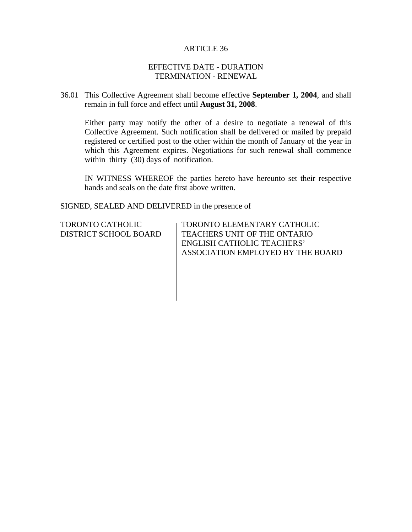# EFFECTIVE DATE - DURATION TERMINATION - RENEWAL

## 36.01 This Collective Agreement shall become effective **September 1, 2004**, and shall remain in full force and effect until **August 31, 2008**.

Either party may notify the other of a desire to negotiate a renewal of this Collective Agreement. Such notification shall be delivered or mailed by prepaid registered or certified post to the other within the month of January of the year in which this Agreement expires. Negotiations for such renewal shall commence within thirty (30) days of notification.

IN WITNESS WHEREOF the parties hereto have hereunto set their respective hands and seals on the date first above written.

SIGNED, SEALED AND DELIVERED in the presence of

| TORONTO CATHOLIC      |
|-----------------------|
| DISTRICT SCHOOL BOARD |

TORONTO ELEMENTARY CATHOLIC TEACHERS UNIT OF THE ONTARIO ENGLISH CATHOLIC TEACHERS' ASSOCIATION EMPLOYED BY THE BOARD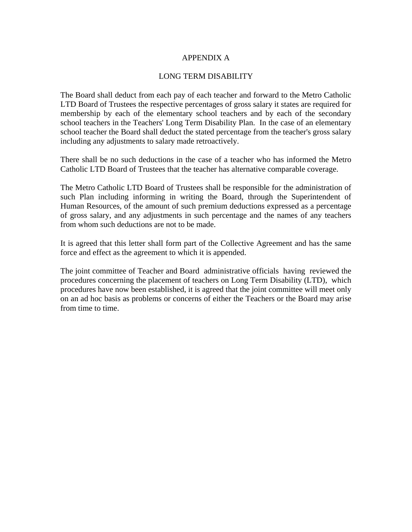## APPENDIX A

## LONG TERM DISABILITY

The Board shall deduct from each pay of each teacher and forward to the Metro Catholic LTD Board of Trustees the respective percentages of gross salary it states are required for membership by each of the elementary school teachers and by each of the secondary school teachers in the Teachers' Long Term Disability Plan. In the case of an elementary school teacher the Board shall deduct the stated percentage from the teacher's gross salary including any adjustments to salary made retroactively.

There shall be no such deductions in the case of a teacher who has informed the Metro Catholic LTD Board of Trustees that the teacher has alternative comparable coverage.

The Metro Catholic LTD Board of Trustees shall be responsible for the administration of such Plan including informing in writing the Board, through the Superintendent of Human Resources, of the amount of such premium deductions expressed as a percentage of gross salary, and any adjustments in such percentage and the names of any teachers from whom such deductions are not to be made.

It is agreed that this letter shall form part of the Collective Agreement and has the same force and effect as the agreement to which it is appended.

The joint committee of Teacher and Board administrative officials having reviewed the procedures concerning the placement of teachers on Long Term Disability (LTD), which procedures have now been established, it is agreed that the joint committee will meet only on an ad hoc basis as problems or concerns of either the Teachers or the Board may arise from time to time.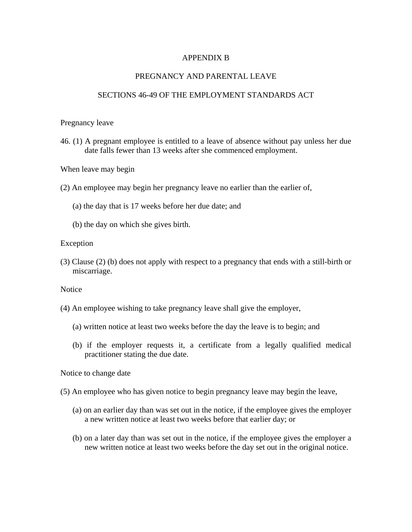# APPENDIX B

## PREGNANCY AND PARENTAL LEAVE

## SECTIONS 46-49 OF THE EMPLOYMENT STANDARDS ACT

#### Pregnancy leave

- 46. (1) A pregnant employee is entitled to a leave of absence without pay unless her due date falls fewer than 13 weeks after she commenced employment.
- When leave may begin
- (2) An employee may begin her pregnancy leave no earlier than the earlier of,
	- (a) the day that is 17 weeks before her due date; and
	- (b) the day on which she gives birth.

#### Exception

(3) Clause (2) (b) does not apply with respect to a pregnancy that ends with a still-birth or miscarriage.

#### **Notice**

- (4) An employee wishing to take pregnancy leave shall give the employer,
	- (a) written notice at least two weeks before the day the leave is to begin; and
	- (b) if the employer requests it, a certificate from a legally qualified medical practitioner stating the due date.

Notice to change date

- (5) An employee who has given notice to begin pregnancy leave may begin the leave,
	- (a) on an earlier day than was set out in the notice, if the employee gives the employer a new written notice at least two weeks before that earlier day; or
	- (b) on a later day than was set out in the notice, if the employee gives the employer a new written notice at least two weeks before the day set out in the original notice.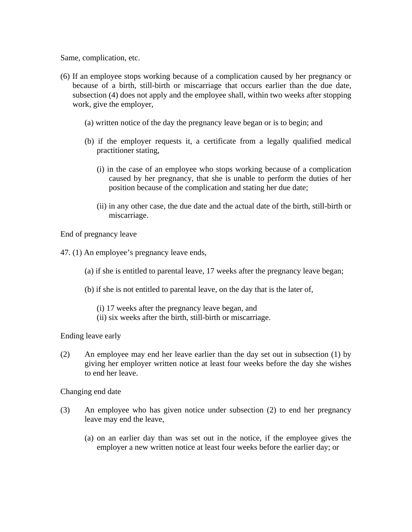Same, complication, etc.

- (6) If an employee stops working because of a complication caused by her pregnancy or because of a birth, still-birth or miscarriage that occurs earlier than the due date, subsection (4) does not apply and the employee shall, within two weeks after stopping work, give the employer,
	- (a) written notice of the day the pregnancy leave began or is to begin; and
	- (b) if the employer requests it, a certificate from a legally qualified medical practitioner stating,
		- (i) in the case of an employee who stops working because of a complication caused by her pregnancy, that she is unable to perform the duties of her position because of the complication and stating her due date;
		- (ii) in any other case, the due date and the actual date of the birth, still-birth or miscarriage.

End of pregnancy leave

- 47. (1) An employee's pregnancy leave ends,
	- (a) if she is entitled to parental leave, 17 weeks after the pregnancy leave began;
	- (b) if she is not entitled to parental leave, on the day that is the later of,
		- (i) 17 weeks after the pregnancy leave began, and
		- (ii) six weeks after the birth, still-birth or miscarriage.

Ending leave early

(2) An employee may end her leave earlier than the day set out in subsection (1) by giving her employer written notice at least four weeks before the day she wishes to end her leave.

Changing end date

- (3) An employee who has given notice under subsection (2) to end her pregnancy leave may end the leave,
	- (a) on an earlier day than was set out in the notice, if the employee gives the employer a new written notice at least four weeks before the earlier day; or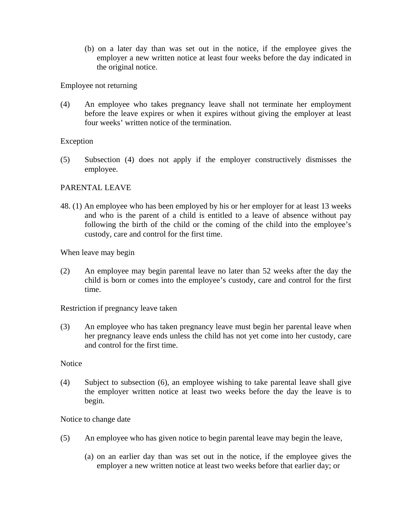(b) on a later day than was set out in the notice, if the employee gives the employer a new written notice at least four weeks before the day indicated in the original notice.

Employee not returning

(4) An employee who takes pregnancy leave shall not terminate her employment before the leave expires or when it expires without giving the employer at least four weeks' written notice of the termination.

# Exception

(5) Subsection (4) does not apply if the employer constructively dismisses the employee.

# PARENTAL LEAVE

48. (1) An employee who has been employed by his or her employer for at least 13 weeks and who is the parent of a child is entitled to a leave of absence without pay following the birth of the child or the coming of the child into the employee's custody, care and control for the first time.

When leave may begin

(2) An employee may begin parental leave no later than 52 weeks after the day the child is born or comes into the employee's custody, care and control for the first time.

Restriction if pregnancy leave taken

(3) An employee who has taken pregnancy leave must begin her parental leave when her pregnancy leave ends unless the child has not yet come into her custody, care and control for the first time.

## **Notice**

(4) Subject to subsection (6), an employee wishing to take parental leave shall give the employer written notice at least two weeks before the day the leave is to begin.

Notice to change date

- (5) An employee who has given notice to begin parental leave may begin the leave,
	- (a) on an earlier day than was set out in the notice, if the employee gives the employer a new written notice at least two weeks before that earlier day; or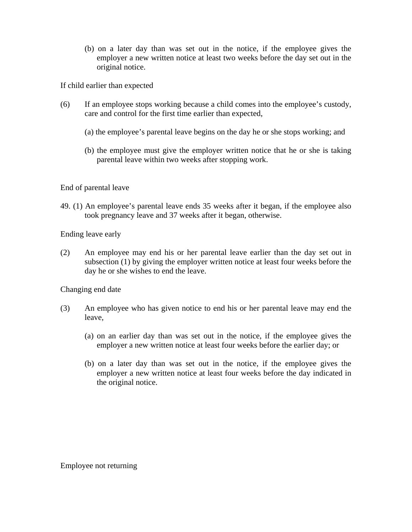(b) on a later day than was set out in the notice, if the employee gives the employer a new written notice at least two weeks before the day set out in the original notice.

If child earlier than expected

- (6) If an employee stops working because a child comes into the employee's custody, care and control for the first time earlier than expected,
	- (a) the employee's parental leave begins on the day he or she stops working; and
	- (b) the employee must give the employer written notice that he or she is taking parental leave within two weeks after stopping work.

End of parental leave

49. (1) An employee's parental leave ends 35 weeks after it began, if the employee also took pregnancy leave and 37 weeks after it began, otherwise.

Ending leave early

(2) An employee may end his or her parental leave earlier than the day set out in subsection (1) by giving the employer written notice at least four weeks before the day he or she wishes to end the leave.

Changing end date

- (3) An employee who has given notice to end his or her parental leave may end the leave,
	- (a) on an earlier day than was set out in the notice, if the employee gives the employer a new written notice at least four weeks before the earlier day; or
	- (b) on a later day than was set out in the notice, if the employee gives the employer a new written notice at least four weeks before the day indicated in the original notice.

Employee not returning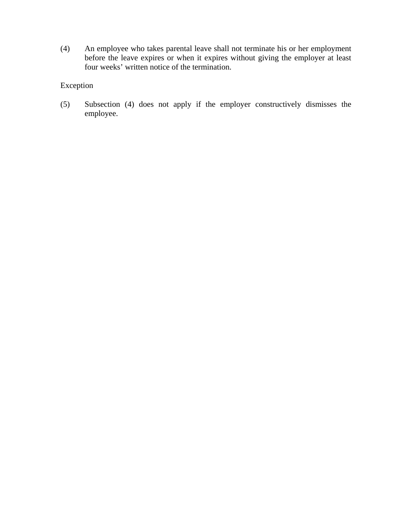(4) An employee who takes parental leave shall not terminate his or her employment before the leave expires or when it expires without giving the employer at least four weeks' written notice of the termination.

# Exception

(5) Subsection (4) does not apply if the employer constructively dismisses the employee.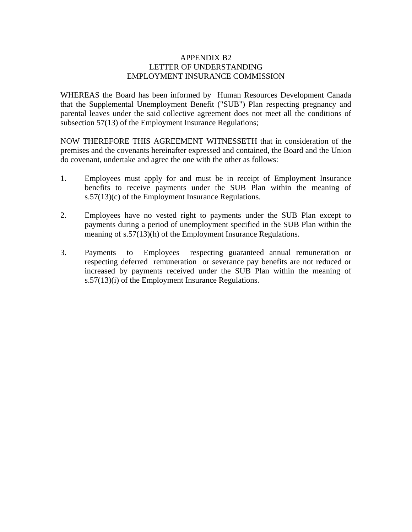## APPENDIX B2 LETTER OF UNDERSTANDING EMPLOYMENT INSURANCE COMMISSION

WHEREAS the Board has been informed by Human Resources Development Canada that the Supplemental Unemployment Benefit ("SUB") Plan respecting pregnancy and parental leaves under the said collective agreement does not meet all the conditions of subsection 57(13) of the Employment Insurance Regulations;

NOW THEREFORE THIS AGREEMENT WITNESSETH that in consideration of the premises and the covenants hereinafter expressed and contained, the Board and the Union do covenant, undertake and agree the one with the other as follows:

- 1. Employees must apply for and must be in receipt of Employment Insurance benefits to receive payments under the SUB Plan within the meaning of s.57(13)(c) of the Employment Insurance Regulations.
- 2. Employees have no vested right to payments under the SUB Plan except to payments during a period of unemployment specified in the SUB Plan within the meaning of s.57(13)(h) of the Employment Insurance Regulations.
- 3. Payments to Employees respecting guaranteed annual remuneration or respecting deferred remuneration or severance pay benefits are not reduced or increased by payments received under the SUB Plan within the meaning of s.57(13)(i) of the Employment Insurance Regulations.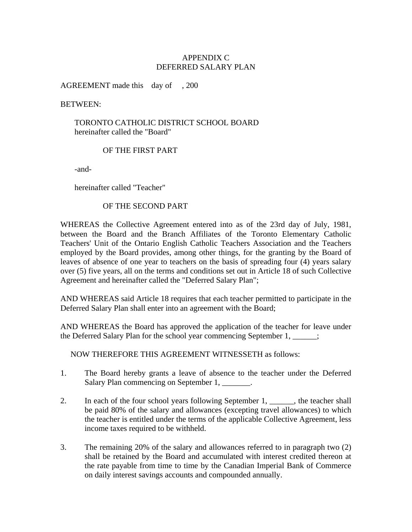## APPENDIX C DEFERRED SALARY PLAN

AGREEMENT made this day of , 200

BETWEEN:

 TORONTO CATHOLIC DISTRICT SCHOOL BOARD hereinafter called the "Board"

## OF THE FIRST PART

-and-

hereinafter called "Teacher"

## OF THE SECOND PART

WHEREAS the Collective Agreement entered into as of the 23rd day of July, 1981, between the Board and the Branch Affiliates of the Toronto Elementary Catholic Teachers' Unit of the Ontario English Catholic Teachers Association and the Teachers employed by the Board provides, among other things, for the granting by the Board of leaves of absence of one year to teachers on the basis of spreading four (4) years salary over (5) five years, all on the terms and conditions set out in Article 18 of such Collective Agreement and hereinafter called the "Deferred Salary Plan";

AND WHEREAS said Article 18 requires that each teacher permitted to participate in the Deferred Salary Plan shall enter into an agreement with the Board;

AND WHEREAS the Board has approved the application of the teacher for leave under the Deferred Salary Plan for the school year commencing September 1, \_\_\_\_\_\_;

NOW THEREFORE THIS AGREEMENT WITNESSETH as follows:

- 1. The Board hereby grants a leave of absence to the teacher under the Deferred Salary Plan commencing on September 1, \_\_\_\_\_\_\_.
- 2. In each of the four school years following September 1, \_\_\_\_\_\_, the teacher shall be paid 80% of the salary and allowances (excepting travel allowances) to which the teacher is entitled under the terms of the applicable Collective Agreement, less income taxes required to be withheld.
- 3. The remaining 20% of the salary and allowances referred to in paragraph two (2) shall be retained by the Board and accumulated with interest credited thereon at the rate payable from time to time by the Canadian Imperial Bank of Commerce on daily interest savings accounts and compounded annually.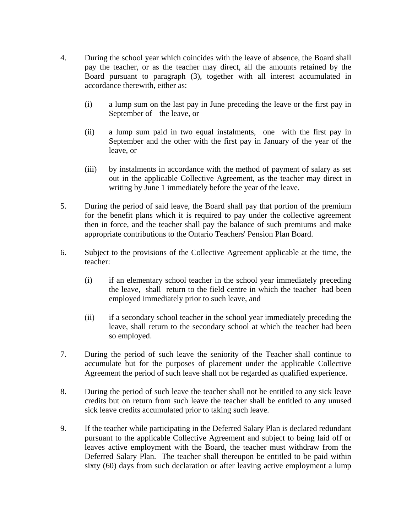- 4. During the school year which coincides with the leave of absence, the Board shall pay the teacher, or as the teacher may direct, all the amounts retained by the Board pursuant to paragraph (3), together with all interest accumulated in accordance therewith, either as:
	- (i) a lump sum on the last pay in June preceding the leave or the first pay in September of the leave, or
	- (ii) a lump sum paid in two equal instalments, one with the first pay in September and the other with the first pay in January of the year of the leave, or
	- (iii) by instalments in accordance with the method of payment of salary as set out in the applicable Collective Agreement, as the teacher may direct in writing by June 1 immediately before the year of the leave.
- 5. During the period of said leave, the Board shall pay that portion of the premium for the benefit plans which it is required to pay under the collective agreement then in force, and the teacher shall pay the balance of such premiums and make appropriate contributions to the Ontario Teachers' Pension Plan Board.
- 6. Subject to the provisions of the Collective Agreement applicable at the time, the teacher:
	- (i) if an elementary school teacher in the school year immediately preceding the leave, shall return to the field centre in which the teacher had been employed immediately prior to such leave, and
	- (ii) if a secondary school teacher in the school year immediately preceding the leave, shall return to the secondary school at which the teacher had been so employed.
- 7. During the period of such leave the seniority of the Teacher shall continue to accumulate but for the purposes of placement under the applicable Collective Agreement the period of such leave shall not be regarded as qualified experience.
- 8. During the period of such leave the teacher shall not be entitled to any sick leave credits but on return from such leave the teacher shall be entitled to any unused sick leave credits accumulated prior to taking such leave.
- 9. If the teacher while participating in the Deferred Salary Plan is declared redundant pursuant to the applicable Collective Agreement and subject to being laid off or leaves active employment with the Board, the teacher must withdraw from the Deferred Salary Plan. The teacher shall thereupon be entitled to be paid within sixty (60) days from such declaration or after leaving active employment a lump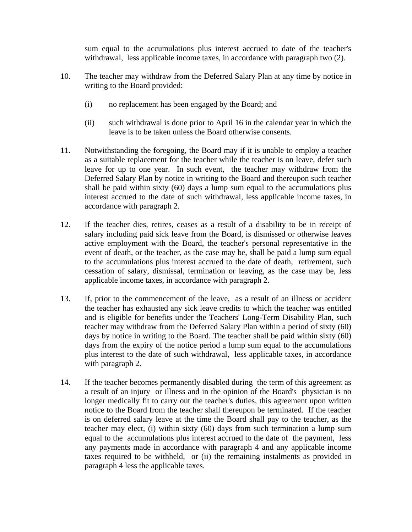sum equal to the accumulations plus interest accrued to date of the teacher's withdrawal, less applicable income taxes, in accordance with paragraph two (2).

- 10. The teacher may withdraw from the Deferred Salary Plan at any time by notice in writing to the Board provided:
	- (i) no replacement has been engaged by the Board; and
	- (ii) such withdrawal is done prior to April 16 in the calendar year in which the leave is to be taken unless the Board otherwise consents.
- 11. Notwithstanding the foregoing, the Board may if it is unable to employ a teacher as a suitable replacement for the teacher while the teacher is on leave, defer such leave for up to one year. In such event, the teacher may withdraw from the Deferred Salary Plan by notice in writing to the Board and thereupon such teacher shall be paid within sixty (60) days a lump sum equal to the accumulations plus interest accrued to the date of such withdrawal, less applicable income taxes, in accordance with paragraph 2.
- 12. If the teacher dies, retires, ceases as a result of a disability to be in receipt of salary including paid sick leave from the Board, is dismissed or otherwise leaves active employment with the Board, the teacher's personal representative in the event of death, or the teacher, as the case may be, shall be paid a lump sum equal to the accumulations plus interest accrued to the date of death, retirement, such cessation of salary, dismissal, termination or leaving, as the case may be, less applicable income taxes, in accordance with paragraph 2.
- 13. If, prior to the commencement of the leave, as a result of an illness or accident the teacher has exhausted any sick leave credits to which the teacher was entitled and is eligible for benefits under the Teachers' Long-Term Disability Plan, such teacher may withdraw from the Deferred Salary Plan within a period of sixty (60) days by notice in writing to the Board. The teacher shall be paid within sixty (60) days from the expiry of the notice period a lump sum equal to the accumulations plus interest to the date of such withdrawal, less applicable taxes, in accordance with paragraph 2.
- 14. If the teacher becomes permanently disabled during the term of this agreement as a result of an injury or illness and in the opinion of the Board's physician is no longer medically fit to carry out the teacher's duties, this agreement upon written notice to the Board from the teacher shall thereupon be terminated. If the teacher is on deferred salary leave at the time the Board shall pay to the teacher, as the teacher may elect, (i) within sixty (60) days from such termination a lump sum equal to the accumulations plus interest accrued to the date of the payment, less any payments made in accordance with paragraph 4 and any applicable income taxes required to be withheld, or (ii) the remaining instalments as provided in paragraph 4 less the applicable taxes.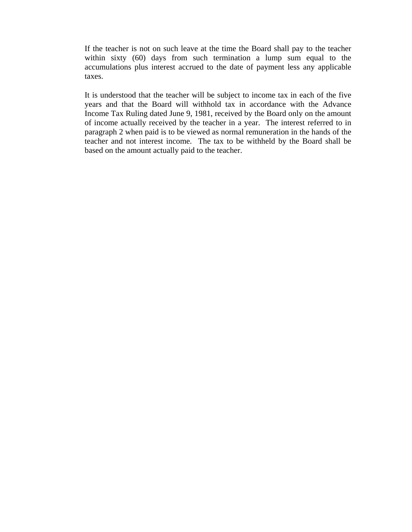If the teacher is not on such leave at the time the Board shall pay to the teacher within sixty (60) days from such termination a lump sum equal to the accumulations plus interest accrued to the date of payment less any applicable taxes.

It is understood that the teacher will be subject to income tax in each of the five years and that the Board will withhold tax in accordance with the Advance Income Tax Ruling dated June 9, 1981, received by the Board only on the amount of income actually received by the teacher in a year. The interest referred to in paragraph 2 when paid is to be viewed as normal remuneration in the hands of the teacher and not interest income. The tax to be withheld by the Board shall be based on the amount actually paid to the teacher.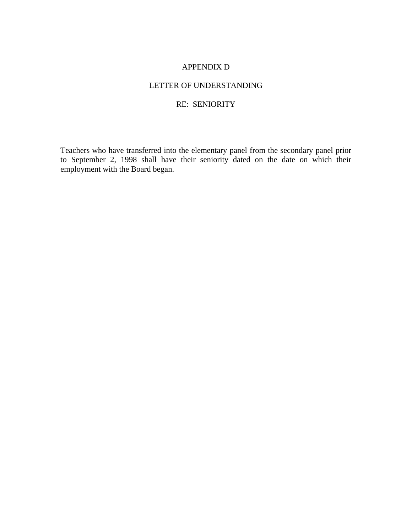## APPENDIX D

## LETTER OF UNDERSTANDING

# RE: SENIORITY

Teachers who have transferred into the elementary panel from the secondary panel prior to September 2, 1998 shall have their seniority dated on the date on which their employment with the Board began.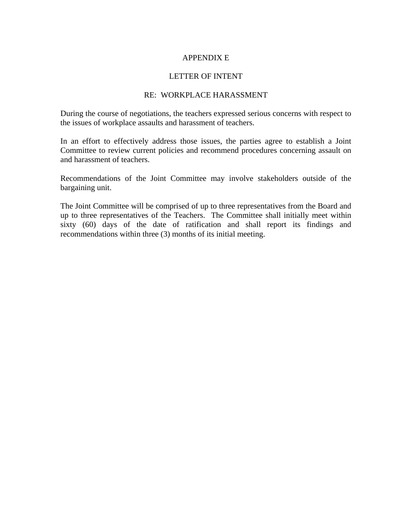# APPENDIX E

## LETTER OF INTENT

#### RE: WORKPLACE HARASSMENT

During the course of negotiations, the teachers expressed serious concerns with respect to the issues of workplace assaults and harassment of teachers.

In an effort to effectively address those issues, the parties agree to establish a Joint Committee to review current policies and recommend procedures concerning assault on and harassment of teachers.

Recommendations of the Joint Committee may involve stakeholders outside of the bargaining unit.

The Joint Committee will be comprised of up to three representatives from the Board and up to three representatives of the Teachers. The Committee shall initially meet within sixty (60) days of the date of ratification and shall report its findings and recommendations within three (3) months of its initial meeting.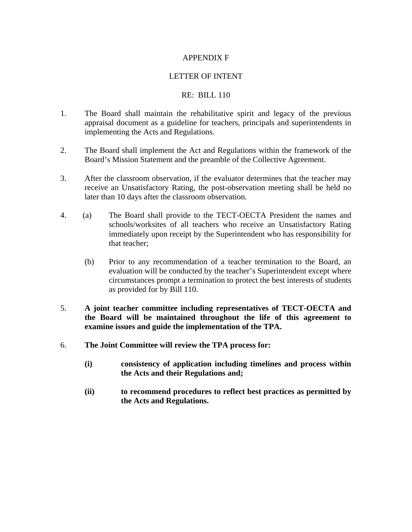# APPENDIX F

# LETTER OF INTENT

## RE: BILL 110

- 1. The Board shall maintain the rehabilitative spirit and legacy of the previous appraisal document as a guideline for teachers, principals and superintendents in implementing the Acts and Regulations.
- 2. The Board shall implement the Act and Regulations within the framework of the Board's Mission Statement and the preamble of the Collective Agreement.
- 3. After the classroom observation, if the evaluator determines that the teacher may receive an Unsatisfactory Rating, the post-observation meeting shall be held no later than 10 days after the classroom observation.
- 4. (a) The Board shall provide to the TECT-OECTA President the names and schools/worksites of all teachers who receive an Unsatisfactory Rating immediately upon receipt by the Superintendent who has responsibility for that teacher;
	- (b) Prior to any recommendation of a teacher termination to the Board, an evaluation will be conducted by the teacher's Superintendent except where circumstances prompt a termination to protect the best interests of students as provided for by Bill 110.
- 5. **A joint teacher committee including representatives of TECT-OECTA and the Board will be maintained throughout the life of this agreement to examine issues and guide the implementation of the TPA.**
- 6. **The Joint Committee will review the TPA process for:** 
	- **(i) consistency of application including timelines and process within the Acts and their Regulations and;**
	- **(ii) to recommend procedures to reflect best practices as permitted by the Acts and Regulations.**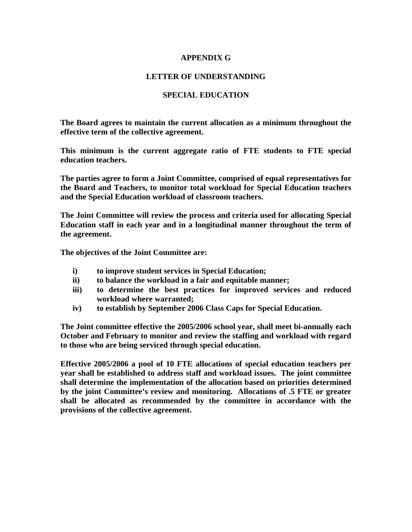# **APPENDIX G**

### **LETTER OF UNDERSTANDING**

### **SPECIAL EDUCATION**

**The Board agrees to maintain the current allocation as a minimum throughout the effective term of the collective agreement.** 

**This minimum is the current aggregate ratio of FTE students to FTE special education teachers.** 

**The parties agree to form a Joint Committee, comprised of equal representatives for the Board and Teachers, to monitor total workload for Special Education teachers and the Special Education workload of classroom teachers.** 

**The Joint Committee will review the process and criteria used for allocating Special Education staff in each year and in a longitudinal manner throughout the term of the agreement.** 

**The objectives of the Joint Committee are:** 

- **i) to improve student services in Special Education;**
- **ii) to balance the workload in a fair and equitable manner;**
- **iii) to determine the best practices for improved services and reduced workload where warranted;**
- **iv) to establish by September 2006 Class Caps for Special Education.**

**The Joint committee effective the 2005/2006 school year, shall meet bi-annually each October and February to monitor and review the staffing and workload with regard to those who are being serviced through special education.** 

**Effective 2005/2006 a pool of 10 FTE allocations of special education teachers per year shall be established to address staff and workload issues. The joint committee shall determine the implementation of the allocation based on priorities determined by the joint Committee's review and monitoring. Allocations of .5 FTE or greater shall be allocated as recommended by the committee in accordance with the provisions of the collective agreement.**